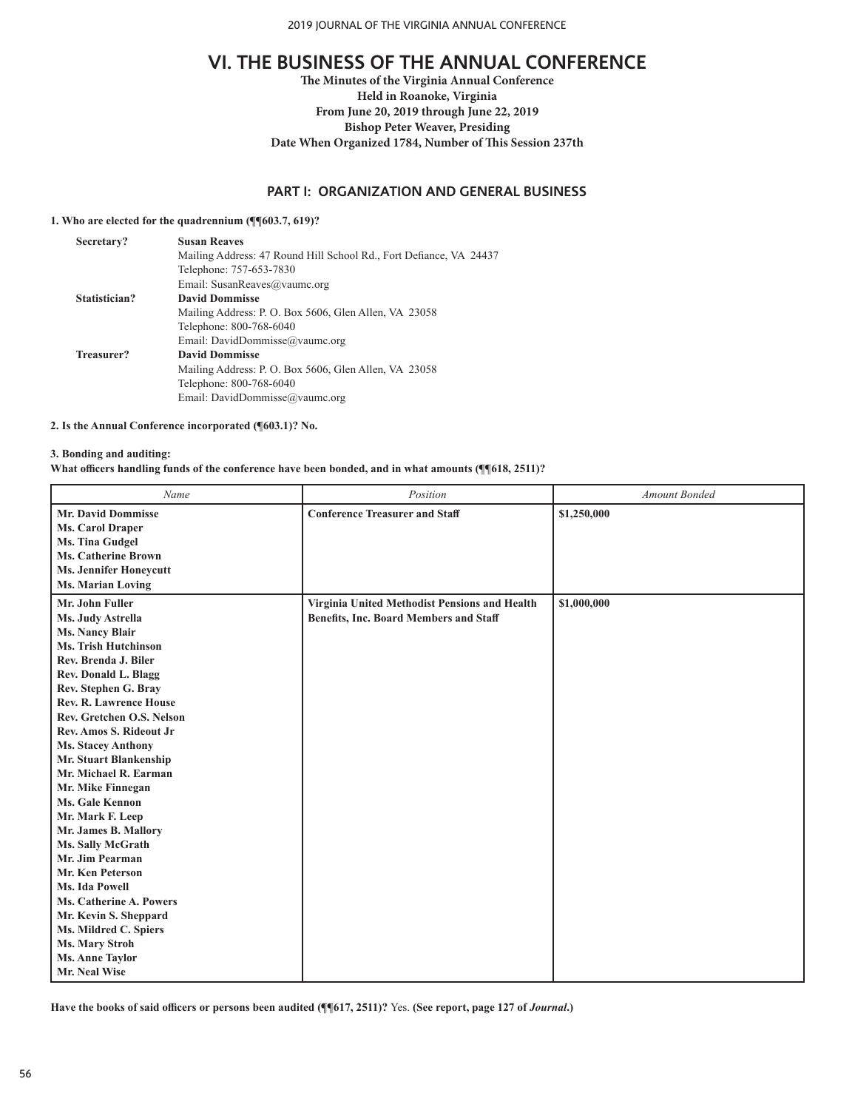**The Minutes of the Virginia Annual Conference Held in Roanoke, Virginia From June 20, 2019 through June 22, 2019 Bishop Peter Weaver, Presiding Date When Organized 1784, Number of This Session 237th**

## **PART I: ORGANIZATION AND GENERAL BUSINESS**

# **1. Who are elected for the quadrennium (¶¶603.7, 619)?**

| <b>Susan Reaves</b>                                                |
|--------------------------------------------------------------------|
| Mailing Address: 47 Round Hill School Rd., Fort Defiance, VA 24437 |
| Telephone: 757-653-7830                                            |
| Email: SusanReaves@vaumc.org                                       |
| <b>David Dommisse</b>                                              |
| Mailing Address: P. O. Box 5606, Glen Allen, VA 23058              |
| Telephone: 800-768-6040                                            |
| Email: DavidDommisse@vaumc.org                                     |
| <b>David Dommisse</b>                                              |
| Mailing Address: P. O. Box 5606, Glen Allen, VA 23058              |
| Telephone: 800-768-6040                                            |
| Email: DavidDommisse@vaumc.org                                     |
|                                                                    |

#### **2. Is the Annual Conference incorporated (¶603.1)? No.**

#### **3. Bonding and auditing:**

**What officers handling funds of the conference have been bonded, and in what amounts (¶¶618, 2511)?**

| Name                            | Position                                      | <b>Amount Bonded</b> |
|---------------------------------|-----------------------------------------------|----------------------|
| <b>Mr. David Dommisse</b>       | <b>Conference Treasurer and Staff</b>         | \$1,250,000          |
| Ms. Carol Draper                |                                               |                      |
| <b>Ms. Tina Gudgel</b>          |                                               |                      |
| <b>Ms. Catherine Brown</b>      |                                               |                      |
| <b>Ms. Jennifer Honeycutt</b>   |                                               |                      |
| <b>Ms. Marian Loving</b>        |                                               |                      |
| Mr. John Fuller                 | Virginia United Methodist Pensions and Health | \$1,000,000          |
| Ms. Judy Astrella               | <b>Benefits, Inc. Board Members and Staff</b> |                      |
| <b>Ms. Nancy Blair</b>          |                                               |                      |
| Ms. Trish Hutchinson            |                                               |                      |
| Rev. Brenda J. Biler            |                                               |                      |
| Rev. Donald L. Blagg            |                                               |                      |
| Rev. Stephen G. Bray            |                                               |                      |
| <b>Rev. R. Lawrence House</b>   |                                               |                      |
| Rev. Gretchen O.S. Nelson       |                                               |                      |
| <b>Rev. Amos S. Rideout Jr.</b> |                                               |                      |
| <b>Ms. Stacey Anthony</b>       |                                               |                      |
| Mr. Stuart Blankenship          |                                               |                      |
| Mr. Michael R. Earman           |                                               |                      |
| Mr. Mike Finnegan               |                                               |                      |
| <b>Ms. Gale Kennon</b>          |                                               |                      |
| Mr. Mark F. Leep                |                                               |                      |
| Mr. James B. Mallory            |                                               |                      |
| Ms. Sally McGrath               |                                               |                      |
| Mr. Jim Pearman                 |                                               |                      |
| <b>Mr. Ken Peterson</b>         |                                               |                      |
| Ms. Ida Powell                  |                                               |                      |
| <b>Ms. Catherine A. Powers</b>  |                                               |                      |
| Mr. Kevin S. Sheppard           |                                               |                      |
| Ms. Mildred C. Spiers           |                                               |                      |
| Ms. Mary Stroh                  |                                               |                      |
| <b>Ms. Anne Taylor</b>          |                                               |                      |
| Mr. Neal Wise                   |                                               |                      |

**Have the books of said officers or persons been audited (¶¶617, 2511)?** Yes. **(See report, page 127 of** *Journal***.)**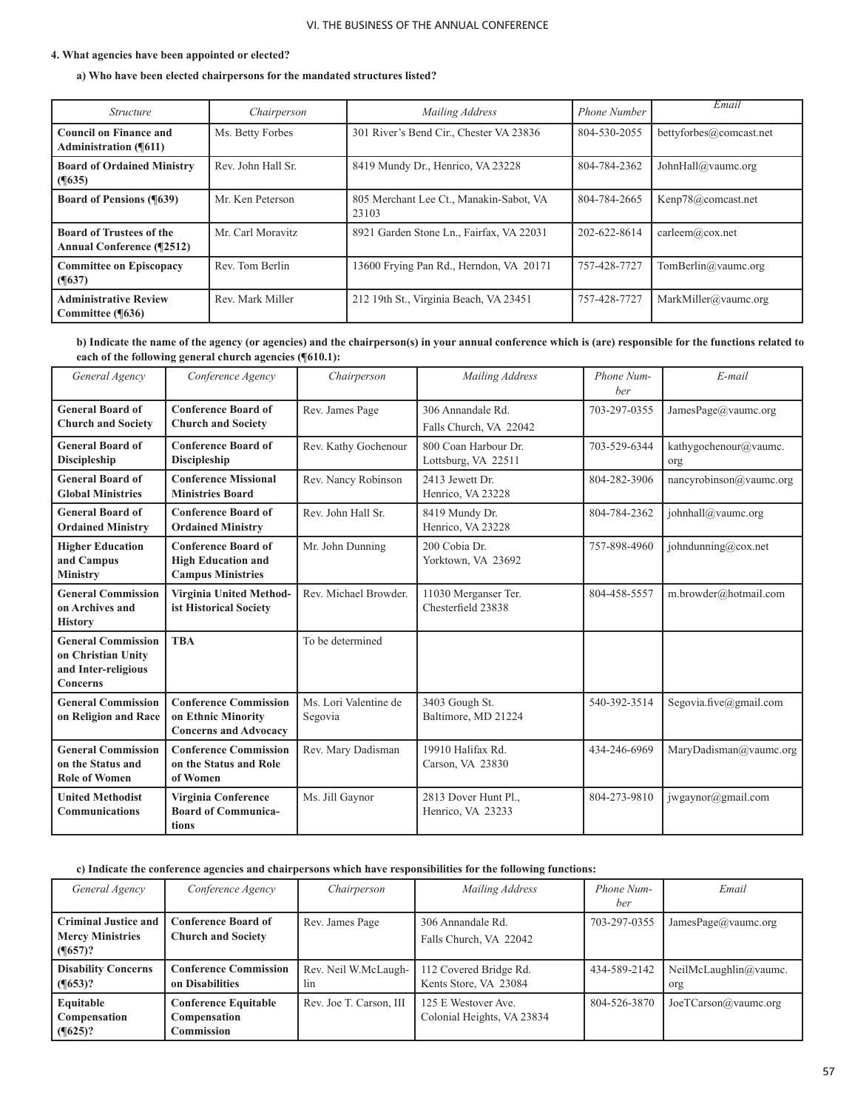#### **4. What agencies have been appointed or elected?**

## **a) Who have been elected chairpersons for the mandated structures listed?**

| <i>Structure</i>                                                    | Chairperson        | Mailing Address                                  | Phone Number | Email                   |
|---------------------------------------------------------------------|--------------------|--------------------------------------------------|--------------|-------------------------|
| <b>Council on Finance and</b><br><b>Administration (¶611)</b>       | Ms. Betty Forbes   | 301 River's Bend Cir., Chester VA 23836          | 804-530-2055 | bettyforbes@comcast.net |
| <b>Board of Ordained Ministry</b><br>$($ [635)                      | Rev. John Hall Sr. | 8419 Mundy Dr., Henrico, VA 23228                | 804-784-2362 | JohnHall@vaumc.org      |
| <b>Board of Pensions (%639)</b>                                     | Mr. Ken Peterson   | 805 Merchant Lee Ct., Manakin-Sabot, VA<br>23103 | 804-784-2665 | Kenp78@comcast.net      |
| <b>Board of Trustees of the</b><br><b>Annual Conference (¶2512)</b> | Mr. Carl Moravitz  | 8921 Garden Stone Ln., Fairfax, VA 22031         | 202-622-8614 | carleem@cox.net         |
| <b>Committee on Episcopacy</b><br>$($ (1637)                        | Rev. Tom Berlin    | 13600 Frying Pan Rd., Herndon, VA 20171          | 757-428-7727 | TomBerlin@vaumc.org     |
| <b>Administrative Review</b><br>Committee (¶636)                    | Rev. Mark Miller   | 212 19th St., Virginia Beach, VA 23451           | 757-428-7727 | MarkMiller@vaumc.org    |

**b) Indicate the name of the agency (or agencies) and the chairperson(s) in your annual conference which is (are) responsible for the functions related to each of the following general church agencies (¶610.1):**

| General Agency                                                                     | Conference Agency                                                                   | Chairperson                      | Mailing Address                             | Phone Num-<br>ber | E-mail                       |
|------------------------------------------------------------------------------------|-------------------------------------------------------------------------------------|----------------------------------|---------------------------------------------|-------------------|------------------------------|
| <b>General Board of</b><br><b>Church and Society</b>                               | <b>Conference Board of</b><br><b>Church and Society</b>                             | Rev. James Page                  | 306 Annandale Rd.<br>Falls Church, VA 22042 | 703-297-0355      | JamesPage@vaumc.org          |
| <b>General Board of</b><br><b>Discipleship</b>                                     | <b>Conference Board of</b><br><b>Discipleship</b>                                   | Rev. Kathy Gochenour             | 800 Coan Harbour Dr.<br>Lottsburg, VA 22511 | 703-529-6344      | kathygochenour@vaumc.<br>org |
| <b>General Board of</b><br><b>Global Ministries</b>                                | <b>Conference Missional</b><br><b>Ministries Board</b>                              | Rev. Nancy Robinson              | 2413 Jewett Dr.<br>Henrico, VA 23228        | 804-282-3906      | nancyrobinson@vaumc.org      |
| <b>General Board of</b><br><b>Ordained Ministry</b>                                | <b>Conference Board of</b><br><b>Ordained Ministry</b>                              | Rev. John Hall Sr.               | 8419 Mundy Dr.<br>Henrico, VA 23228         | 804-784-2362      | johnhall@vaumc.org           |
| <b>Higher Education</b><br>and Campus<br><b>Ministry</b>                           | <b>Conference Board of</b><br><b>High Education and</b><br><b>Campus Ministries</b> | Mr. John Dunning                 | 200 Cobia Dr.<br>Yorktown, VA 23692         | 757-898-4960      | johndunning@cox.net          |
| <b>General Commission</b><br>on Archives and<br><b>History</b>                     | <b>Virginia United Method-</b><br>ist Historical Society                            | Rev. Michael Browder.            | 11030 Merganser Ter.<br>Chesterfield 23838  | 804-458-5557      | m.browder@hotmail.com        |
| <b>General Commission</b><br>on Christian Unity<br>and Inter-religious<br>Concerns | <b>TBA</b>                                                                          | To be determined                 |                                             |                   |                              |
| <b>General Commission</b><br>on Religion and Race                                  | <b>Conference Commission</b><br>on Ethnic Minority<br><b>Concerns and Advocacy</b>  | Ms. Lori Valentine de<br>Segovia | 3403 Gough St.<br>Baltimore, MD 21224       | 540-392-3514      | Segovia.five@gmail.com       |
| <b>General Commission</b><br>on the Status and<br><b>Role of Women</b>             | <b>Conference Commission</b><br>on the Status and Role<br>of Women                  | Rev. Mary Dadisman               | 19910 Halifax Rd.<br>Carson, VA 23830       | 434-246-6969      | MaryDadisman@vaumc.org       |
| <b>United Methodist</b><br><b>Communications</b>                                   | Virginia Conference<br><b>Board of Communica-</b><br>tions                          | Ms. Jill Gaynor                  | 2813 Dover Hunt Pl.,<br>Henrico, VA 23233   | 804-273-9810      | jwgaynor@gmail.com           |

# **c) Indicate the conference agencies and chairpersons which have responsibilities for the following functions:**

| General Agency                                                             | Conference Agency                                         | Chairperson                 | Mailing Address                                   | Phone Num-<br>ber | Email                        |
|----------------------------------------------------------------------------|-----------------------------------------------------------|-----------------------------|---------------------------------------------------|-------------------|------------------------------|
| <b>Criminal Justice and</b><br><b>Mercy Ministries</b><br>$\sqrt{(657)^2}$ | <b>Conference Board of</b><br><b>Church and Society</b>   | Rev. James Page             | 306 Annandale Rd.<br>Falls Church, VA 22042       | 703-297-0355      | JamesPage@vaumc.org          |
| <b>Disability Concerns</b><br>$\sqrt{(653)^2}$                             | <b>Conference Commission</b><br>on Disabilities           | Rev. Neil W.McLaugh-<br>lin | 112 Covered Bridge Rd.<br>Kents Store, VA 23084   | 434-589-2142      | NeilMcLaughlin@vaumc.<br>org |
| Equitable<br>Compensation<br>$\sqrt{625}$                                  | <b>Conference Equitable</b><br>Compensation<br>Commission | Rev. Joe T. Carson, III     | 125 E Westover Ave.<br>Colonial Heights, VA 23834 | 804-526-3870      | Joe TCarson@value.org        |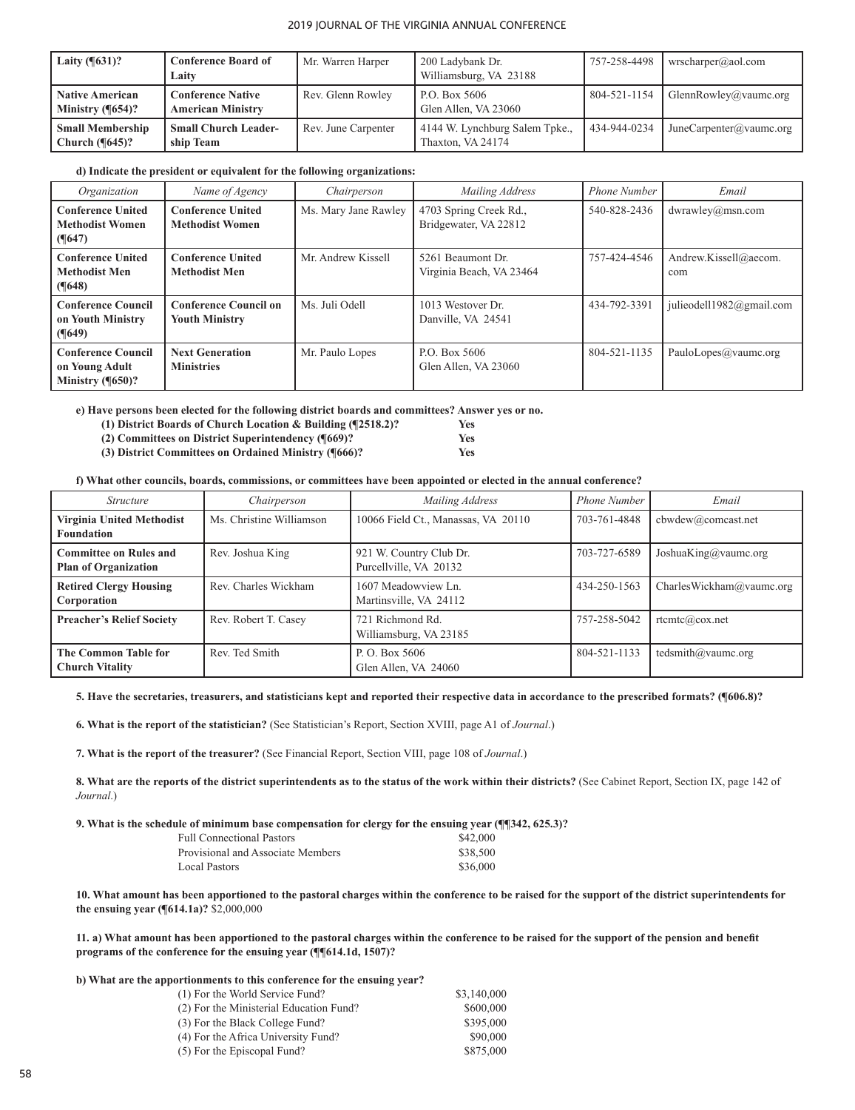| Laity $(\sqrt{631})$ ?                              | <b>Conference Board of</b><br>Laity                  | Mr. Warren Harper   | 200 Ladybank Dr.<br>Williamsburg, VA 23188          | 757-258-4498 | wrscharper@aol.com      |
|-----------------------------------------------------|------------------------------------------------------|---------------------|-----------------------------------------------------|--------------|-------------------------|
| <b>Native American</b><br>Ministry $(\sqrt{654})$ ? | <b>Conference Native</b><br><b>American Ministry</b> | Rev. Glenn Rowley   | P.O. Box 5606<br>Glen Allen, VA 23060               | 804-521-1154 | GlennRowley@vaumc.org   |
| <b>Small Membership</b><br>Church $(\sqrt{645})$ ?  | <b>Small Church Leader-</b><br>ship Team             | Rev. June Carpenter | 4144 W. Lynchburg Salem Tpke.,<br>Thaxton, VA 24174 | 434-944-0234 | JuneCarpenter@vaumc.org |

#### **d) Indicate the president or equivalent for the following organizations:**

| Organization                                                                   | Name of Agency                                        | Chairperson          | Mailing Address                                 | <b>Phone Number</b> | Email                        |
|--------------------------------------------------------------------------------|-------------------------------------------------------|----------------------|-------------------------------------------------|---------------------|------------------------------|
| <b>Conference United</b><br><b>Methodist Women</b><br>$($ [647)                | <b>Conference United</b><br><b>Methodist Women</b>    | Ms. Mary Jane Rawley | 4703 Spring Creek Rd.,<br>Bridgewater, VA 22812 | 540-828-2436        | dwrawley@msn.com             |
| <b>Conference United</b><br><b>Methodist Men</b><br>$($ (1648)                 | <b>Conference United</b><br><b>Methodist Men</b>      | Mr. Andrew Kissell   | 5261 Beaumont Dr.<br>Virginia Beach, VA 23464   | 757-424-4546        | Andrew.Kissell@aecom.<br>com |
| <b>Conference Council</b><br>on Youth Ministry<br>$($ (1649)                   | <b>Conference Council on</b><br><b>Youth Ministry</b> | Ms. Juli Odell       | 1013 Westover Dr.<br>Danville, VA 24541         | 434-792-3391        | julieodell1982@gmail.com     |
| <b>Conference Council</b><br>on Young Adult<br>Ministry $($ <del>[650</del> )? | <b>Next Generation</b><br><b>Ministries</b>           | Mr. Paulo Lopes      | P.O. Box 5606<br>Glen Allen, VA 23060           | 804-521-1135        | PauloLopes@vaumc.org         |

**e) Have persons been elected for the following district boards and committees? Answer yes or no.**

**(1) District Boards of Church Location & Building (¶2518.2)? Yes**

 **(2) Committees on District Superintendency (¶669)? Yes (3) District Committees on Ordained Ministry (¶666)? Yes**

**f) What other councils, boards, commissions, or committees have been appointed or elected in the annual conference?**

| <i>Structure</i>                                             | Chairperson              | Mailing Address                                   | Phone Number | Email                    |
|--------------------------------------------------------------|--------------------------|---------------------------------------------------|--------------|--------------------------|
| Virginia United Methodist<br><b>Foundation</b>               | Ms. Christine Williamson | 10066 Field Ct., Manassas, VA 20110               | 703-761-4848 | cbwdev@comcast.net       |
| <b>Committee on Rules and</b><br><b>Plan of Organization</b> | Rev. Joshua King         | 921 W. Country Club Dr.<br>Purcellville, VA 20132 | 703-727-6589 | JoshuaKing@vaumc.org     |
| <b>Retired Clergy Housing</b><br>Corporation                 | Rev. Charles Wickham     | 1607 Meadowview Ln.<br>Martinsville, VA 24112     | 434-250-1563 | CharlesWickham@vaumc.org |
| <b>Preacher's Relief Society</b>                             | Rev. Robert T. Casey     | 721 Richmond Rd.<br>Williamsburg, VA 23185        | 757-258-5042 | $rt$ cmtc $(a)$ cox.net  |
| <b>The Common Table for</b><br><b>Church Vitality</b>        | Rev. Ted Smith           | P. O. Box 5606<br>Glen Allen, VA 24060            | 804-521-1133 | tedsmith@vaumc.org       |

## **5. Have the secretaries, treasurers, and statisticians kept and reported their respective data in accordance to the prescribed formats? (¶606.8)?**

**6. What is the report of the statistician?** (See Statistician's Report, Section XVIII, page A1 of *Journal*.)

**7. What is the report of the treasurer?** (See Financial Report, Section VIII, page 108 of *Journal*.)

**8. What are the reports of the district superintendents as to the status of the work within their districts?** (See Cabinet Report, Section IX, page 142 of *Journal*.)

#### **9. What is the schedule of minimum base compensation for clergy for the ensuing year (¶¶342, 625.3)?**

| <b>Full Connectional Pastors</b>  |  | \$42,000 |  |
|-----------------------------------|--|----------|--|
| Provisional and Associate Members |  | \$38,500 |  |
| Local Pastors                     |  | \$36,000 |  |
|                                   |  |          |  |

**10. What amount has been apportioned to the pastoral charges within the conference to be raised for the support of the district superintendents for the ensuing year (¶614.1a)?** \$2,000,000 

**11. a) What amount has been apportioned to the pastoral charges within the conference to be raised for the support of the pension and benefit programs of the conference for the ensuing year (¶¶614.1d, 1507)?**

#### **b) What are the apportionments to this conference for the ensuing year?**

| (1) For the World Service Fund?         | \$3,140,000 |
|-----------------------------------------|-------------|
| (2) For the Ministerial Education Fund? | \$600,000   |
| (3) For the Black College Fund?         | \$395,000   |
| (4) For the Africa University Fund?     | \$90,000    |
| (5) For the Episcopal Fund?             | \$875,000   |
|                                         |             |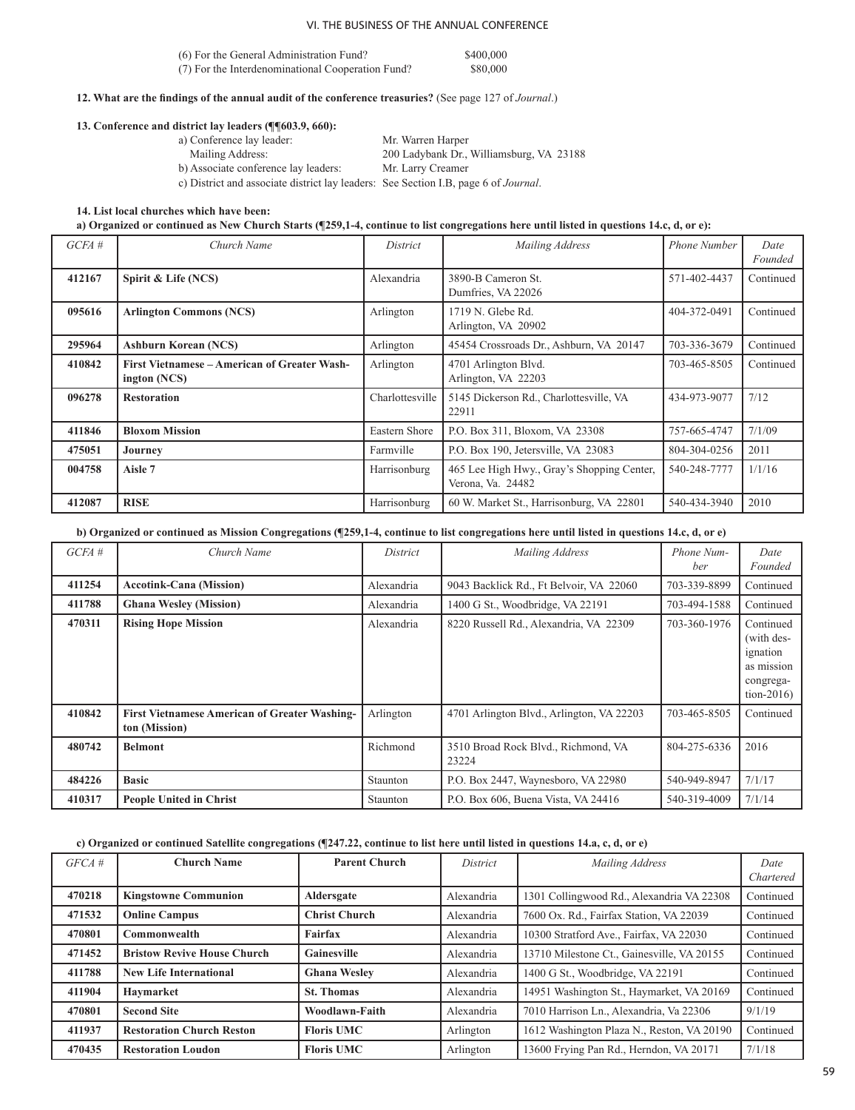| (6) For the General Administration Fund?          | \$400,000 |
|---------------------------------------------------|-----------|
| (7) For the Interdenominational Cooperation Fund? | \$80,000  |

**12. What are the findings of the annual audit of the conference treasuries?** (See page 127 of *Journal*.)

#### **13. Conference and district lay leaders (¶¶603.9, 660):**

| a) Conference lay leader:                                                                   | Mr. Warren Harper                        |
|---------------------------------------------------------------------------------------------|------------------------------------------|
| Mailing Address:                                                                            | 200 Ladybank Dr., Williamsburg, VA 23188 |
| b) Associate conference lay leaders:                                                        | Mr. Larry Creamer                        |
| c) District and associate district lay leaders: See Section I.B, page 6 of <i>Journal</i> . |                                          |

#### **14. List local churches which have been:**

**a) Organized or continued as New Church Starts (¶259,1-4, continue to list congregations here until listed in questions 14.c, d, or e):** 

| GCEA#  | Church Name                                                         | District        | Mailing Address                                                 | <b>Phone Number</b> | Date<br>Founded |
|--------|---------------------------------------------------------------------|-----------------|-----------------------------------------------------------------|---------------------|-----------------|
| 412167 | Spirit & Life (NCS)                                                 | Alexandria      | 3890-B Cameron St.<br>Dumfries, VA 22026                        | 571-402-4437        | Continued       |
| 095616 | <b>Arlington Commons (NCS)</b>                                      | Arlington       | 1719 N. Glebe Rd.<br>Arlington, VA 20902                        | 404-372-0491        | Continued       |
| 295964 | <b>Ashburn Korean (NCS)</b>                                         | Arlington       | 45454 Crossroads Dr., Ashburn, VA 20147                         | 703-336-3679        | Continued       |
| 410842 | <b>First Vietnamese – American of Greater Wash-</b><br>ington (NCS) | Arlington       | 4701 Arlington Blvd.<br>Arlington, VA 22203                     | 703-465-8505        | Continued       |
| 096278 | <b>Restoration</b>                                                  | Charlottesville | 5145 Dickerson Rd., Charlottesville, VA<br>22911                | 434-973-9077        | 7/12            |
| 411846 | <b>Bloxom Mission</b>                                               | Eastern Shore   | P.O. Box 311, Bloxom, VA 23308                                  | 757-665-4747        | 7/1/09          |
| 475051 | Journey                                                             | Farmville       | P.O. Box 190, Jetersville, VA 23083                             | 804-304-0256        | 2011            |
| 004758 | Aisle 7                                                             | Harrisonburg    | 465 Lee High Hwy., Gray's Shopping Center,<br>Verona, Va. 24482 | 540-248-7777        | 1/1/16          |
| 412087 | <b>RISE</b>                                                         | Harrisonburg    | 60 W. Market St., Harrisonburg, VA 22801                        | 540-434-3940        | 2010            |

# **b) Organized or continued as Mission Congregations (¶259,1-4, continue to list congregations here until listed in questions 14.c, d, or e)**

| GCEA#  | Church Name                                                           | District   | Mailing Address                              | Phone Num-<br>ber | Date<br>Founded                                                                |
|--------|-----------------------------------------------------------------------|------------|----------------------------------------------|-------------------|--------------------------------------------------------------------------------|
| 411254 | <b>Accotink-Cana (Mission)</b>                                        | Alexandria | 9043 Backlick Rd., Ft Belvoir, VA 22060      | 703-339-8899      | Continued                                                                      |
| 411788 | <b>Ghana Wesley (Mission)</b>                                         | Alexandria | 1400 G St., Woodbridge, VA 22191             | 703-494-1588      | Continued                                                                      |
| 470311 | <b>Rising Hope Mission</b>                                            | Alexandria | 8220 Russell Rd., Alexandria, VA 22309       | 703-360-1976      | Continued<br>(with des-<br>ignation<br>as mission<br>congrega-<br>$tion-2016)$ |
| 410842 | <b>First Vietnamese American of Greater Washing-</b><br>ton (Mission) | Arlington  | 4701 Arlington Blvd., Arlington, VA 22203    | 703-465-8505      | Continued                                                                      |
| 480742 | <b>Belmont</b>                                                        | Richmond   | 3510 Broad Rock Blvd., Richmond, VA<br>23224 | 804-275-6336      | 2016                                                                           |
| 484226 | <b>Basic</b>                                                          | Staunton   | P.O. Box 2447, Waynesboro, VA 22980          | 540-949-8947      | 7/1/17                                                                         |
| 410317 | <b>People United in Christ</b>                                        | Staunton   | P.O. Box 606, Buena Vista, VA 24416          | 540-319-4009      | 7/1/14                                                                         |

# **c) Organized or continued Satellite congregations (¶247.22, continue to list here until listed in questions 14.a, c, d, or e)**

| $GFCA \#$ | <b>Church Name</b>                 | <b>Parent Church</b> | District   | Mailing Address                            | Date<br>Chartered |
|-----------|------------------------------------|----------------------|------------|--------------------------------------------|-------------------|
| 470218    | <b>Kingstowne Communion</b>        | Aldersgate           | Alexandria | 1301 Collingwood Rd., Alexandria VA 22308  | Continued         |
| 471532    | <b>Online Campus</b>               | <b>Christ Church</b> | Alexandria | 7600 Ox. Rd., Fairfax Station, VA 22039    | Continued         |
| 470801    | <b>Commonwealth</b>                | Fairfax              | Alexandria | 10300 Stratford Ave., Fairfax, VA 22030    | Continued         |
| 471452    | <b>Bristow Revive House Church</b> | Gainesville          | Alexandria | 13710 Milestone Ct., Gainesville, VA 20155 | Continued         |
| 411788    | <b>New Life International</b>      | <b>Ghana Wesley</b>  | Alexandria | 1400 G St., Woodbridge, VA 22191           | Continued         |
| 411904    | Haymarket                          | <b>St. Thomas</b>    | Alexandria | 14951 Washington St., Haymarket, VA 20169  | Continued         |
| 470801    | <b>Second Site</b>                 | Woodlawn-Faith       | Alexandria | 7010 Harrison Ln., Alexandria, Va 22306    | 9/1/19            |
| 411937    | <b>Restoration Church Reston</b>   | <b>Floris UMC</b>    | Arlington  | 1612 Washington Plaza N., Reston, VA 20190 | Continued         |
| 470435    | <b>Restoration Loudon</b>          | <b>Floris UMC</b>    | Arlington  | 13600 Frying Pan Rd., Herndon, VA 20171    | 7/1/18            |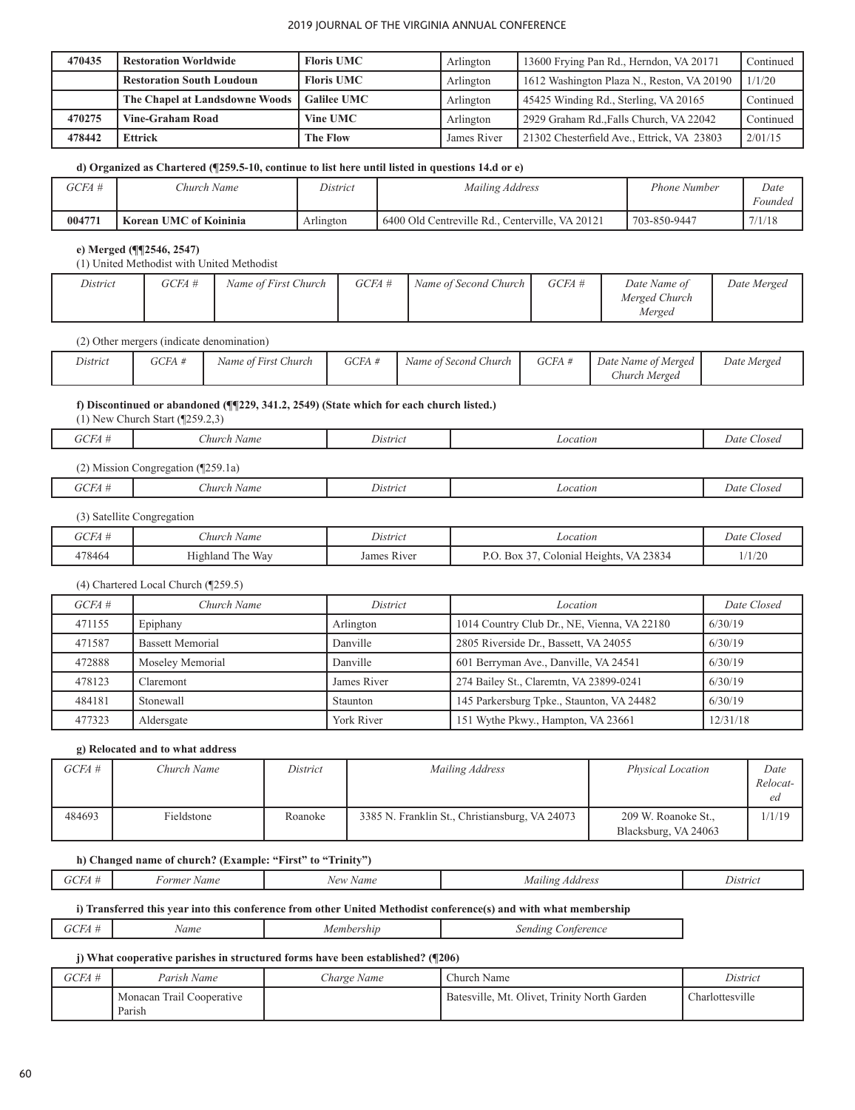| 470435 | <b>Restoration Worldwide</b>                          | <b>Floris UMC</b>  | Arlington   | 13600 Frying Pan Rd., Herndon, VA 20171    | Continued |
|--------|-------------------------------------------------------|--------------------|-------------|--------------------------------------------|-----------|
|        | <b>Restoration South Loudoun</b><br><b>Floris UMC</b> |                    | Arlington   | 1612 Washington Plaza N., Reston, VA 20190 | 1/1/20    |
|        | The Chapel at Landsdowne Woods                        | <b>Galilee UMC</b> | Arlington   | 45425 Winding Rd., Sterling, VA 20165      | Continued |
| 470275 | <b>Vine-Graham Road</b>                               | Vine UMC           | Arlington   | 2929 Graham Rd., Falls Church, VA 22042    | Continued |
| 478442 | <b>Ettrick</b>                                        | The Flow           | James River | 21302 Chesterfield Ave., Ettrick, VA 23803 | 2/01/15   |

## **d) Organized as Chartered (¶259.5-10, continue to list here until listed in questions 14.d or e)**

| GCFA # | <i>Church Name</i>     | District  | Mailing Address                                  | Phone Number | Date    |
|--------|------------------------|-----------|--------------------------------------------------|--------------|---------|
|        |                        |           |                                                  |              | Foundec |
| 004771 | Korean UMC of Koininia | Arlıngton | 6400 Old Centreville Rd<br>Centerville. VA 20121 | 703-850-9447 | 7/1/18  |

# **e) Merged (¶¶2546, 2547)**

(1) United Methodist with United Methodist

| District | GCFA # | Name of First Church | $GCEA \#$ | Name of Second Church | GCFA # | Date Name of  | Date Merged |
|----------|--------|----------------------|-----------|-----------------------|--------|---------------|-------------|
|          |        |                      |           |                       |        | Merged Church |             |
|          |        |                      |           |                       |        | Merged        |             |

#### (2) Other mergers (indicate denomination)

| District | GCFA | Name of First Church | GCFA # | Name of Second Church | GCFA # | Date Name of Merged | Date Merged |
|----------|------|----------------------|--------|-----------------------|--------|---------------------|-------------|
|          |      |                      |        |                       |        | Church Merged       |             |

# **f) Discontinued or abandoned (¶¶229, 341.2, 2549) (State which for each church listed.)**

(1) New Church Start (¶259.2,3)

| GCFA #   | $\sim$<br>hurch<br>: Name               | <i>District</i> | ∟ocation | $\sim$<br>Date<br>Aosed |
|----------|-----------------------------------------|-----------------|----------|-------------------------|
| Viission | Congregation $(\sqrt{\frac{259.1a}{}})$ |                 |          |                         |

| $X \cap T \neq I$<br>:FA ‡<br>$\mathbf r$ | $-1$<br>:hurch<br>Name | District | ocation | Aosec<br>Jate |
|-------------------------------------------|------------------------|----------|---------|---------------|
|                                           |                        |          |         |               |

#### (3) Satellite Congregation

| $\sim$ $\sim$ $\sim$ | hurch<br>Name                                     | District<br>.          | ocation                                                       | $\sim$<br>$\sqrt{2}$<br>Llosed<br>Date |
|----------------------|---------------------------------------------------|------------------------|---------------------------------------------------------------|----------------------------------------|
| 178464               | <b>TTT</b><br>$\sim$<br>- Wax<br>l he<br>Highland | James<br><b>R</b> iver | 123834<br>$\sim$ $\sim$<br>$B^{\alpha}$<br>Heights<br>olonial | 1/1/20                                 |

#### (4) Chartered Local Church (¶259.5)

| $GCEA \#$ | Church Name             | District                                                 | Location                                  | Date Closed |
|-----------|-------------------------|----------------------------------------------------------|-------------------------------------------|-------------|
| 471155    | Epiphany                | Arlington<br>1014 Country Club Dr., NE, Vienna, VA 22180 |                                           | 6/30/19     |
| 471587    | <b>Bassett Memorial</b> | 2805 Riverside Dr., Bassett, VA 24055<br>Danville        |                                           | 6/30/19     |
| 472888    | Moseley Memorial        | Danville                                                 | 601 Berryman Ave., Danville, VA 24541     | 6/30/19     |
| 478123    | Claremont               | James River                                              | 274 Bailey St., Claremtn, VA 23899-0241   | 6/30/19     |
| 484181    | Stonewall               | <b>Staunton</b>                                          | 145 Parkersburg Tpke., Staunton, VA 24482 | 6/30/19     |
| 477323    | Aldersgate              | York River                                               | 151 Wythe Pkwy., Hampton, VA 23661        | 12/31/18    |

# **g) Relocated and to what address**

| GCFA # | Church Name | District | Mailing Address                                | <b>Physical Location</b>                    | Date<br>Relocat-<br>ed |
|--------|-------------|----------|------------------------------------------------|---------------------------------------------|------------------------|
| 484693 | Fieldstone  | Roanoke  | 3385 N. Franklin St., Christiansburg, VA 24073 | 209 W. Roanoke St.,<br>Blacksburg, VA 24063 | 1/1/19                 |

## **h) Changed name of church? (Example: "First" to "Trinity")**

| $\mathbf{v}$ | Name<br>-orme | Name<br>101 | Addres<br>иа<br>.,,,<br>.<br>. | Distric<br>. |
|--------------|---------------|-------------|--------------------------------|--------------|
|              |               |             |                                |              |

# **i) Transferred this year into this conference from other United Methodist conference(s) and with what membership**

| $GCHA +$<br>embershin<br>ame | Sending Conterence |
|------------------------------|--------------------|
|------------------------------|--------------------|

# **j) What cooperative parishes in structured forms have been established? (¶206)**

| GCFA # | Parish Name                         | <i>Charge Name</i> | Church Name                                  | District        |
|--------|-------------------------------------|--------------------|----------------------------------------------|-----------------|
|        | Monacan Trail Cooperative<br>Parish |                    | Batesville, Mt. Olivet, Trinity North Garden | Charlottesville |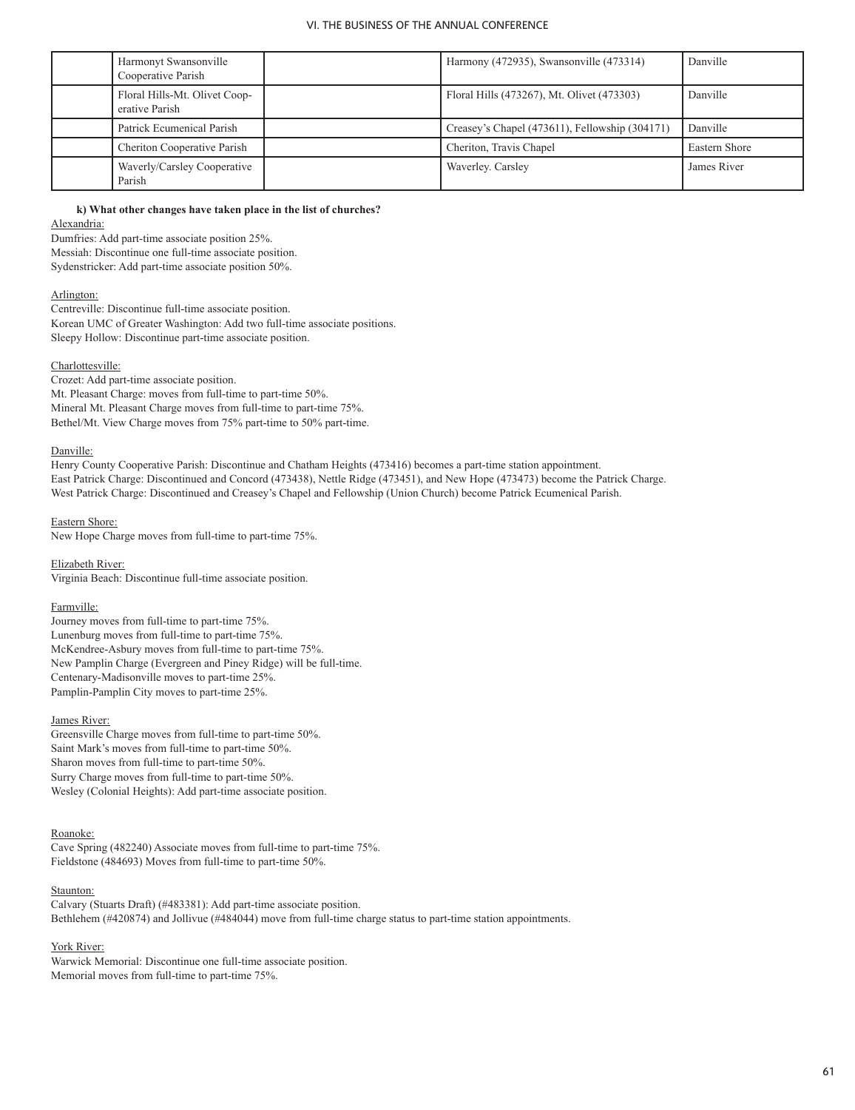| Harmonyt Swansonville<br>Cooperative Parish     | Harmony (472935), Swansonville (473314)        | Danville      |
|-------------------------------------------------|------------------------------------------------|---------------|
| Floral Hills-Mt. Olivet Coop-<br>erative Parish | Floral Hills (473267), Mt. Olivet (473303)     | Danville      |
| Patrick Ecumenical Parish                       | Creasey's Chapel (473611), Fellowship (304171) | Danville      |
| Cheriton Cooperative Parish                     | Cheriton, Travis Chapel                        | Eastern Shore |
| Waverly/Carsley Cooperative<br>Parish           | Waverley. Carsley                              | James River   |

**k) What other changes have taken place in the list of churches?**

#### Alexandria:

Dumfries: Add part-time associate position 25%. Messiah: Discontinue one full-time associate position. Sydenstricker: Add part-time associate position 50%.

#### Arlington:

Centreville: Discontinue full-time associate position. Korean UMC of Greater Washington: Add two full-time associate positions. Sleepy Hollow: Discontinue part-time associate position.

## Charlottesville:

Crozet: Add part-time associate position. Mt. Pleasant Charge: moves from full-time to part-time 50%. Mineral Mt. Pleasant Charge moves from full-time to part-time 75%. Bethel/Mt. View Charge moves from 75% part-time to 50% part-time.

#### Danville:

Henry County Cooperative Parish: Discontinue and Chatham Heights (473416) becomes a part-time station appointment. East Patrick Charge: Discontinued and Concord (473438), Nettle Ridge (473451), and New Hope (473473) become the Patrick Charge. West Patrick Charge: Discontinued and Creasey's Chapel and Fellowship (Union Church) become Patrick Ecumenical Parish.

## Eastern Shore:

New Hope Charge moves from full-time to part-time 75%.

Elizabeth River: Virginia Beach: Discontinue full-time associate position.

#### Farmville:

Journey moves from full-time to part-time 75%. Lunenburg moves from full-time to part-time 75%. McKendree-Asbury moves from full-time to part-time 75%. New Pamplin Charge (Evergreen and Piney Ridge) will be full-time. Centenary-Madisonville moves to part-time 25%. Pamplin-Pamplin City moves to part-time 25%.

#### James River:

Greensville Charge moves from full-time to part-time 50%. Saint Mark's moves from full-time to part-time 50%. Sharon moves from full-time to part-time 50%. Surry Charge moves from full-time to part-time 50%. Wesley (Colonial Heights): Add part-time associate position.

#### Roanoke:

Cave Spring (482240) Associate moves from full-time to part-time 75%. Fieldstone (484693) Moves from full-time to part-time 50%.

#### Staunton:

Calvary (Stuarts Draft) (#483381): Add part-time associate position. Bethlehem (#420874) and Jollivue (#484044) move from full-time charge status to part-time station appointments.

#### York River:

Warwick Memorial: Discontinue one full-time associate position. Memorial moves from full-time to part-time 75%.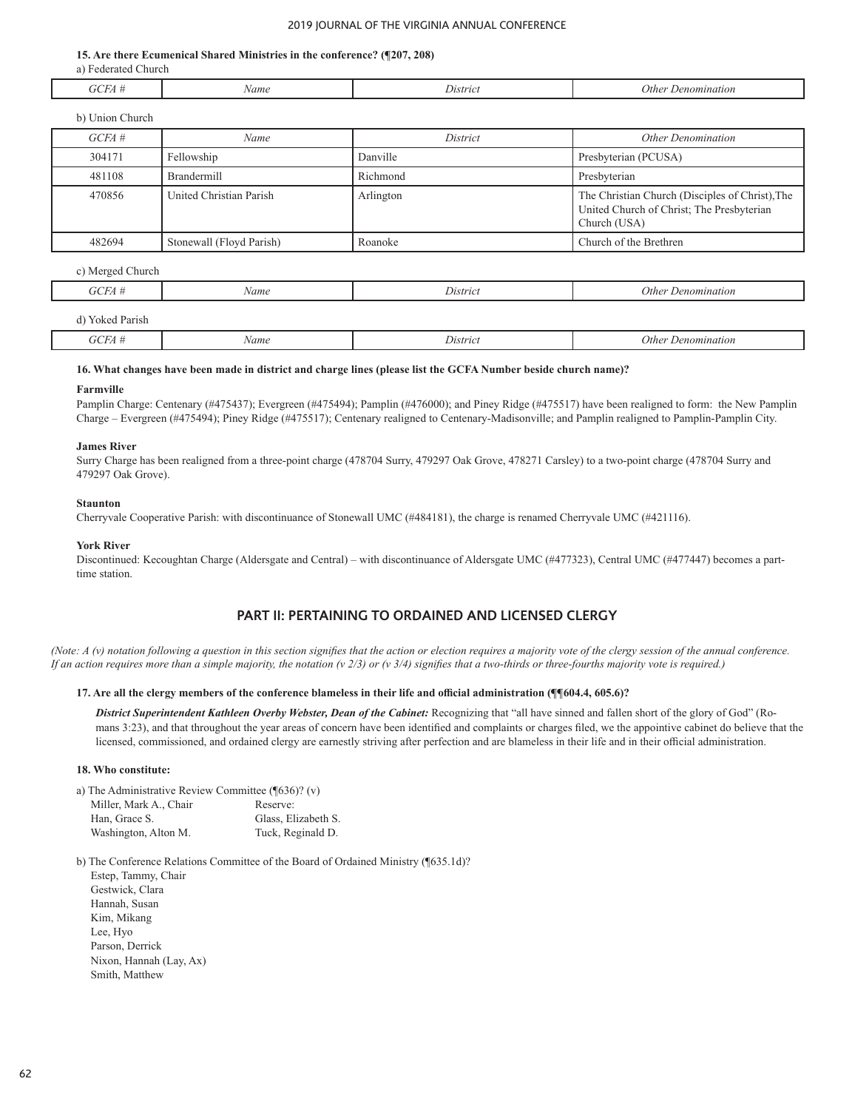#### **15. Are there Ecumenical Shared Ministries in the conference? (¶207, 208)**

 a) Federated Church

| $\sqrt{1}$<br>H<br>УI.<br>. | Name | . .<br>Distric | )ther<br>Denomination |
|-----------------------------|------|----------------|-----------------------|
|                             |      |                |                       |

| b) Union Church |                          |           |                                                                                                              |
|-----------------|--------------------------|-----------|--------------------------------------------------------------------------------------------------------------|
| $GCEA \#$       | Name                     | District  | <b>Other Denomination</b>                                                                                    |
| 304171          | Fellowship               | Danville  | Presbyterian (PCUSA)                                                                                         |
| 481108          | <b>Brandermill</b>       | Richmond  | Presbyterian                                                                                                 |
| 470856          | United Christian Parish  | Arlington | The Christian Church (Disciples of Christ), The<br>United Church of Christ; The Presbyterian<br>Church (USA) |
| 482694          | Stonewall (Floyd Parish) | Roanoke   | Church of the Brethren                                                                                       |

#### c) Merged Church

| GCH<br>UCFA       | Name | District | Other Denomination |
|-------------------|------|----------|--------------------|
| Yoked Parish<br>` |      |          |                    |

*GCFA # Name District Other Denomination*

#### **16. What changes have been made in district and charge lines (please list the GCFA Number beside church name)?**

#### **Farmville**

Ī

Pamplin Charge: Centenary (#475437); Evergreen (#475494); Pamplin (#476000); and Piney Ridge (#475517) have been realigned to form: the New Pamplin Charge – Evergreen (#475494); Piney Ridge (#475517); Centenary realigned to Centenary-Madisonville; and Pamplin realigned to Pamplin-Pamplin City.

#### **James River**

Surry Charge has been realigned from a three-point charge (478704 Surry, 479297 Oak Grove, 478271 Carsley) to a two-point charge (478704 Surry and 479297 Oak Grove).

#### **Staunton**

Cherryvale Cooperative Parish: with discontinuance of Stonewall UMC (#484181), the charge is renamed Cherryvale UMC (#421116).

#### **York River**

Discontinued: Kecoughtan Charge (Aldersgate and Central) – with discontinuance of Aldersgate UMC (#477323), Central UMC (#477447) becomes a parttime station.

# **PART II: PERTAINING TO ORDAINED AND LICENSED CLERGY**

*(Note: A (v) notation following a question in this section signifies that the action or election requires a majority vote of the clergy session of the annual conference. If an action requires more than a simple majority, the notation (v 2/3) or (v 3/4) signifies that a two-thirds or three-fourths majority vote is required.)*

#### **17. Are all the clergy members of the conference blameless in their life and official administration (¶¶604.4, 605.6)?**

*District Superintendent Kathleen Overby Webster, Dean of the Cabinet:* Recognizing that "all have sinned and fallen short of the glory of God" (Romans 3:23), and that throughout the year areas of concern have been identified and complaints or charges filed, we the appointive cabinet do believe that the licensed, commissioned, and ordained clergy are earnestly striving after perfection and are blameless in their life and in their official administration.

#### **18. Who constitute:**

 a) The Administrative Review Committee (¶636)? (v)

| Miller, Mark A., Chair | Reserve:            |
|------------------------|---------------------|
| Han. Grace S.          | Glass, Elizabeth S. |
| Washington, Alton M.   | Tuck, Reginald D.   |

 b) The Conference Relations Committee of the Board of Ordained Ministry (¶635.1d)?

 Estep, Tammy, Chair Gestwick, Clara Hannah, Susan Kim, Mikang Lee, Hyo Parson, Derrick Nixon, Hannah (Lay, Ax) Smith, Matthew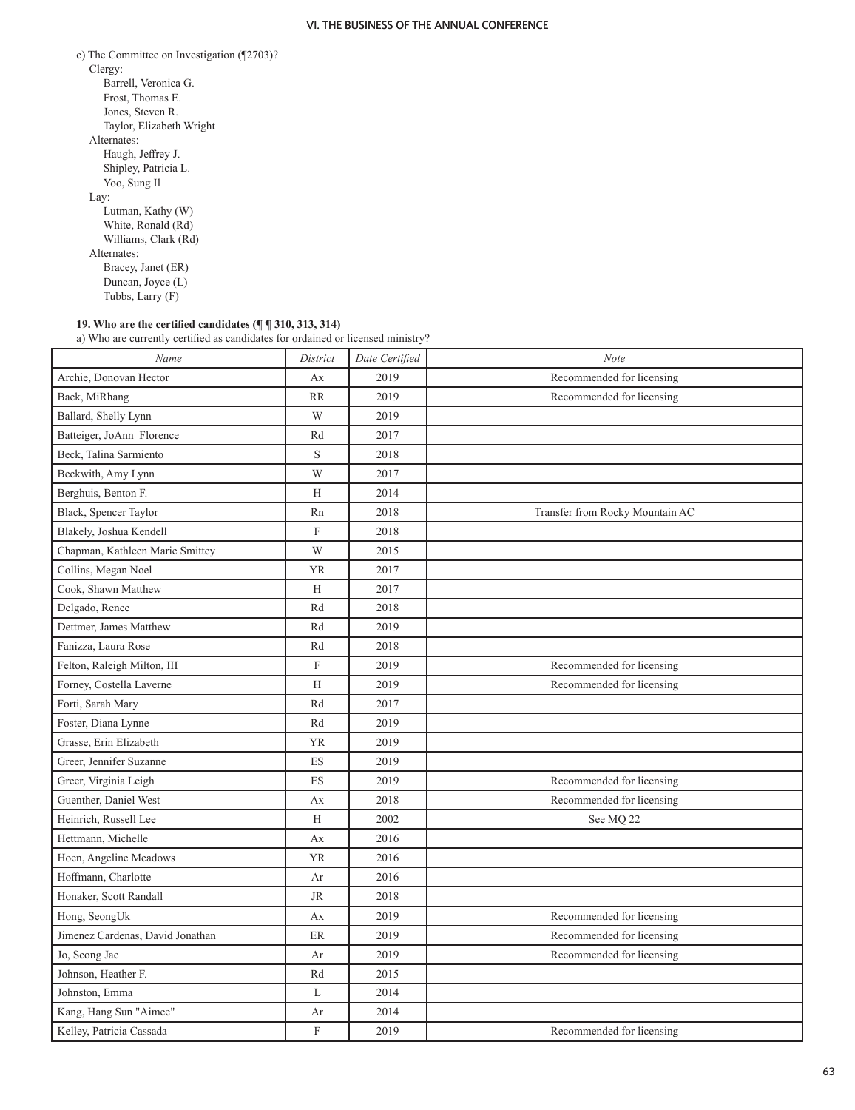| c) The Committee on Investigation $(\sqrt{2703})$ ? |
|-----------------------------------------------------|
| Clergy:                                             |
| Barrell, Veronica G.                                |
| Frost, Thomas E.                                    |
| Jones, Steven R.                                    |
| Taylor, Elizabeth Wright                            |
| Alternates:                                         |
| Haugh, Jeffrey J.                                   |
| Shipley, Patricia L.                                |
| Yoo, Sung Il                                        |
| Lay:                                                |
| Lutman, Kathy (W)                                   |
| White, Ronald (Rd)                                  |
| Williams, Clark (Rd)                                |
| Alternates:                                         |
| Bracey, Janet (ER)                                  |
| Duncan, Joyce (L)                                   |
| Tubbs, Larry (F)                                    |

#### **19. Who are the certified candidates (¶ ¶ 310, 313, 314)**

 a) Who are currently certified as candidates for ordained or licensed ministry?

| Name                             | District       | Date Certified | Note                            |  |
|----------------------------------|----------------|----------------|---------------------------------|--|
| Archie, Donovan Hector           | Ax             | 2019           | Recommended for licensing       |  |
| Baek, MiRhang                    | <b>RR</b>      | 2019           | Recommended for licensing       |  |
| Ballard, Shelly Lynn             | W              | 2019           |                                 |  |
| Batteiger, JoAnn Florence        | Rd             | 2017           |                                 |  |
| Beck, Talina Sarmiento           | $\mathbf S$    | 2018           |                                 |  |
| Beckwith, Amy Lynn               | W              | 2017           |                                 |  |
| Berghuis, Benton F.              | H              | 2014           |                                 |  |
| Black, Spencer Taylor            | Rn             | 2018           | Transfer from Rocky Mountain AC |  |
| Blakely, Joshua Kendell          | $\overline{F}$ | 2018           |                                 |  |
| Chapman, Kathleen Marie Smittey  | W              | 2015           |                                 |  |
| Collins, Megan Noel              | <b>YR</b>      | 2017           |                                 |  |
| Cook, Shawn Matthew              | H              | 2017           |                                 |  |
| Delgado, Renee                   | Rd             | 2018           |                                 |  |
| Dettmer, James Matthew           | Rd             | 2019           |                                 |  |
| Fanizza, Laura Rose              | Rd             | 2018           |                                 |  |
| Felton, Raleigh Milton, III      | $\mathbf F$    | 2019           | Recommended for licensing       |  |
| Forney, Costella Laverne         | H              | 2019           | Recommended for licensing       |  |
| Forti, Sarah Mary                | Rd             | 2017           |                                 |  |
| Foster, Diana Lynne              | Rd             | 2019           |                                 |  |
| Grasse, Erin Elizabeth           | <b>YR</b>      | 2019           |                                 |  |
| Greer, Jennifer Suzanne          | ES             | 2019           |                                 |  |
| Greer, Virginia Leigh            | ES             | 2019           | Recommended for licensing       |  |
| Guenther, Daniel West            | Ax             | 2018           | Recommended for licensing       |  |
| Heinrich, Russell Lee            | H              | 2002           | See MQ 22                       |  |
| Hettmann, Michelle               | Ax             | 2016           |                                 |  |
| Hoen, Angeline Meadows           | <b>YR</b>      | 2016           |                                 |  |
| Hoffmann, Charlotte              | Ar             | 2016           |                                 |  |
| Honaker, Scott Randall           | <b>JR</b>      | 2018           |                                 |  |
| Hong, SeongUk                    | Ax             | 2019           | Recommended for licensing       |  |
| Jimenez Cardenas, David Jonathan | ER             | 2019           | Recommended for licensing       |  |
| Jo, Seong Jae                    | Ar             | 2019           | Recommended for licensing       |  |
| Johnson, Heather F.              | Rd             | 2015           |                                 |  |
| Johnston, Emma                   | L              | 2014           |                                 |  |
| Kang, Hang Sun "Aimee"           | Ar             | 2014           |                                 |  |
| Kelley, Patricia Cassada         | $\mathbf F$    | 2019           | Recommended for licensing       |  |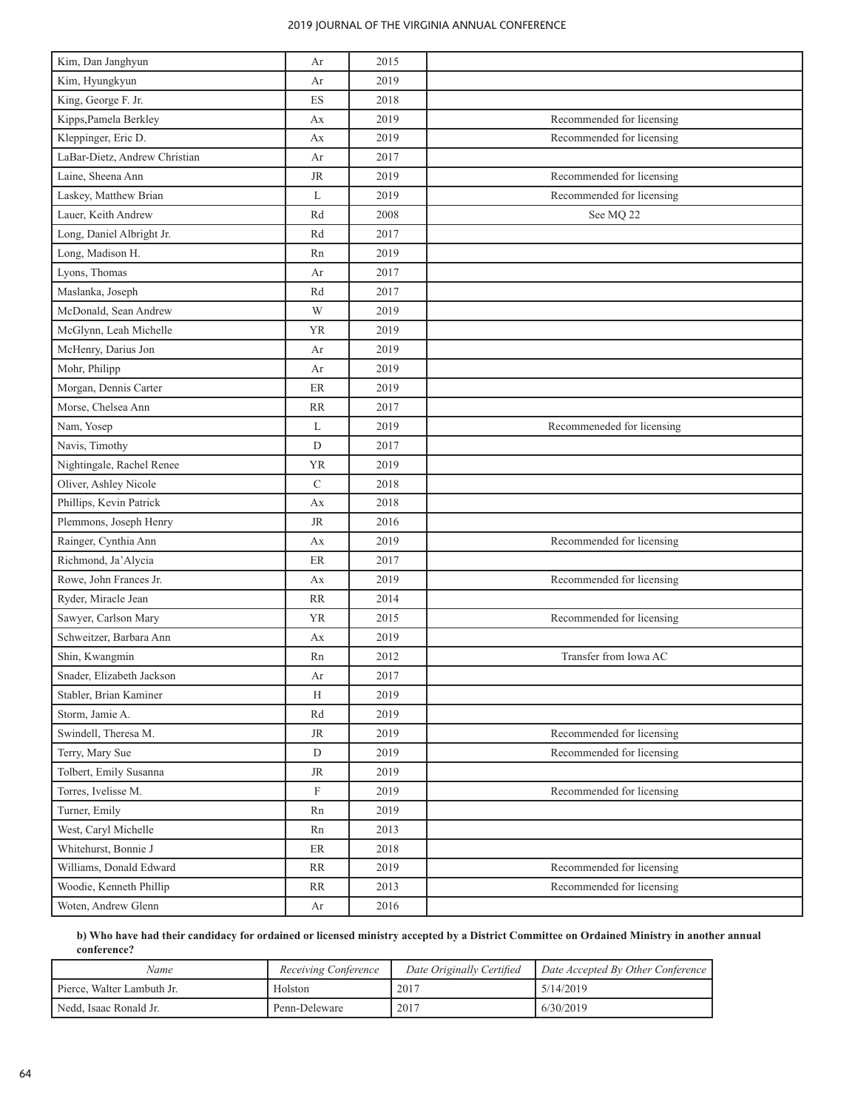| Kim, Dan Janghyun             | Ar          | 2015 |                            |
|-------------------------------|-------------|------|----------------------------|
| Kim, Hyungkyun                | Ar          | 2019 |                            |
| King, George F. Jr.           | ES          | 2018 |                            |
| Kipps, Pamela Berkley         | Ax          | 2019 | Recommended for licensing  |
| Kleppinger, Eric D.           | Ax          | 2019 | Recommended for licensing  |
| LaBar-Dietz, Andrew Christian | Ar          | 2017 |                            |
| Laine, Sheena Ann             | <b>JR</b>   | 2019 | Recommended for licensing  |
| Laskey, Matthew Brian         | L           | 2019 | Recommended for licensing  |
| Lauer, Keith Andrew           | Rd          | 2008 | See MQ 22                  |
| Long, Daniel Albright Jr.     | Rd          | 2017 |                            |
| Long, Madison H.              | Rn          | 2019 |                            |
| Lyons, Thomas                 | Ar          | 2017 |                            |
| Maslanka, Joseph              | Rd          | 2017 |                            |
| McDonald, Sean Andrew         | W           | 2019 |                            |
| McGlynn, Leah Michelle        | <b>YR</b>   | 2019 |                            |
| McHenry, Darius Jon           | Ar          | 2019 |                            |
| Mohr, Philipp                 | Ar          | 2019 |                            |
| Morgan, Dennis Carter         | ER          | 2019 |                            |
| Morse, Chelsea Ann            | <b>RR</b>   | 2017 |                            |
| Nam, Yosep                    | L           | 2019 | Recommeneded for licensing |
| Navis, Timothy                | D           | 2017 |                            |
| Nightingale, Rachel Renee     | <b>YR</b>   | 2019 |                            |
| Oliver, Ashley Nicole         | $\mathbf C$ | 2018 |                            |
| Phillips, Kevin Patrick       | Ax          | 2018 |                            |
| Plemmons, Joseph Henry        | <b>JR</b>   | 2016 |                            |
| Rainger, Cynthia Ann          | Ax          | 2019 | Recommended for licensing  |
| Richmond, Ja'Alycia           | ER          | 2017 |                            |
| Rowe, John Frances Jr.        | Ax          | 2019 | Recommended for licensing  |
| Ryder, Miracle Jean           | <b>RR</b>   | 2014 |                            |
| Sawyer, Carlson Mary          | <b>YR</b>   | 2015 | Recommended for licensing  |
| Schweitzer, Barbara Ann       | Ax          | 2019 |                            |
| Shin, Kwangmin                | Rn          | 2012 | Transfer from Iowa AC      |
| Snader, Elizabeth Jackson     | Ar          | 2017 |                            |
| Stabler, Brian Kaminer        | H           | 2019 |                            |
| Storm, Jamie A.               | Rd          | 2019 |                            |
| Swindell, Theresa M.          | <b>JR</b>   | 2019 | Recommended for licensing  |
| Terry, Mary Sue               | ${\rm D}$   | 2019 | Recommended for licensing  |
| Tolbert, Emily Susanna        | JR          | 2019 |                            |
| Torres, Ivelisse M.           | F           | 2019 | Recommended for licensing  |
| Turner, Emily                 | Rn          | 2019 |                            |
| West, Caryl Michelle          | Rn          | 2013 |                            |
| Whitehurst, Bonnie J          | ER          | 2018 |                            |
| Williams, Donald Edward       | RR          | 2019 | Recommended for licensing  |
| Woodie, Kenneth Phillip       | RR          | 2013 | Recommended for licensing  |
| Woten, Andrew Glenn           | Ar          | 2016 |                            |

**b) Who have had their candidacy for ordained or licensed ministry accepted by a District Committee on Ordained Ministry in another annual conference?**

| Name                       | Receiving Conference | Date Originally Certified | Date Accepted By Other Conference |
|----------------------------|----------------------|---------------------------|-----------------------------------|
| Pierce, Walter Lambuth Jr. | Holston              | 2017                      | 5/14/2019                         |
| Nedd, Isaac Ronald Jr.     | Penn-Deleware        | 2017                      | 6/30/2019                         |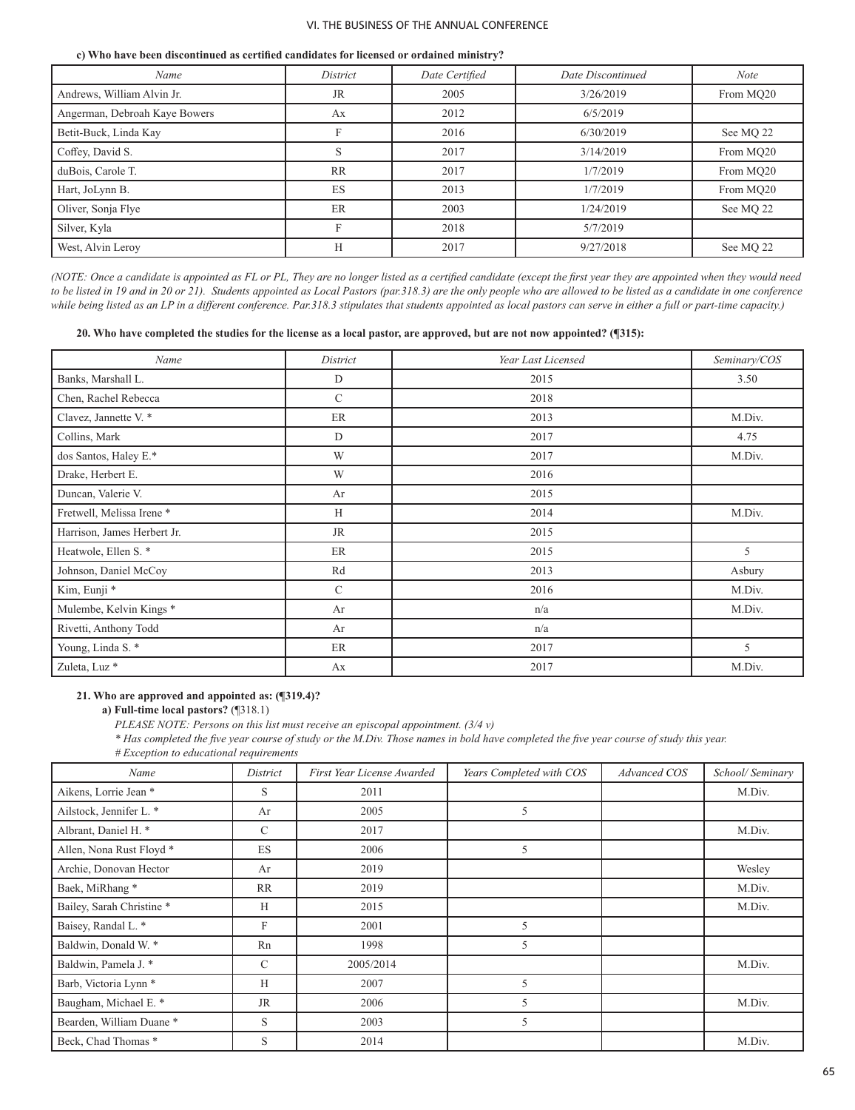#### **c) Who have been discontinued as certified candidates for licensed or ordained ministry?**

| Name                          | District  | Date Certified | Date Discontinued | <b>Note</b> |
|-------------------------------|-----------|----------------|-------------------|-------------|
| Andrews, William Alvin Jr.    | <b>JR</b> | 2005           | 3/26/2019         | From MO20   |
| Angerman, Debroah Kaye Bowers | Ax        | 2012           | 6/5/2019          |             |
| Betit-Buck, Linda Kay         | F         | 2016           | 6/30/2019         | See MQ 22   |
| Coffey, David S.              | S         | 2017           | 3/14/2019         | From MO20   |
| duBois, Carole T.             | <b>RR</b> | 2017           | 1/7/2019          | From MO20   |
| Hart, JoLynn B.               | ES        | 2013           | 1/7/2019          | From MQ20   |
| Oliver, Sonja Flye            | ER        | 2003           | 1/24/2019         | See MO 22   |
| Silver, Kyla                  | F         | 2018           | 5/7/2019          |             |
| West, Alvin Leroy             | H         | 2017           | 9/27/2018         | See MO 22   |

*(NOTE: Once a candidate is appointed as FL or PL, They are no longer listed as a certified candidate (except the first year they are appointed when they would need to be listed in 19 and in 20 or 21). Students appointed as Local Pastors (par.318.3) are the only people who are allowed to be listed as a candidate in one conference while being listed as an LP in a different conference. Par.318.3 stipulates that students appointed as local pastors can serve in either a full or part-time capacity.)*

**20. Who have completed the studies for the license as a local pastor, are approved, but are not now appointed? (¶315):**

| Name                        | District      | Year Last Licensed | Seminary/COS |
|-----------------------------|---------------|--------------------|--------------|
| Banks, Marshall L.          | D             | 2015               | 3.50         |
| Chen, Rachel Rebecca        | $\mathcal{C}$ | 2018               |              |
| Clavez, Jannette V. *       | ER            | 2013               | M.Div.       |
| Collins, Mark               | D             | 2017               | 4.75         |
| dos Santos, Haley E.*       | W             | 2017               | M.Div.       |
| Drake, Herbert E.           | W             | 2016               |              |
| Duncan, Valerie V.          | Ar            | 2015               |              |
| Fretwell, Melissa Irene *   | H             | 2014               | M.Div.       |
| Harrison, James Herbert Jr. | <b>JR</b>     | 2015               |              |
| Heatwole, Ellen S. *        | ER            | 2015               | 5            |
| Johnson, Daniel McCoy       | Rd            | 2013               | Asbury       |
| Kim, Eunji *                | $\mathcal{C}$ | 2016               | M.Div.       |
| Mulembe, Kelvin Kings*      | Ar            | n/a                | M.Div.       |
| Rivetti, Anthony Todd       | Ar            | n/a                |              |
| Young, Linda S.*            | ER            | 2017               | 5            |
| Zuleta, Luz <sup>*</sup>    | Ax            | 2017               | M.Div.       |

#### **21. Who are approved and appointed as: (¶319.4)?**

**a) Full-time local pastors?** (¶318.1)

*PLEASE NOTE: Persons on this list must receive an episcopal appointment. (3/4 v)* 

*\* Has completed the five year course of study or the M.Div. Those names in bold have completed the five year course of study this year.* 

*# Exception to educational requirements* 

| Name                             | District      | First Year License Awarded | Years Completed with COS | Advanced COS | School/Seminary |
|----------------------------------|---------------|----------------------------|--------------------------|--------------|-----------------|
| Aikens, Lorrie Jean *            | S             | 2011                       |                          |              | M.Div.          |
| Ailstock, Jennifer L. *          | Ar            | 2005                       | 5                        |              |                 |
| Albrant, Daniel H. *             | C             | 2017                       |                          |              | M.Div.          |
| Allen, Nona Rust Floyd *         | ES            | 2006                       | 5                        |              |                 |
| Archie, Donovan Hector           | Ar            | 2019                       |                          |              | Wesley          |
| Baek, MiRhang*                   | <b>RR</b>     | 2019                       |                          |              | M.Div.          |
| Bailey, Sarah Christine *        | H             | 2015                       |                          |              | M.Div.          |
| Baisey, Randal L. *              | F             | 2001                       | 5                        |              |                 |
| Baldwin, Donald W. *             | Rn            | 1998                       | 5                        |              |                 |
| Baldwin, Pamela J. *             | $\mathcal{C}$ | 2005/2014                  |                          |              | M.Div.          |
| Barb, Victoria Lynn <sup>*</sup> | H             | 2007                       | 5                        |              |                 |
| Baugham, Michael E. *            | <b>JR</b>     | 2006                       | 5                        |              | M.Div.          |
| Bearden, William Duane*          | S             | 2003                       | 5                        |              |                 |
| Beck, Chad Thomas *              | S             | 2014                       |                          |              | M.Div.          |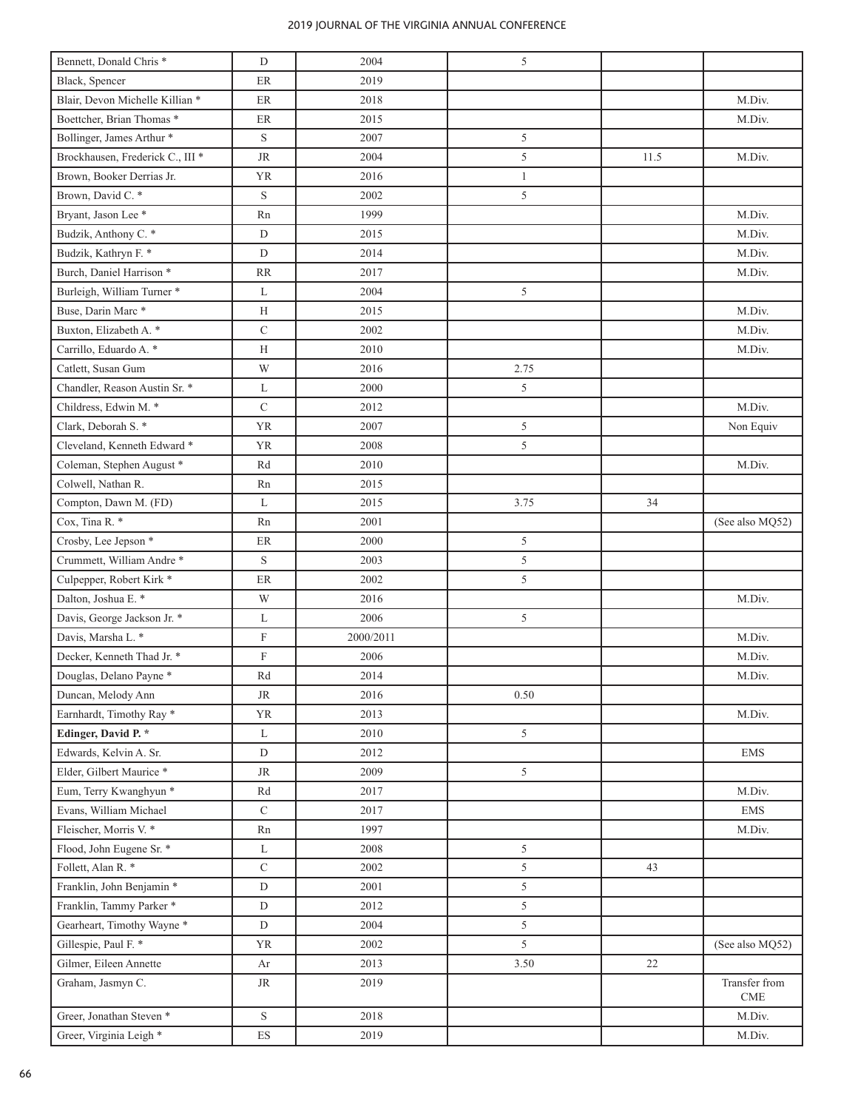| Bennett, Donald Chris <sup>*</sup>          | D                         | 2004      | 5              |      |                                              |
|---------------------------------------------|---------------------------|-----------|----------------|------|----------------------------------------------|
| Black, Spencer                              | ER                        | 2019      |                |      |                                              |
| Blair, Devon Michelle Killian *             | $\rm ER$                  | 2018      |                |      | M.Div.                                       |
| Boettcher, Brian Thomas *                   | ER                        | 2015      |                |      | M.Div.                                       |
| Bollinger, James Arthur *                   | S                         | 2007      | 5              |      |                                              |
| Brockhausen, Frederick C., III <sup>*</sup> | $\rm JR$                  | 2004      | $\sqrt{5}$     | 11.5 | M.Div.                                       |
| Brown, Booker Derrias Jr.                   | <b>YR</b>                 | 2016      | $\mathbf{1}$   |      |                                              |
| Brown, David C. *                           | S                         | 2002      | 5              |      |                                              |
| Bryant, Jason Lee <sup>*</sup>              | Rn                        | 1999      |                |      | M.Div.                                       |
| Budzik, Anthony C. *                        | $\mathbf D$               | 2015      |                |      | M.Div.                                       |
| Budzik, Kathryn F. *                        | $\mathbf D$               | 2014      |                |      | M.Div.                                       |
| Burch, Daniel Harrison <sup>*</sup>         | RR                        | 2017      |                |      | M.Div.                                       |
| Burleigh, William Turner *                  | L                         | 2004      | 5              |      |                                              |
| Buse, Darin Marc*                           | Н                         | 2015      |                |      | M.Div.                                       |
| Buxton, Elizabeth A. *                      | $\mathbf C$               | 2002      |                |      | M.Div.                                       |
| Carrillo, Eduardo A. *                      | Н                         | 2010      |                |      | M.Div.                                       |
| Catlett, Susan Gum                          | W                         | 2016      | 2.75           |      |                                              |
| Chandler, Reason Austin Sr. *               | L                         | 2000      | 5              |      |                                              |
| Childress, Edwin M. *                       | $\mathbf C$               | 2012      |                |      | M.Div.                                       |
| Clark, Deborah S. *                         | <b>YR</b>                 | 2007      | 5              |      | Non Equiv                                    |
| Cleveland, Kenneth Edward *                 | <b>YR</b>                 | 2008      | 5              |      |                                              |
| Coleman, Stephen August *                   | Rd                        | 2010      |                |      | M.Div.                                       |
| Colwell, Nathan R.                          | Rn                        | 2015      |                |      |                                              |
| Compton, Dawn M. (FD)                       | L                         | 2015      | 3.75           | 34   |                                              |
| Cox, Tina R. *                              | Rn                        | 2001      |                |      | (See also MQ52)                              |
| Crosby, Lee Jepson *                        | $\rm ER$                  | 2000      | 5              |      |                                              |
| Crummett, William Andre*                    | S                         | 2003      | 5              |      |                                              |
| Culpepper, Robert Kirk *                    | ER                        | 2002      | 5              |      |                                              |
| Dalton, Joshua E. *                         | W                         | 2016      |                |      | M.Div.                                       |
| Davis, George Jackson Jr. *                 | L                         | 2006      | 5              |      |                                              |
| Davis, Marsha L. *                          | $\boldsymbol{\mathrm{F}}$ | 2000/2011 |                |      | M.Div.                                       |
| Decker, Kenneth Thad Jr. *                  | $\boldsymbol{\mathrm{F}}$ | 2006      |                |      | M.Div.                                       |
| Douglas, Delano Payne*                      | Rd                        | 2014      |                |      | M.Div.                                       |
| Duncan, Melody Ann                          | <b>JR</b>                 | 2016      | 0.50           |      |                                              |
| Earnhardt, Timothy Ray *                    | <b>YR</b>                 | 2013      |                |      | M.Div.                                       |
| Edinger, David P. *                         | L                         | 2010      | 5              |      |                                              |
| Edwards, Kelvin A. Sr.                      | $\mathbf D$               | 2012      |                |      | <b>EMS</b>                                   |
| Elder, Gilbert Maurice *                    | $\rm JR$                  | 2009      | $\mathfrak{S}$ |      |                                              |
| Eum, Terry Kwanghyun *                      | Rd                        | 2017      |                |      | M.Div.                                       |
| Evans, William Michael                      | $\mathbf C$               | 2017      |                |      | <b>EMS</b>                                   |
| Fleischer, Morris V. *                      | Rn                        | 1997      |                |      | M.Div.                                       |
| Flood, John Eugene Sr. *                    | L                         | 2008      | 5              |      |                                              |
| Follett, Alan R. *                          | $\mathbf C$               | 2002      | 5              | 43   |                                              |
| Franklin, John Benjamin *                   | ${\rm D}$                 | 2001      | 5              |      |                                              |
| Franklin, Tammy Parker*                     | $\mathbf D$               | 2012      | 5              |      |                                              |
| Gearheart, Timothy Wayne*                   | $\mathbf D$               | 2004      | 5              |      |                                              |
| Gillespie, Paul F. *                        | YR                        | 2002      | 5              |      | (See also MQ52)                              |
| Gilmer, Eileen Annette                      | Ar                        | 2013      | 3.50           | 22   |                                              |
| Graham, Jasmyn C.                           | <b>JR</b>                 | 2019      |                |      | Transfer from<br>$\ensuremath{\mathrm{CME}}$ |
| Greer, Jonathan Steven <sup>*</sup>         | S                         | 2018      |                |      | M.Div.                                       |
| Greer, Virginia Leigh <sup>*</sup>          | ${\rm ES}$                | 2019      |                |      | M.Div.                                       |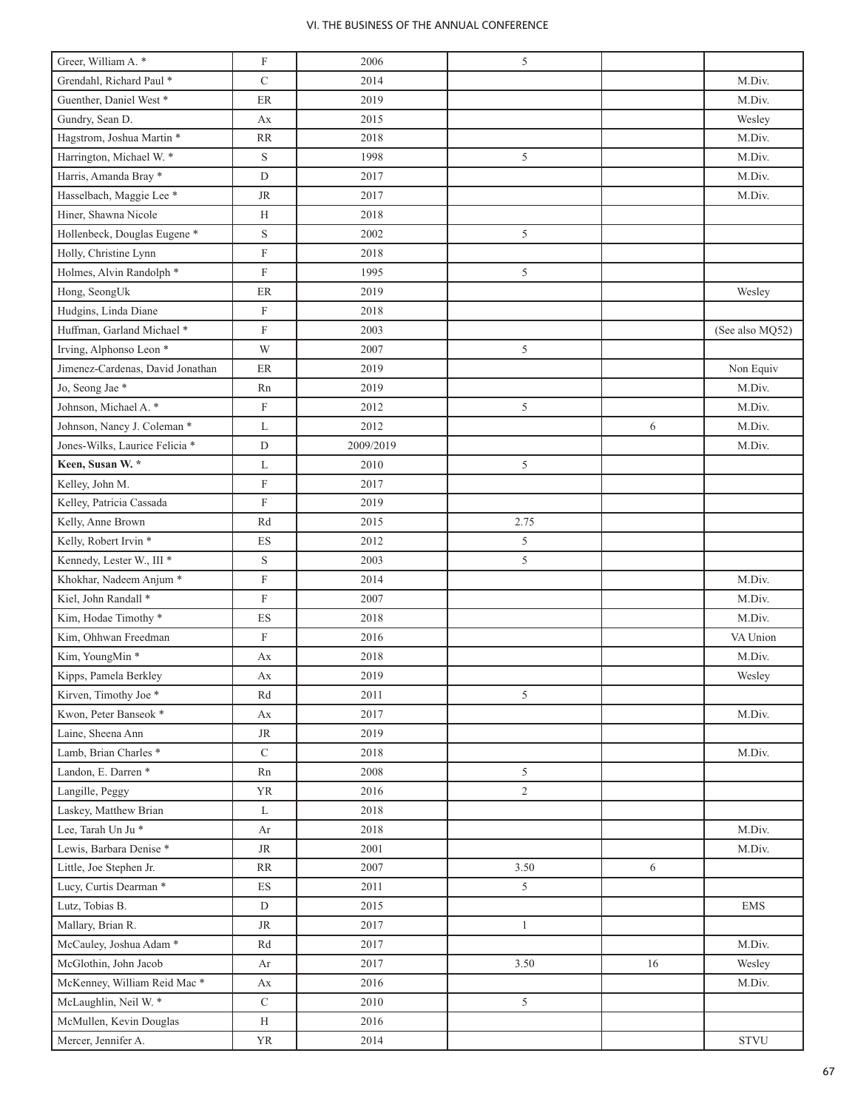| Greer, William A. *                     | $\boldsymbol{\mathrm{F}}$ | 2006      | 5              |    |                 |
|-----------------------------------------|---------------------------|-----------|----------------|----|-----------------|
| Grendahl, Richard Paul *                | $\mathbf C$               | 2014      |                |    | M.Div.          |
| Guenther, Daniel West *                 | ER                        | 2019      |                |    | M.Div.          |
| Gundry, Sean D.                         | Ax                        | 2015      |                |    | Wesley          |
| Hagstrom, Joshua Martin *               | <b>RR</b>                 | 2018      |                |    | M.Div.          |
| Harrington, Michael W. *                | $\mathbf S$               | 1998      | 5              |    | M.Div.          |
| Harris, Amanda Bray *                   | $\mathbf D$               | 2017      |                |    | M.Div.          |
| Hasselbach, Maggie Lee *                | <b>JR</b>                 | 2017      |                |    | M.Div.          |
| Hiner, Shawna Nicole                    | H                         | 2018      |                |    |                 |
| Hollenbeck, Douglas Eugene <sup>*</sup> | $\mathbf S$               | 2002      | 5              |    |                 |
| Holly, Christine Lynn                   | $\boldsymbol{\mathrm{F}}$ | 2018      |                |    |                 |
| Holmes, Alvin Randolph *                | $\boldsymbol{\mathrm{F}}$ | 1995      | 5              |    |                 |
| Hong, SeongUk                           | $\rm ER$                  | 2019      |                |    | Wesley          |
| Hudgins, Linda Diane                    | $\boldsymbol{\mathrm{F}}$ | 2018      |                |    |                 |
| Huffman, Garland Michael *              | $\boldsymbol{\mathrm{F}}$ | 2003      |                |    | (See also MQ52) |
| Irving, Alphonso Leon <sup>*</sup>      | W                         | 2007      | $\sqrt{5}$     |    |                 |
| Jimenez-Cardenas, David Jonathan        | $\rm ER$                  | 2019      |                |    | Non Equiv       |
| Jo, Seong Jae <sup>*</sup>              | Rn                        | 2019      |                |    | M.Div.          |
| Johnson, Michael A. *                   | $\boldsymbol{\mathrm{F}}$ | 2012      | 5              |    | M.Div.          |
| Johnson, Nancy J. Coleman *             | L                         | 2012      |                | 6  | M.Div.          |
| Jones-Wilks, Laurice Felicia *          | D                         | 2009/2019 |                |    | M.Div.          |
| Keen, Susan W. *                        | L                         | 2010      | 5              |    |                 |
| Kelley, John M.                         | $\boldsymbol{\mathrm{F}}$ | 2017      |                |    |                 |
| Kelley, Patricia Cassada                | $\boldsymbol{\mathrm{F}}$ | 2019      |                |    |                 |
| Kelly, Anne Brown                       | Rd                        | 2015      | 2.75           |    |                 |
| Kelly, Robert Irvin *                   | ES                        | 2012      | $\sqrt{5}$     |    |                 |
| Kennedy, Lester W., III *               | $\mathbf S$               | 2003      | 5              |    |                 |
| Khokhar, Nadeem Anjum *                 | $\boldsymbol{\mathrm{F}}$ | 2014      |                |    | M.Div.          |
| Kiel, John Randall *                    | $\boldsymbol{\mathrm{F}}$ | 2007      |                |    | M.Div.          |
| Kim, Hodae Timothy *                    | $\mathop{\hbox{\rm ES}}$  | 2018      |                |    | M.Div.          |
| Kim, Ohhwan Freedman                    | $\boldsymbol{\mathrm{F}}$ | 2016      |                |    | VA Union        |
| Kim, YoungMin*                          | Ax                        | 2018      |                |    | M.Div.          |
| Kipps, Pamela Berkley                   | Ax                        | 2019      |                |    | Wesley          |
| Kirven, Timothy Joe *                   | Rd                        | 2011      | 5              |    |                 |
| Kwon, Peter Banseok *                   | Ax                        | 2017      |                |    | M.Div.          |
| Laine, Sheena Ann                       | JR                        | 2019      |                |    |                 |
| Lamb, Brian Charles <sup>*</sup>        | $\mathbf C$               | 2018      |                |    | M.Div.          |
| Landon, E. Darren *                     | Rn                        | 2008      | 5              |    |                 |
| Langille, Peggy                         | YR                        | 2016      | $\overline{2}$ |    |                 |
| Laskey, Matthew Brian                   | L                         | 2018      |                |    |                 |
| Lee, Tarah Un Ju*                       | Ar                        | 2018      |                |    | M.Div.          |
| Lewis, Barbara Denise*                  | $\rm JR$                  | 2001      |                |    | M.Div.          |
| Little, Joe Stephen Jr.                 | RR                        | 2007      | 3.50           | 6  |                 |
| Lucy, Curtis Dearman*                   | $\mathop{\hbox{\rm ES}}$  | 2011      | 5 <sup>5</sup> |    |                 |
| Lutz, Tobias B.                         | $\mathbf D$               | 2015      |                |    | <b>EMS</b>      |
| Mallary, Brian R.                       | $\rm JR$                  | 2017      | $\mathbf{1}$   |    |                 |
| McCauley, Joshua Adam <sup>*</sup>      | Rd                        | 2017      |                |    | M.Div.          |
| McGlothin, John Jacob                   | Ar                        | 2017      | 3.50           | 16 | Wesley          |
| McKenney, William Reid Mac*             | Аx                        | 2016      |                |    | M.Div.          |
| McLaughlin, Neil W. *                   | $\mathbf C$               | 2010      | 5              |    |                 |
| McMullen, Kevin Douglas                 | H                         | 2016      |                |    |                 |
| Mercer, Jennifer A.                     | YR                        | 2014      |                |    | <b>STVU</b>     |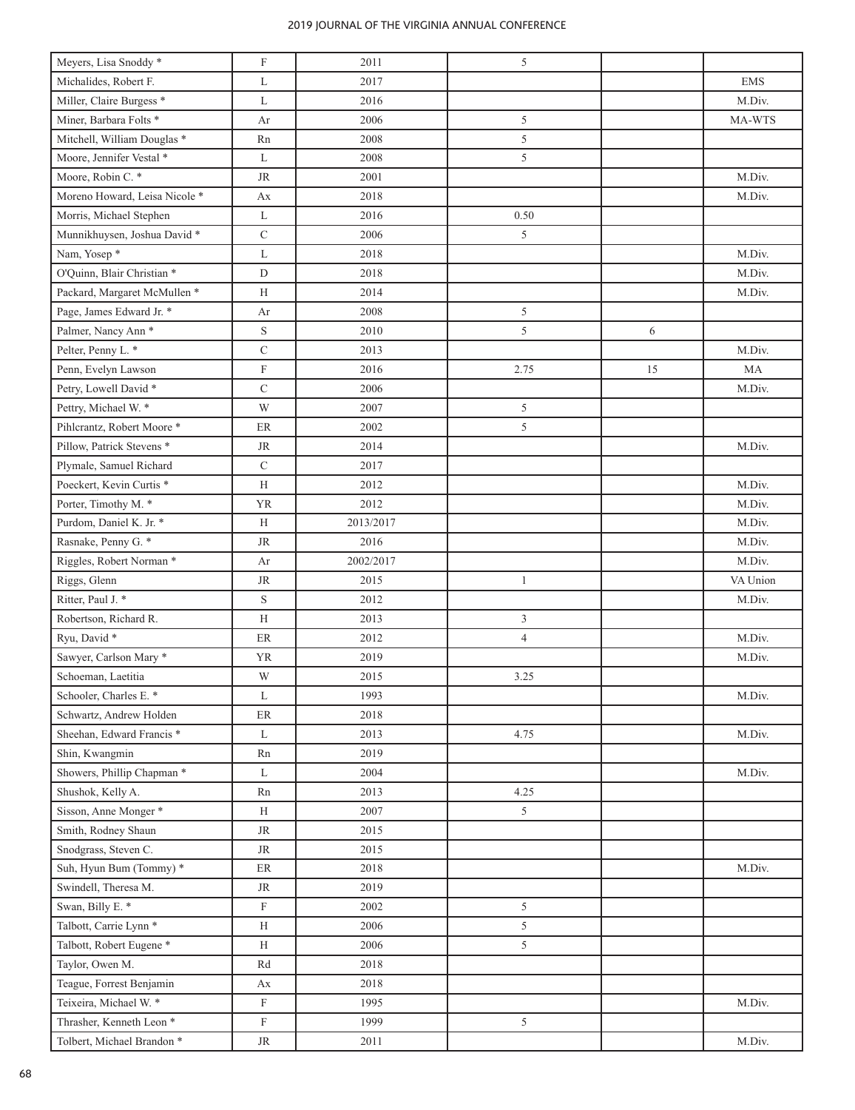| Meyers, Lisa Snoddy*                 | $\boldsymbol{\mathrm{F}}$ | 2011      | 5              |    |            |
|--------------------------------------|---------------------------|-----------|----------------|----|------------|
| Michalides, Robert F.                | L                         | 2017      |                |    | <b>EMS</b> |
| Miller, Claire Burgess <sup>*</sup>  | L                         | 2016      |                |    | M.Div.     |
| Miner, Barbara Folts <sup>*</sup>    | Ar                        | 2006      | 5              |    | MA-WTS     |
| Mitchell, William Douglas *          | Rn                        | 2008      | 5              |    |            |
| Moore, Jennifer Vestal *             | L                         | 2008      | 5              |    |            |
| Moore, Robin C. *                    | $\rm JR$                  | 2001      |                |    | M.Div.     |
| Moreno Howard, Leisa Nicole *        | Ax                        | 2018      |                |    | M.Div.     |
| Morris, Michael Stephen              | L                         | 2016      | 0.50           |    |            |
| Munnikhuysen, Joshua David *         | $\mathbf C$               | 2006      | 5              |    |            |
| Nam, Yosep*                          | L                         | 2018      |                |    | M.Div.     |
| O'Quinn, Blair Christian *           | D                         | 2018      |                |    | M.Div.     |
| Packard, Margaret McMullen *         | Н                         | 2014      |                |    | M.Div.     |
| Page, James Edward Jr. *             | Ar                        | 2008      | 5              |    |            |
| Palmer, Nancy Ann <sup>*</sup>       | $\mathbf S$               | 2010      | 5              | 6  |            |
| Pelter, Penny L. *                   | $\mathsf{C}$              | 2013      |                |    | M.Div.     |
| Penn, Evelyn Lawson                  | $\boldsymbol{\mathrm{F}}$ | 2016      | 2.75           | 15 | MA         |
| Petry, Lowell David *                | $\mathbf C$               | 2006      |                |    | M.Div.     |
| Pettry, Michael W. *                 | W                         | 2007      | 5              |    |            |
| Pihlcrantz, Robert Moore*            | ER                        | 2002      | 5              |    |            |
| Pillow, Patrick Stevens <sup>*</sup> | <b>JR</b>                 | 2014      |                |    | M.Div.     |
| Plymale, Samuel Richard              | $\mathbf C$               | 2017      |                |    |            |
| Poeckert, Kevin Curtis *             | H                         | 2012      |                |    | M.Div.     |
| Porter, Timothy M. *                 | <b>YR</b>                 | 2012      |                |    | M.Div.     |
| Purdom, Daniel K. Jr. *              | Н                         | 2013/2017 |                |    | M.Div.     |
| Rasnake, Penny G. *                  | $\rm JR$                  | 2016      |                |    | M.Div.     |
| Riggles, Robert Norman*              | Ar                        | 2002/2017 |                |    | M.Div.     |
| Riggs, Glenn                         | <b>JR</b>                 | 2015      | $\mathbf{1}$   |    | VA Union   |
| Ritter, Paul J. *                    | $\mathbf S$               | 2012      |                |    | M.Div.     |
| Robertson, Richard R.                | H                         | 2013      | $\mathfrak{Z}$ |    |            |
| Ryu, David *                         | $\rm ER$                  | 2012      | $\overline{4}$ |    | M.Div.     |
| Sawyer, Carlson Mary *               | <b>YR</b>                 | 2019      |                |    | M.Div.     |
| Schoeman, Laetitia                   | W                         | 2015      | 3.25           |    |            |
| Schooler, Charles E. *               | L                         | 1993      |                |    | M.Div.     |
| Schwartz, Andrew Holden              | $\rm ER$                  | 2018      |                |    |            |
| Sheehan, Edward Francis <sup>*</sup> | L                         | 2013      | 4.75           |    | M.Div.     |
| Shin, Kwangmin                       | Rn                        | 2019      |                |    |            |
| Showers, Phillip Chapman *           | L                         | 2004      |                |    | M.Div.     |
| Shushok, Kelly A.                    | Rn                        | 2013      | 4.25           |    |            |
| Sisson, Anne Monger*                 | H                         | 2007      | 5              |    |            |
| Smith, Rodney Shaun                  | <b>JR</b>                 | 2015      |                |    |            |
| Snodgrass, Steven C.                 | <b>JR</b>                 | 2015      |                |    |            |
| Suh, Hyun Bum (Tommy) *              | ${\rm ER}$                | 2018      |                |    | M.Div.     |
| Swindell, Theresa M.                 | <b>JR</b>                 | 2019      |                |    |            |
| Swan, Billy E. *                     | F                         | 2002      | 5              |    |            |
| Talbott, Carrie Lynn <sup>*</sup>    | H                         | 2006      | 5              |    |            |
| Talbott, Robert Eugene <sup>*</sup>  | H                         | 2006      | 5              |    |            |
| Taylor, Owen M.                      | Rd                        | 2018      |                |    |            |
| Teague, Forrest Benjamin             | Ax                        | 2018      |                |    |            |
| Teixeira, Michael W. *               | $\boldsymbol{\mathrm{F}}$ | 1995      |                |    | M.Div.     |
| Thrasher, Kenneth Leon <sup>*</sup>  | $\boldsymbol{\mathrm{F}}$ | 1999      | 5              |    |            |
|                                      |                           |           |                |    |            |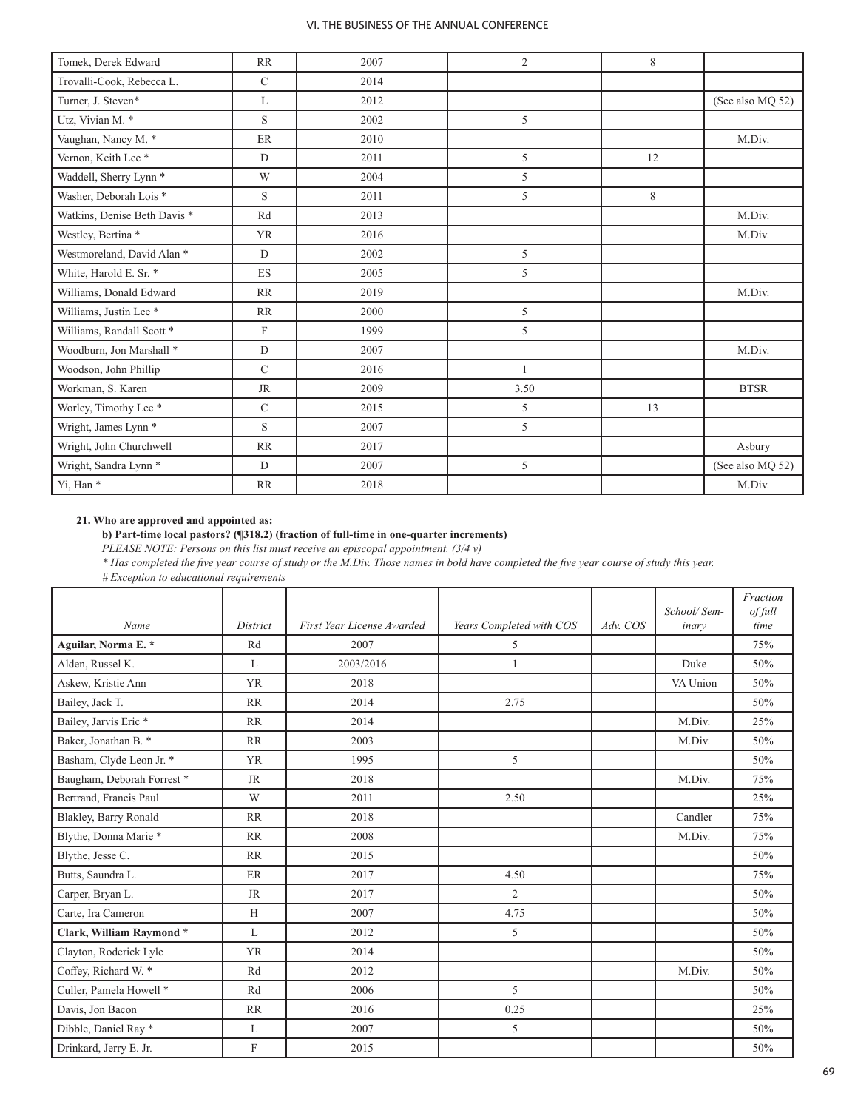| Tomek, Derek Edward               | RR                        | 2007 | $\overline{2}$ | 8           |                  |
|-----------------------------------|---------------------------|------|----------------|-------------|------------------|
| Trovalli-Cook, Rebecca L.         | $\mathbf C$               | 2014 |                |             |                  |
| Turner, J. Steven*                | L                         | 2012 |                |             | (See also MQ 52) |
| Utz, Vivian M. *                  | S                         | 2002 | 5              |             |                  |
| Vaughan, Nancy M. *               | ER                        | 2010 |                |             | M.Div.           |
| Vernon, Keith Lee *               | D                         | 2011 | 5              | 12          |                  |
| Waddell, Sherry Lynn <sup>*</sup> | W                         | 2004 | 5              |             |                  |
| Washer, Deborah Lois <sup>*</sup> | S                         | 2011 | 5              | $\,$ 8 $\,$ |                  |
| Watkins, Denise Beth Davis *      | Rd                        | 2013 |                |             | M.Div.           |
| Westley, Bertina*                 | <b>YR</b>                 | 2016 |                |             | M.Div.           |
| Westmoreland, David Alan *        | D                         | 2002 | 5              |             |                  |
| White, Harold E. Sr. *            | ES                        | 2005 | 5              |             |                  |
| Williams, Donald Edward           | <b>RR</b>                 | 2019 |                |             | M.Div.           |
| Williams, Justin Lee *            | RR                        | 2000 | 5              |             |                  |
| Williams, Randall Scott *         | $\boldsymbol{\mathrm{F}}$ | 1999 | 5              |             |                  |
| Woodburn, Jon Marshall *          | D                         | 2007 |                |             | M.Div.           |
| Woodson, John Phillip             | $\mathbf C$               | 2016 | $\mathbf{1}$   |             |                  |
| Workman, S. Karen                 | <b>JR</b>                 | 2009 | 3.50           |             | <b>BTSR</b>      |
| Worley, Timothy Lee <sup>*</sup>  | $\mathbf C$               | 2015 | 5              | 13          |                  |
| Wright, James Lynn <sup>*</sup>   | S                         | 2007 | 5              |             |                  |
| Wright, John Churchwell           | RR                        | 2017 |                |             | Asbury           |
| Wright, Sandra Lynn <sup>*</sup>  | D                         | 2007 | 5              |             | (See also MQ 52) |
| Yi, Han*                          | <b>RR</b>                 | 2018 |                |             | M.Div.           |

# **21. Who are approved and appointed as:**

# **b) Part-time local pastors? (¶318.2) (fraction of full-time in one-quarter increments)**

*PLEASE NOTE: Persons on this list must receive an episcopal appointment. (3/4 v)* 

*\* Has completed the five year course of study or the M.Div. Those names in bold have completed the five year course of study this year.* 

*# Exception to educational requirements* 

|                                  |                 |                            |                          |          | School/Sem- | Fraction<br>of full |
|----------------------------------|-----------------|----------------------------|--------------------------|----------|-------------|---------------------|
| Name                             | <i>District</i> | First Year License Awarded | Years Completed with COS | Adv. COS | inary       | time                |
| Aguilar, Norma E.*               | Rd              | 2007                       | 5                        |          |             | 75%                 |
| Alden, Russel K.                 | L               | 2003/2016                  | $\mathbf{1}$             |          | Duke        | 50%                 |
| Askew, Kristie Ann               | <b>YR</b>       | 2018                       |                          |          | VA Union    | 50%                 |
| Bailey, Jack T.                  | RR              | 2014                       | 2.75                     |          |             | 50%                 |
| Bailey, Jarvis Eric <sup>*</sup> | RR              | 2014                       |                          |          | M.Div.      | 25%                 |
| Baker, Jonathan B. *             | <b>RR</b>       | 2003                       |                          |          | M.Div.      | 50%                 |
| Basham, Clyde Leon Jr. *         | <b>YR</b>       | 1995                       | 5                        |          |             | 50%                 |
| Baugham, Deborah Forrest*        | <b>JR</b>       | 2018                       |                          |          | M.Div.      | 75%                 |
| Bertrand, Francis Paul           | W               | 2011                       | 2.50                     |          |             | 25%                 |
| Blakley, Barry Ronald            | <b>RR</b>       | 2018                       |                          |          | Candler     | 75%                 |
| Blythe, Donna Marie *            | <b>RR</b>       | 2008                       |                          |          | M.Div.      | 75%                 |
| Blythe, Jesse C.                 | <b>RR</b>       | 2015                       |                          |          |             | 50%                 |
| Butts, Saundra L.                | ER              | 2017                       | 4.50                     |          |             | 75%                 |
| Carper, Bryan L.                 | <b>JR</b>       | 2017                       | $\overline{2}$           |          |             | 50%                 |
| Carte, Ira Cameron               | H               | 2007                       | 4.75                     |          |             | 50%                 |
| Clark, William Raymond*          | L               | 2012                       | 5                        |          |             | 50%                 |
| Clayton, Roderick Lyle           | <b>YR</b>       | 2014                       |                          |          |             | 50%                 |
| Coffey, Richard W. *             | Rd              | 2012                       |                          |          | M.Div.      | 50%                 |
| Culler, Pamela Howell *          | Rd              | 2006                       | 5                        |          |             | 50%                 |
| Davis, Jon Bacon                 | RR              | 2016                       | 0.25                     |          |             | 25%                 |
| Dibble, Daniel Ray *             | L               | 2007                       | 5                        |          |             | 50%                 |
| Drinkard, Jerry E. Jr.           | $\mathbf F$     | 2015                       |                          |          |             | 50%                 |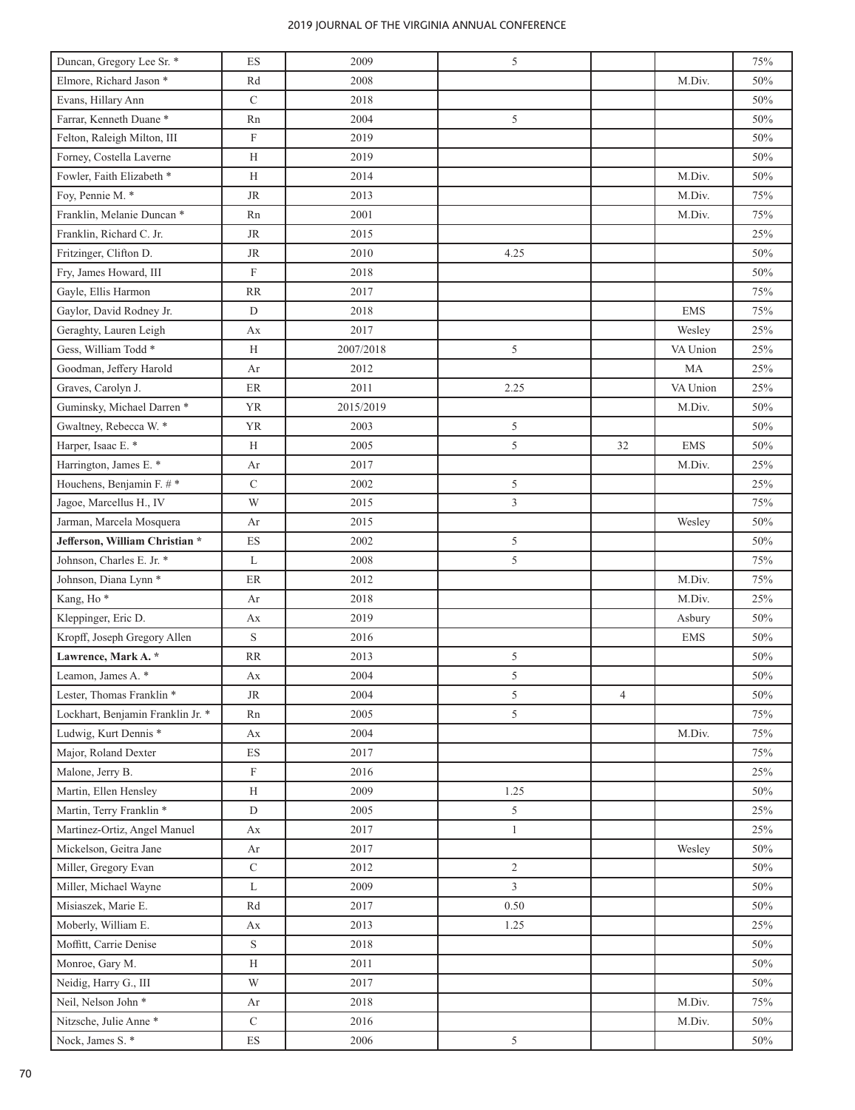| Duncan, Gregory Lee Sr. *            | ES                       | 2009      | 5              |                |            | 75% |
|--------------------------------------|--------------------------|-----------|----------------|----------------|------------|-----|
| Elmore, Richard Jason *              | Rd                       | 2008      |                |                | M.Div.     | 50% |
| Evans, Hillary Ann                   | $\mathbf C$              | 2018      |                |                |            | 50% |
| Farrar, Kenneth Duane*               | Rn                       | 2004      | 5              |                |            | 50% |
| Felton, Raleigh Milton, III          | $\mathbf F$              | 2019      |                |                |            | 50% |
| Forney, Costella Laverne             | H                        | 2019      |                |                |            | 50% |
| Fowler, Faith Elizabeth *            | H                        | 2014      |                |                | M.Div.     | 50% |
| Foy, Pennie M. *                     | <b>JR</b>                | 2013      |                |                | M.Div.     | 75% |
| Franklin, Melanie Duncan *           | Rn                       | 2001      |                |                | M.Div.     | 75% |
| Franklin, Richard C. Jr.             | <b>JR</b>                | 2015      |                |                |            | 25% |
| Fritzinger, Clifton D.               | <b>JR</b>                | 2010      | 4.25           |                |            | 50% |
| Fry, James Howard, III               | $\mathbf F$              | 2018      |                |                |            | 50% |
| Gayle, Ellis Harmon                  | <b>RR</b>                | 2017      |                |                |            | 75% |
| Gaylor, David Rodney Jr.             | D                        | 2018      |                |                | <b>EMS</b> | 75% |
| Geraghty, Lauren Leigh               | Аx                       | 2017      |                |                | Wesley     | 25% |
| Gess, William Todd <sup>*</sup>      | H                        | 2007/2018 | 5              |                | VA Union   | 25% |
| Goodman, Jeffery Harold              | Ar                       | 2012      |                |                | MA         | 25% |
| Graves, Carolyn J.                   | $\rm ER$                 | 2011      | 2.25           |                | VA Union   | 25% |
| Guminsky, Michael Darren *           | <b>YR</b>                | 2015/2019 |                |                | M.Div.     | 50% |
| Gwaltney, Rebecca W. *               | <b>YR</b>                | 2003      | 5              |                |            | 50% |
| Harper, Isaac E. *                   | Н                        | 2005      | 5              | 32             | <b>EMS</b> | 50% |
| Harrington, James E. *               | Ar                       | 2017      |                |                | M.Div.     | 25% |
| Houchens, Benjamin F. #*             | $\mathbf C$              | 2002      | 5              |                |            | 25% |
| Jagoe, Marcellus H., IV              | W                        | 2015      | 3              |                |            | 75% |
| Jarman, Marcela Mosquera             | Ar                       | 2015      |                |                | Wesley     | 50% |
| Jefferson, William Christian *       | ES                       | 2002      | 5              |                |            | 50% |
| Johnson, Charles E. Jr. *            | L                        | 2008      | 5              |                |            | 75% |
| Johnson, Diana Lynn *                | ER                       | 2012      |                |                | M.Div.     | 75% |
| Kang, Ho <sup>*</sup>                | Ar                       | 2018      |                |                | M.Div.     | 25% |
| Kleppinger, Eric D.                  | Аx                       | 2019      |                |                | Asbury     | 50% |
| Kropff, Joseph Gregory Allen         | $\mathbf S$              | 2016      |                |                | <b>EMS</b> | 50% |
| Lawrence, Mark A. *                  | <b>RR</b>                | 2013      | 5              |                |            | 50% |
| Leamon, James A. *                   | Аx                       | 2004      | 5              |                |            | 50% |
| Lester, Thomas Franklin <sup>*</sup> | <b>JR</b>                | 2004      | 5              | $\overline{4}$ |            | 50% |
| Lockhart, Benjamin Franklin Jr. *    | Rn                       | 2005      | 5              |                |            | 75% |
| Ludwig, Kurt Dennis *                | Аx                       | 2004      |                |                | M.Div.     | 75% |
| Major, Roland Dexter                 | ES                       | 2017      |                |                |            | 75% |
| Malone, Jerry B.                     | $\mathbf F$              | 2016      |                |                |            | 25% |
| Martin, Ellen Hensley                | H                        | 2009      | 1.25           |                |            | 50% |
| Martin, Terry Franklin *             | ${\rm D}$                | 2005      | 5              |                |            | 25% |
| Martinez-Ortiz, Angel Manuel         | Аx                       | 2017      | $\mathbf{1}$   |                |            | 25% |
| Mickelson, Geitra Jane               | Ar                       | 2017      |                |                | Wesley     | 50% |
| Miller, Gregory Evan                 | $\mathbf C$              | 2012      | $\overline{c}$ |                |            | 50% |
| Miller, Michael Wayne                | L                        | 2009      | $\overline{3}$ |                |            | 50% |
| Misiaszek, Marie E.                  | Rd                       | 2017      | 0.50           |                |            | 50% |
| Moberly, William E.                  | Аx                       | 2013      | 1.25           |                |            | 25% |
| Moffitt, Carrie Denise               | $\mathbf S$              | 2018      |                |                |            | 50% |
| Monroe, Gary M.                      | H                        | 2011      |                |                |            | 50% |
| Neidig, Harry G., III                | W                        | 2017      |                |                |            | 50% |
| Neil, Nelson John *                  | Ar                       | 2018      |                |                | M.Div.     | 75% |
| Nitzsche, Julie Anne*                | $\mathbf C$              | 2016      |                |                | M.Div.     | 50% |
| Nock, James S. *                     | $\mathop{\hbox{\rm ES}}$ | 2006      | 5              |                |            | 50% |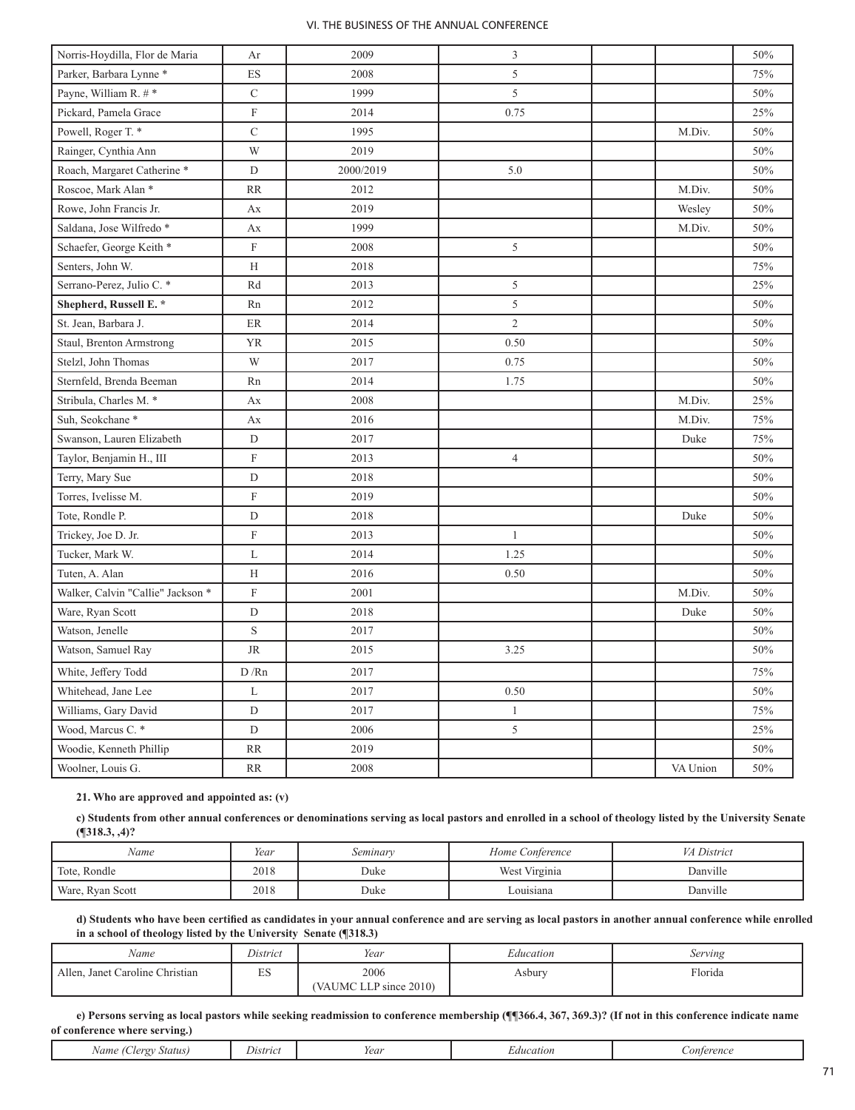| Norris-Hoydilla, Flor de Maria     | Ar                        | 2009      | 3              |          | 50% |
|------------------------------------|---------------------------|-----------|----------------|----------|-----|
| Parker, Barbara Lynne <sup>*</sup> | ES                        | 2008      | 5              |          | 75% |
| Payne, William R. #*               | $\overline{C}$            | 1999      | 5              |          | 50% |
| Pickard, Pamela Grace              | $\boldsymbol{\mathrm{F}}$ | 2014      | 0.75           |          | 25% |
| Powell, Roger T. *                 | $\mathsf{C}$              | 1995      |                | M.Div.   | 50% |
| Rainger, Cynthia Ann               | W                         | 2019      |                |          | 50% |
| Roach, Margaret Catherine *        | D                         | 2000/2019 | 5.0            |          | 50% |
| Roscoe, Mark Alan *                | <b>RR</b>                 | 2012      |                | M.Div.   | 50% |
| Rowe, John Francis Jr.             | Ax                        | 2019      |                | Wesley   | 50% |
| Saldana, Jose Wilfredo *           | Ax                        | 1999      |                | M.Div.   | 50% |
| Schaefer, George Keith *           | $\mathbf F$               | 2008      | 5              |          | 50% |
| Senters, John W.                   | H                         | 2018      |                |          | 75% |
| Serrano-Perez, Julio C. *          | Rd                        | 2013      | 5              |          | 25% |
| Shepherd, Russell E. *             | Rn                        | 2012      | 5              |          | 50% |
| St. Jean, Barbara J.               | ER                        | 2014      | $\overline{c}$ |          | 50% |
| Staul, Brenton Armstrong           | <b>YR</b>                 | 2015      | 0.50           |          | 50% |
| Stelzl, John Thomas                | W                         | 2017      | 0.75           |          | 50% |
| Sternfeld, Brenda Beeman           | Rn                        | 2014      | 1.75           |          | 50% |
| Stribula, Charles M. *             | Ax                        | 2008      |                | M.Div.   | 25% |
| Suh, Seokchane <sup>*</sup>        | Ax                        | 2016      |                | M.Div.   | 75% |
| Swanson, Lauren Elizabeth          | $\mathbf D$               | 2017      |                | Duke     | 75% |
| Taylor, Benjamin H., III           | $\boldsymbol{\mathrm{F}}$ | 2013      | $\overline{4}$ |          | 50% |
| Terry, Mary Sue                    | $\mathbf D$               | 2018      |                |          | 50% |
| Torres, Ivelisse M.                | $\mathbf F$               | 2019      |                |          | 50% |
| Tote, Rondle P.                    | $\mathbf D$               | 2018      |                | Duke     | 50% |
| Trickey, Joe D. Jr.                | $\mathbf F$               | 2013      | $\mathbf{1}$   |          | 50% |
| Tucker, Mark W.                    | L                         | 2014      | 1.25           |          | 50% |
| Tuten, A. Alan                     | H                         | 2016      | 0.50           |          | 50% |
| Walker, Calvin "Callie" Jackson *  | $\mathbf F$               | 2001      |                | M.Div.   | 50% |
| Ware, Ryan Scott                   | $\mathbf D$               | 2018      |                | Duke     | 50% |
| Watson, Jenelle                    | S                         | 2017      |                |          | 50% |
| Watson, Samuel Ray                 | <b>JR</b>                 | 2015      | 3.25           |          | 50% |
| White, Jeffery Todd                | D/Rn                      | 2017      |                |          | 75% |
| Whitehead, Jane Lee                | L                         | 2017      | 0.50           |          | 50% |
| Williams, Gary David               | D                         | 2017      | $\mathbf{1}$   |          | 75% |
| Wood, Marcus C. *                  | D                         | 2006      | 5              |          | 25% |
| Woodie, Kenneth Phillip            | <b>RR</b>                 | 2019      |                |          | 50% |
| Woolner, Louis G.                  | <b>RR</b>                 | 2008      |                | VA Union | 50% |

# **21. Who are approved and appointed as: (v)**

**c) Students from other annual conferences or denominations serving as local pastors and enrolled in a school of theology listed by the University Senate (¶318.3, ,4)?**

| Name             | Year | Seminary | Home Conference | <i>VA District</i> |
|------------------|------|----------|-----------------|--------------------|
| Tote, Rondle     | 2018 | Duke     | West Virginia   | Danville           |
| Ware, Ryan Scott | 2018 | Duke     | ouisiana_       | Danville           |

**d) Students who have been certified as candidates in your annual conference and are serving as local pastors in another annual conference while enrolled in a school of theology listed by the University Senate (¶318.3)**

| Name                            | District              | Year                                  | Education | Serving |
|---------------------------------|-----------------------|---------------------------------------|-----------|---------|
| Allen, Janet Caroline Christian | <b>Service</b><br>دىد | 2006<br>$LLP$ since $2010$<br>(VAUMC) | Asbury    | Florida |

**e) Persons serving as local pastors while seeking readmission to conference membership (¶¶366.4, 367, 369.3)? (If not in this conference indicate name of conference where serving.)**

| $1$ oro<br>Status <sup>'</sup><br>vame<br>. | Jistrici | Year | <i>aucation</i> | onterenc |
|---------------------------------------------|----------|------|-----------------|----------|
|---------------------------------------------|----------|------|-----------------|----------|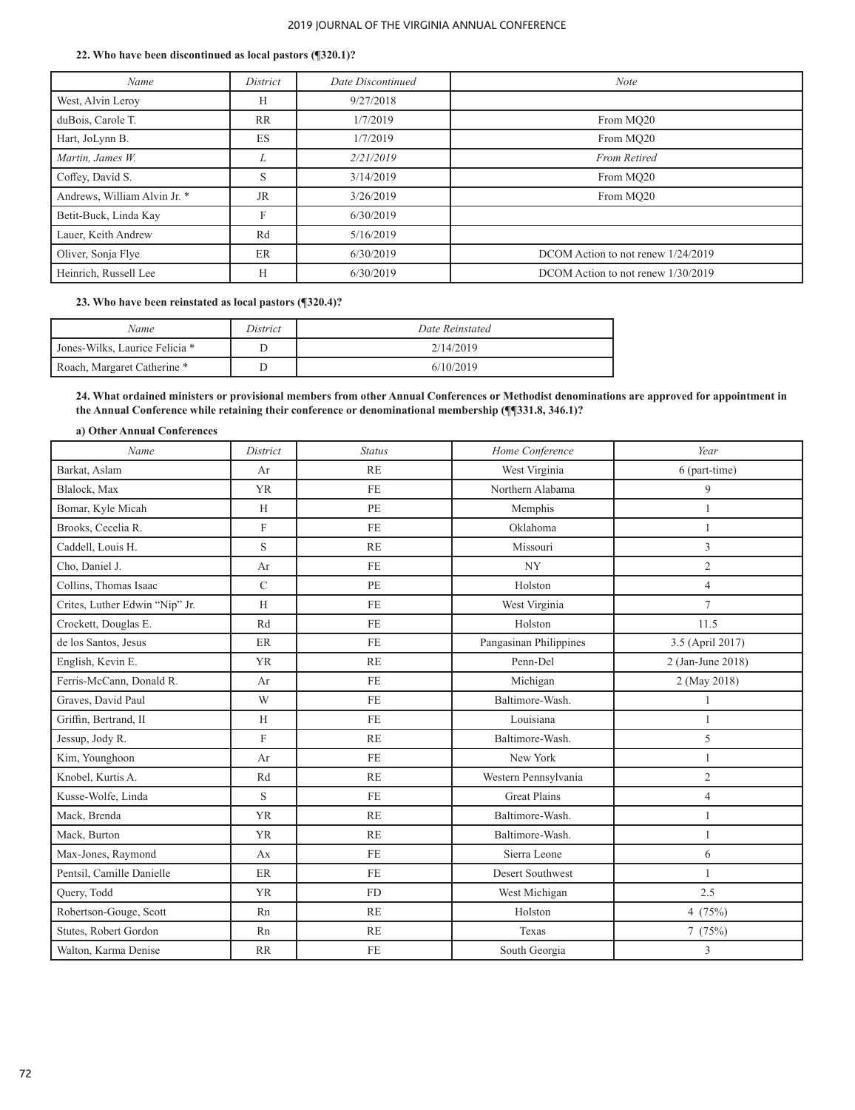#### **22. Who have been discontinued as local pastors (¶320.1)?**

| Name                         | District  | Date Discontinued | <b>Note</b>                        |
|------------------------------|-----------|-------------------|------------------------------------|
| West, Alvin Leroy            | Н         | 9/27/2018         |                                    |
| duBois, Carole T.            | <b>RR</b> | 1/7/2019          | From MO20                          |
| Hart, JoLynn B.              | ES        | 1/7/2019          | From MO20                          |
| Martin, James W.             |           | 2/21/2019         | <b>From Retired</b>                |
| Coffey, David S.             | S         | 3/14/2019         | From MO20                          |
| Andrews, William Alvin Jr. * | <b>JR</b> | 3/26/2019         | From MO20                          |
| Betit-Buck, Linda Kay        | F         | 6/30/2019         |                                    |
| Lauer, Keith Andrew          | Rd        | 5/16/2019         |                                    |
| Oliver, Sonja Flye           | ER        | 6/30/2019         | DCOM Action to not renew 1/24/2019 |
| Heinrich, Russell Lee        | Н         | 6/30/2019         | DCOM Action to not renew 1/30/2019 |

## **23. Who have been reinstated as local pastors (¶320.4)?**

| Name                           | District | Date Reinstated |
|--------------------------------|----------|-----------------|
| Jones-Wilks, Laurice Felicia * |          | 2/14/2019       |
| Roach, Margaret Catherine *    |          | 6/10/2019       |

**24. What ordained ministers or provisional members from other Annual Conferences or Methodist denominations are approved for appointment in the Annual Conference while retaining their conference or denominational membership (¶¶331.8, 346.1)?** 

## **a) Other Annual Conferences**

| Name                           | District                  | <b>Status</b> | Home Conference          | Year              |
|--------------------------------|---------------------------|---------------|--------------------------|-------------------|
| Barkat, Aslam                  | Ar                        | <b>RE</b>     | West Virginia            | 6 (part-time)     |
| Blalock, Max                   | <b>YR</b>                 | <b>FE</b>     | Northern Alabama         | 9                 |
| Bomar, Kyle Micah              | H                         | PE            | Memphis                  |                   |
| Brooks, Cecelia R.             | $\boldsymbol{\mathrm{F}}$ | <b>FE</b>     | Oklahoma                 | $\mathbf{1}$      |
| Caddell, Louis H.              | S                         | RE            | Missouri                 | 3                 |
| Cho, Daniel J.                 | Ar                        | FE            | $\ensuremath{\text{NY}}$ | $\overline{c}$    |
| Collins, Thomas Isaac          | $\mathbf C$               | PE            | Holston                  | $\overline{4}$    |
| Crites, Luther Edwin "Nip" Jr. | H                         | FE            | West Virginia            | $\overline{7}$    |
| Crockett, Douglas E.           | Rd                        | FE            | Holston                  | 11.5              |
| de los Santos, Jesus           | ER                        | <b>FE</b>     | Pangasinan Philippines   | 3.5 (April 2017)  |
| English, Kevin E.              | <b>YR</b>                 | RE            | Penn-Del                 | 2 (Jan-June 2018) |
| Ferris-McCann, Donald R.       | Ar                        | <b>FE</b>     | Michigan                 | 2 (May 2018)      |
| Graves, David Paul             | W                         | <b>FE</b>     | Baltimore-Wash.          | 1                 |
| Griffin, Bertrand, II          | H                         | FE            | Louisiana                | $\mathbf{1}$      |
| Jessup, Jody R.                | F                         | <b>RE</b>     | Baltimore-Wash.          | 5                 |
| Kim, Younghoon                 | Ar                        | FE            | New York                 | $\mathbf{1}$      |
| Knobel, Kurtis A.              | Rd                        | RE            | Western Pennsylvania     | $\overline{c}$    |
| Kusse-Wolfe, Linda             | S                         | FE            | <b>Great Plains</b>      | $\overline{4}$    |
| Mack, Brenda                   | <b>YR</b>                 | RE            | Baltimore-Wash.          | $\mathbf{1}$      |
| Mack, Burton                   | <b>YR</b>                 | RE            | Baltimore-Wash.          | 1                 |
| Max-Jones, Raymond             | Ax                        | <b>FE</b>     | Sierra Leone             | 6                 |
| Pentsil, Camille Danielle      | ER                        | FE            | Desert Southwest         | $\mathbf{1}$      |
| Query, Todd                    | <b>YR</b>                 | <b>FD</b>     | West Michigan            | 2.5               |
| Robertson-Gouge, Scott         | Rn                        | RE            | Holston                  | 4(75%)            |
| Stutes, Robert Gordon          | Rn                        | RE            | Texas                    | 7(75%)            |
| Walton, Karma Denise           | <b>RR</b>                 | FE            | South Georgia            | 3                 |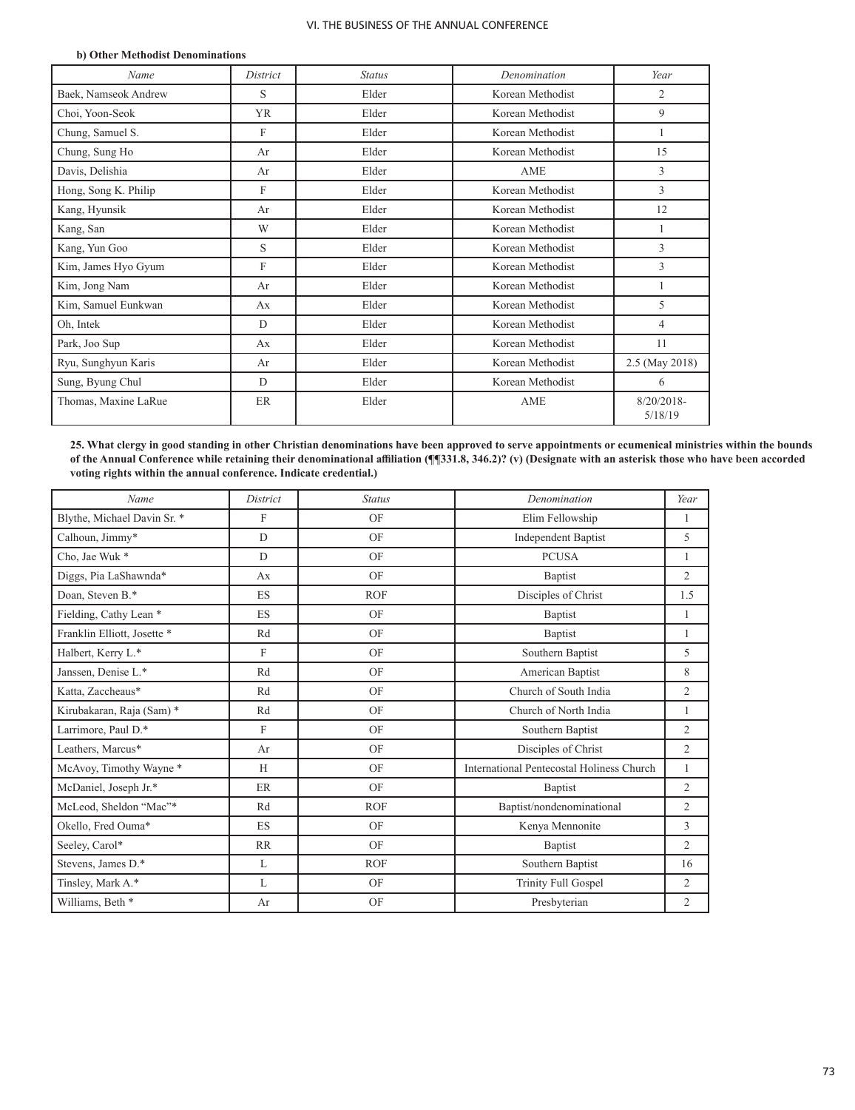#### **b) Other Methodist Denominations**

| Name                 | District  | <b>Status</b> | Denomination     | Year                     |
|----------------------|-----------|---------------|------------------|--------------------------|
| Baek, Namseok Andrew | S         | Elder         | Korean Methodist | $\overline{2}$           |
| Choi, Yoon-Seok      | <b>YR</b> | Elder         | Korean Methodist | 9                        |
| Chung, Samuel S.     | F         | Elder         | Korean Methodist | 1                        |
| Chung, Sung Ho       | Ar        | Elder         | Korean Methodist | 15                       |
| Davis, Delishia      | Ar        | Elder         | AME              | 3                        |
| Hong, Song K. Philip | F         | Elder         | Korean Methodist | 3                        |
| Kang, Hyunsik        | Ar        | Elder         | Korean Methodist | 12                       |
| Kang, San            | W         | Elder         | Korean Methodist |                          |
| Kang, Yun Goo        | S         | Elder         | Korean Methodist | 3                        |
| Kim, James Hyo Gyum  | F         | Elder         | Korean Methodist | 3                        |
| Kim, Jong Nam        | Ar        | Elder         | Korean Methodist |                          |
| Kim, Samuel Eunkwan  | Ax        | Elder         | Korean Methodist | 5                        |
| Oh, Intek            | D         | Elder         | Korean Methodist | $\overline{4}$           |
| Park, Joo Sup        | Ax        | Elder         | Korean Methodist | 11                       |
| Ryu, Sunghyun Karis  | Ar        | Elder         | Korean Methodist | 2.5 (May 2018)           |
| Sung, Byung Chul     | D         | Elder         | Korean Methodist | 6                        |
| Thomas, Maxine LaRue | <b>ER</b> | Elder         | AME              | $8/20/2018$ -<br>5/18/19 |

**25. What clergy in good standing in other Christian denominations have been approved to serve appointments or ecumenical ministries within the bounds of the Annual Conference while retaining their denominational affiliation (¶¶331.8, 346.2)? (v) (Designate with an asterisk those who have been accorded voting rights within the annual conference. Indicate credential.)**

| Name                        | District     | <b>Status</b> | Denomination                              | Year           |
|-----------------------------|--------------|---------------|-------------------------------------------|----------------|
| Blythe, Michael Davin Sr. * | $\mathbf{F}$ | OF            | Elim Fellowship                           | $\mathbf{1}$   |
| Calhoun, Jimmy*             | D            | OF            | <b>Independent Baptist</b>                | 5              |
| Cho, Jae Wuk*               | D            | OF            | <b>PCUSA</b>                              | 1              |
| Diggs, Pia LaShawnda*       | Ax           | OF            | Baptist                                   | $\overline{2}$ |
| Doan, Steven B.*            | <b>ES</b>    | <b>ROF</b>    | Disciples of Christ                       | 1.5            |
| Fielding, Cathy Lean *      | ES           | OF            | Baptist                                   | $\mathbf{1}$   |
| Franklin Elliott, Josette * | Rd           | OF            | Baptist                                   | 1              |
| Halbert, Kerry L.*          | $\mathbf{F}$ | OF            | Southern Baptist                          | 5              |
| Janssen, Denise L.*         | Rd           | OF            | American Baptist                          | 8              |
| Katta, Zaccheaus*           | Rd           | OF            | Church of South India                     | $\overline{2}$ |
| Kirubakaran, Raja (Sam) *   | Rd           | OF            | Church of North India                     | 1              |
| Larrimore, Paul D.*         | F            | OF            | Southern Baptist                          | $\overline{2}$ |
| Leathers, Marcus*           | Ar           | OF            | Disciples of Christ                       | $\overline{2}$ |
| McAvoy, Timothy Wayne *     | H            | OF            | International Pentecostal Holiness Church | 1              |
| McDaniel, Joseph Jr.*       | ER           | OF            | Baptist                                   | $\overline{2}$ |
| McLeod, Sheldon "Mac"*      | Rd           | <b>ROF</b>    | Baptist/nondenominational                 | $\overline{2}$ |
| Okello, Fred Ouma*          | <b>ES</b>    | OF            | Kenya Mennonite                           | 3              |
| Seeley, Carol*              | RR           | OF            | Baptist                                   | $\overline{c}$ |
| Stevens, James D.*          | L            | <b>ROF</b>    | Southern Baptist                          | 16             |
| Tinsley, Mark A.*           | L            | OF            | <b>Trinity Full Gospel</b>                | $\overline{2}$ |
| Williams, Beth *            | Ar           | OF            | Presbyterian                              | 2              |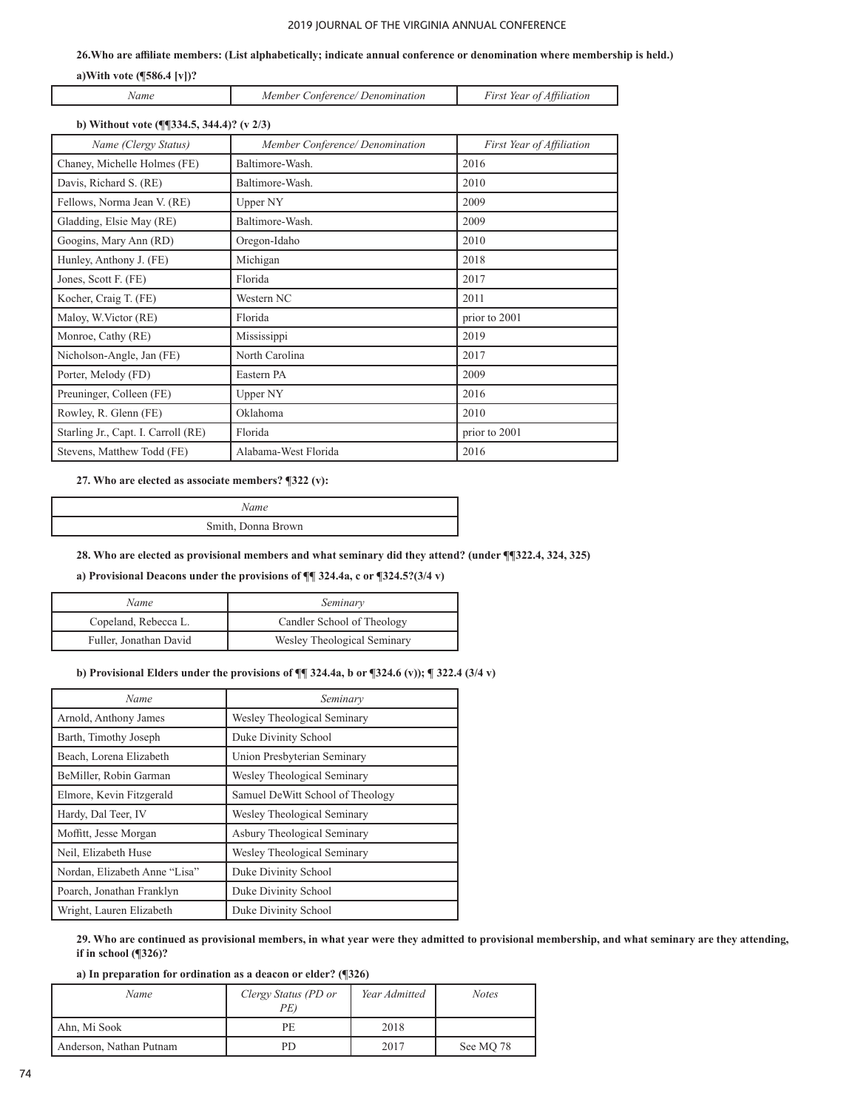**26.Who are affiliate members: (List alphabetically; indicate annual conference or denomination where membership is held.)**

## **a)With vote (¶586.4 [v])?**

Ī

| Vam | <i>onterence</i><br>Member<br>Denomination | First Year of<br>Attiliation |
|-----|--------------------------------------------|------------------------------|

## **b) Without vote (¶¶334.5, 344.4)? (v 2/3)**

| Name (Clergy Status)                | Member Conference/Denomination | First Year of Affiliation |
|-------------------------------------|--------------------------------|---------------------------|
| Chaney, Michelle Holmes (FE)        | Baltimore-Wash.                | 2016                      |
| Davis, Richard S. (RE)              | Baltimore-Wash.                | 2010                      |
| Fellows, Norma Jean V. (RE)         | Upper NY                       | 2009                      |
| Gladding, Elsie May (RE)            | Baltimore-Wash.                | 2009                      |
| Googins, Mary Ann (RD)              | Oregon-Idaho                   | 2010                      |
| Hunley, Anthony J. (FE)             | Michigan                       | 2018                      |
| Jones, Scott F. (FE)                | Florida                        | 2017                      |
| Kocher, Craig T. (FE)               | Western NC                     | 2011                      |
| Maloy, W.Victor (RE)                | Florida                        | prior to 2001             |
| Monroe, Cathy (RE)                  | Mississippi                    | 2019                      |
| Nicholson-Angle, Jan (FE)           | North Carolina                 | 2017                      |
| Porter, Melody (FD)                 | Eastern PA                     | 2009                      |
| Preuninger, Colleen (FE)            | Upper NY                       | 2016                      |
| Rowley, R. Glenn (FE)               | Oklahoma                       | 2010                      |
| Starling Jr., Capt. I. Carroll (RE) | Florida                        | prior to 2001             |
| Stevens, Matthew Todd (FE)          | Alabama-West Florida           | 2016                      |

**27. Who are elected as associate members? ¶322 (v):**

*Name* Smith, Donna Brown

**28. Who are elected as provisional members and what seminary did they attend? (under ¶¶322.4, 324, 325)**

**a) Provisional Deacons under the provisions of ¶¶ 324.4a, c or ¶324.5?(3/4 v)** 

| Name                   | Seminary                    |
|------------------------|-----------------------------|
| Copeland, Rebecca L.   | Candler School of Theology  |
| Fuller, Jonathan David | Wesley Theological Seminary |

#### **b) Provisional Elders under the provisions of ¶¶ 324.4a, b or ¶324.6 (v)); ¶ 322.4 (3/4 v)**

| Name                          | Seminary                         |
|-------------------------------|----------------------------------|
| Arnold, Anthony James         | Wesley Theological Seminary      |
| Barth, Timothy Joseph         | Duke Divinity School             |
| Beach, Lorena Elizabeth       | Union Presbyterian Seminary      |
| BeMiller, Robin Garman        | Wesley Theological Seminary      |
| Elmore, Kevin Fitzgerald      | Samuel DeWitt School of Theology |
| Hardy, Dal Teer, IV           | Wesley Theological Seminary      |
| Moffitt, Jesse Morgan         | Asbury Theological Seminary      |
| Neil, Elizabeth Huse          | Wesley Theological Seminary      |
| Nordan, Elizabeth Anne "Lisa" | Duke Divinity School             |
| Poarch, Jonathan Franklyn     | Duke Divinity School             |
| Wright, Lauren Elizabeth      | Duke Divinity School             |

**29. Who are continued as provisional members, in what year were they admitted to provisional membership, and what seminary are they attending, if in school (¶326)?**

# **a) In preparation for ordination as a deacon or elder? (¶326)**

| Name                    | Clergy Status (PD or<br>PE) | Year Admitted | <b>Notes</b> |
|-------------------------|-----------------------------|---------------|--------------|
| Ahn, Mi Sook            | PE                          | 2018          |              |
| Anderson, Nathan Putnam | PD                          | 2017          | See MO 78    |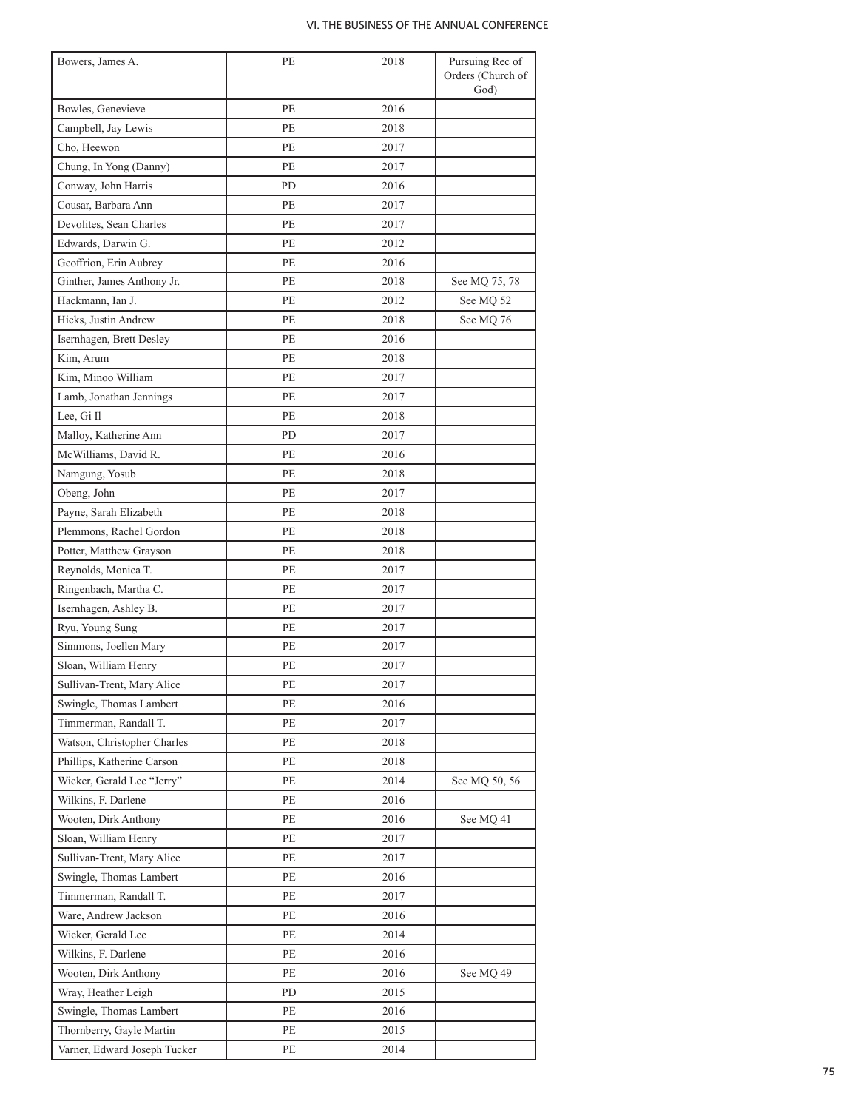| Bowers, James A.             | PE  | 2018 | Pursuing Rec of<br>Orders (Church of<br>God) |
|------------------------------|-----|------|----------------------------------------------|
| Bowles, Genevieve            | PE  | 2016 |                                              |
| Campbell, Jay Lewis          | PE  | 2018 |                                              |
| Cho, Heewon                  | PE  | 2017 |                                              |
|                              | PE  | 2017 |                                              |
| Chung, In Yong (Danny)       | PD  |      |                                              |
| Conway, John Harris          |     | 2016 |                                              |
| Cousar, Barbara Ann          | PE  | 2017 |                                              |
| Devolites, Sean Charles      | PE  | 2017 |                                              |
| Edwards, Darwin G.           | PE  | 2012 |                                              |
| Geoffrion, Erin Aubrey       | PE  | 2016 |                                              |
| Ginther, James Anthony Jr.   | PE  | 2018 | See MQ 75, 78                                |
| Hackmann, Ian J.             | PE  | 2012 | See MQ 52                                    |
| Hicks, Justin Andrew         | PE  | 2018 | See MQ 76                                    |
| Isernhagen, Brett Desley     | PE  | 2016 |                                              |
| Kim, Arum                    | PE  | 2018 |                                              |
| Kim, Minoo William           | PE  | 2017 |                                              |
| Lamb, Jonathan Jennings      | PE  | 2017 |                                              |
| Lee, Gi Il                   | PE  | 2018 |                                              |
| Malloy, Katherine Ann        | PD. | 2017 |                                              |
| McWilliams, David R.         | PE  | 2016 |                                              |
| Namgung, Yosub               | PE  | 2018 |                                              |
| Obeng, John                  | PE  | 2017 |                                              |
| Payne, Sarah Elizabeth       | PE  | 2018 |                                              |
| Plemmons, Rachel Gordon      | РE  | 2018 |                                              |
| Potter, Matthew Grayson      | РE  | 2018 |                                              |
| Reynolds, Monica T.          | РE  | 2017 |                                              |
| Ringenbach, Martha C.        | PE  | 2017 |                                              |
| Isernhagen, Ashley B.        | РE  | 2017 |                                              |
| Ryu, Young Sung              | PE  | 2017 |                                              |
| Simmons, Joellen Mary        | PE  | 2017 |                                              |
| Sloan, William Henry         | РE  | 2017 |                                              |
| Sullivan-Trent, Mary Alice   | PE  | 2017 |                                              |
| Swingle, Thomas Lambert      | PЕ  | 2016 |                                              |
| Timmerman, Randall T.        | PE  | 2017 |                                              |
| Watson, Christopher Charles  | РE  | 2018 |                                              |
| Phillips, Katherine Carson   | PE  | 2018 |                                              |
| Wicker, Gerald Lee "Jerry"   | PE  | 2014 | See MQ 50, 56                                |
| Wilkins, F. Darlene          | PE  | 2016 |                                              |
| Wooten, Dirk Anthony         | РE  | 2016 | See MQ 41                                    |
| Sloan, William Henry         | PE  | 2017 |                                              |
| Sullivan-Trent, Mary Alice   | PE  | 2017 |                                              |
| Swingle, Thomas Lambert      | PE  | 2016 |                                              |
| Timmerman, Randall T.        | PE  | 2017 |                                              |
| Ware, Andrew Jackson         | PE  | 2016 |                                              |
| Wicker, Gerald Lee           | PE  | 2014 |                                              |
| Wilkins, F. Darlene          | РE  | 2016 |                                              |
| Wooten, Dirk Anthony         | РE  | 2016 | See MQ 49                                    |
| Wray, Heather Leigh          | PD  | 2015 |                                              |
| Swingle, Thomas Lambert      | РE  | 2016 |                                              |
|                              |     |      |                                              |
| Thornberry, Gayle Martin     | PE  | 2015 |                                              |
| Varner, Edward Joseph Tucker | PE  | 2014 |                                              |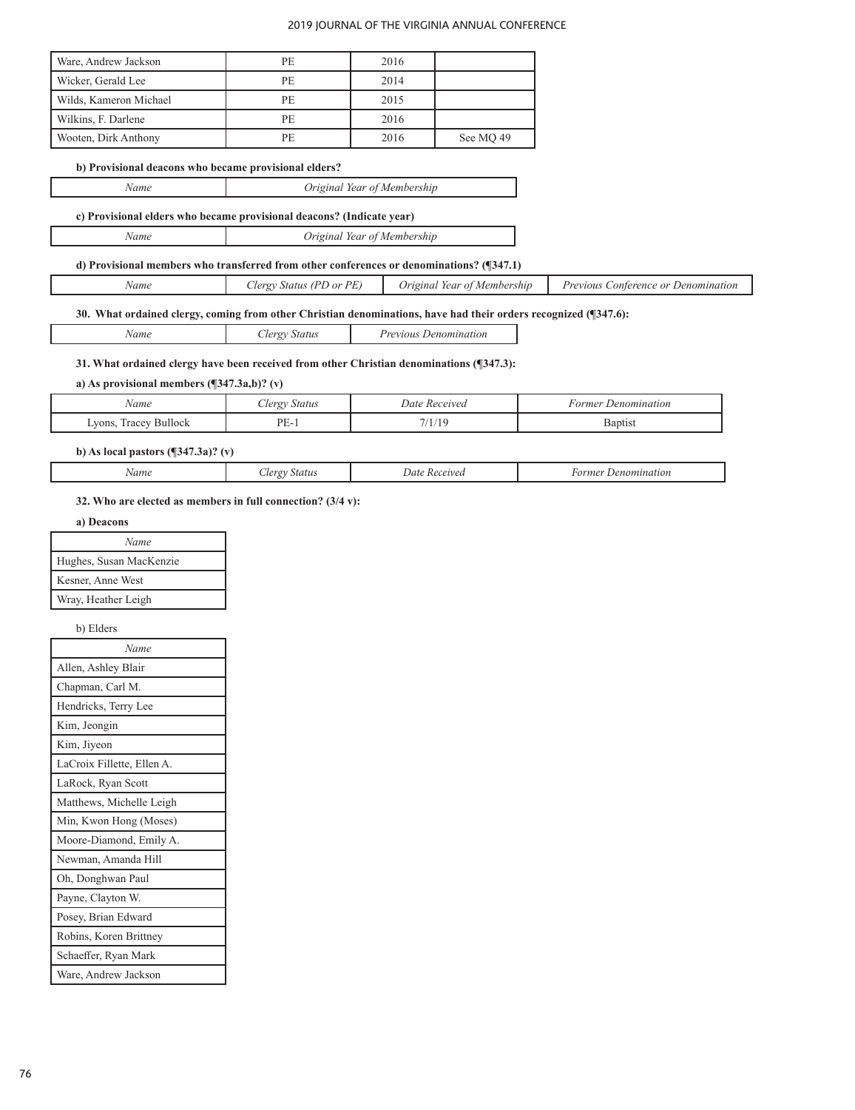| Ware, Andrew Jackson   | PE. | 2016 |           |
|------------------------|-----|------|-----------|
| Wicker, Gerald Lee     | PE. | 2014 |           |
| Wilds, Kameron Michael | PE  | 2015 |           |
| Wilkins, F. Darlene    | PF. | 2016 |           |
| Wooten, Dirk Anthony   | PE. | 2016 | See MO 49 |

## **b) Provisional deacons who became provisional elders?**

| Name | Original Year of Membership |
|------|-----------------------------|
|      |                             |

# **c) Provisional elders who became provisional deacons? (Indicate year)**

#### **d) Provisional members who transferred from other conferences or denominations? (¶347.1)**

| Membership<br>Previous<br>Denomination<br>. onterence or<br>$I$ or<br>lerov.<br>vame<br>. Irigina<br>Year | PE<br>(DT)<br>status<br>$\Delta$ T |
|-----------------------------------------------------------------------------------------------------------|------------------------------------|
|-----------------------------------------------------------------------------------------------------------|------------------------------------|

# **30. What ordained clergy, coming from other Christian denominations, have had their orders recognized (¶347.6):**

| Vame | lergy Status | <i>Previous Denomination</i> |
|------|--------------|------------------------------|
|      |              |                              |

## **31. What ordained clergy have been received from other Christian denominations (¶347.3):**

## **a) As provisional members (¶347.3a,b)? (v)**

| Name                      | <b>Status</b><br>lergy.<br>$\sim$ | Date<br>' Received | Denomination<br>-ormer |
|---------------------------|-----------------------------------|--------------------|------------------------|
| Bullock<br>vons,<br>racey | DF<br>. .                         | 7/1/10             | <b>Baptist</b>         |

# **b) As local pastors (¶347.3a)? (v)**

|  | . | .<br>. | Jat<br>. |  |
|--|---|--------|----------|--|
|--|---|--------|----------|--|

## **32. Who are elected as members in full connection? (3/4 v):**

#### **a) Deacons**

| Name                    |  |
|-------------------------|--|
| Hughes, Susan MacKenzie |  |
| Kesner, Anne West       |  |
| Wray, Heather Leigh     |  |

## b) Elders

| Name                       |
|----------------------------|
| Allen, Ashley Blair        |
| Chapman, Carl M.           |
| Hendricks, Terry Lee       |
| Kim, Jeongin               |
| Kim, Jiyeon                |
| LaCroix Fillette, Ellen A. |
| LaRock, Ryan Scott         |
| Matthews, Michelle Leigh   |
| Min, Kwon Hong (Moses)     |
| Moore-Diamond, Emily A.    |
| Newman, Amanda Hill        |
| Oh, Donghwan Paul          |
| Payne, Clayton W.          |
| Posey, Brian Edward        |
| Robins, Koren Brittney     |
| Schaeffer, Ryan Mark       |
| Ware, Andrew Jackson       |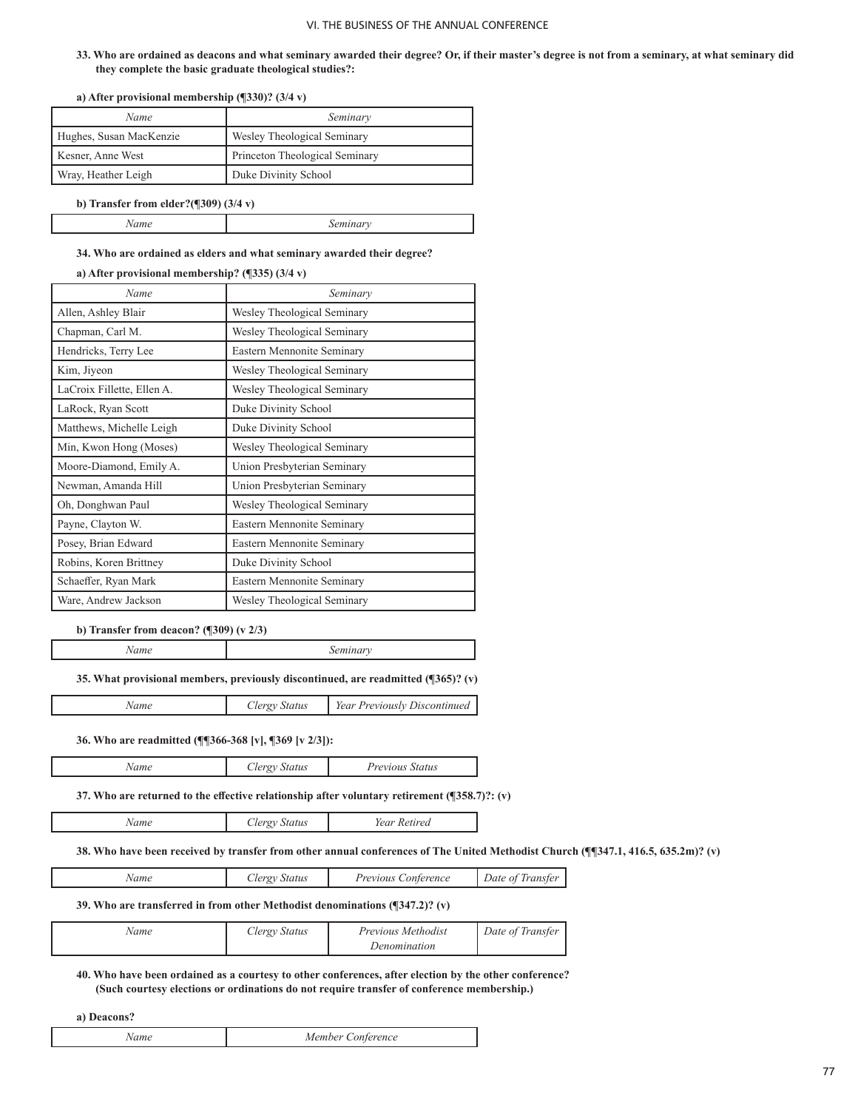**33. Who are ordained as deacons and what seminary awarded their degree? Or, if their master's degree is not from a seminary, at what seminary did they complete the basic graduate theological studies?:**

| a) Article provisional included sinp ( $\beta$ 000). $\beta$ / $\tau$ v) |                                |
|--------------------------------------------------------------------------|--------------------------------|
| Name                                                                     | Seminary                       |
| Hughes, Susan MacKenzie                                                  | Wesley Theological Seminary    |
| Kesner, Anne West                                                        | Princeton Theological Seminary |
| Wray, Heather Leigh                                                      | Duke Divinity School           |

**a) After provisional membership (¶330)? (3/4 v)**

**b) Transfer from elder?(¶309) (3/4 v)**

## **34. Who are ordained as elders and what seminary awarded their degree?**

## **a) After provisional membership? (¶335) (3/4 v)**

| Name                       | Seminary                    |
|----------------------------|-----------------------------|
| Allen, Ashley Blair        | Wesley Theological Seminary |
| Chapman, Carl M.           | Wesley Theological Seminary |
| Hendricks, Terry Lee       | Eastern Mennonite Seminary  |
| Kim, Jiyeon                | Wesley Theological Seminary |
| LaCroix Fillette, Ellen A. | Wesley Theological Seminary |
| LaRock, Ryan Scott         | Duke Divinity School        |
| Matthews, Michelle Leigh   | Duke Divinity School        |
| Min, Kwon Hong (Moses)     | Wesley Theological Seminary |
| Moore-Diamond, Emily A.    | Union Presbyterian Seminary |
| Newman, Amanda Hill        | Union Presbyterian Seminary |
| Oh, Donghwan Paul          | Wesley Theological Seminary |
| Payne, Clayton W.          | Eastern Mennonite Seminary  |
| Posey, Brian Edward        | Eastern Mennonite Seminary  |
| Robins, Koren Brittney     | Duke Divinity School        |
| Schaeffer, Ryan Mark       | Eastern Mennonite Seminary  |
| Ware, Andrew Jackson       | Wesley Theological Seminary |

#### **b) Transfer from deacon? (¶309) (v 2/3)**

*Name Seminary*

**35. What provisional members, previously discontinued, are readmitted (¶365)? (v)**

| Vame | lergy Status | Year Previously Discontinued |
|------|--------------|------------------------------|
|------|--------------|------------------------------|

# **36. Who are readmitted (¶¶366-368 [v], ¶369 [v 2/3]):**

| Name | Clergy Status | <i>Previous Status</i> |
|------|---------------|------------------------|
|      |               |                        |

**37. Who are returned to the effective relationship after voluntary retirement (¶358.7)?: (v)**

| $'$ ame | status<br>ັ | etirea<br>, oar<br>reur |
|---------|-------------|-------------------------|
|         |             |                         |

**38. Who have been received by transfer from other annual conferences of The United Methodist Church (¶¶347.1, 416.5, 635.2m)? (v)**

| Name | <i>loron</i> | Previous          | Date of         |
|------|--------------|-------------------|-----------------|
|      | status       | <i>_onterence</i> | <i>Transter</i> |
|      |              |                   |                 |

# **39. Who are transferred in from other Methodist denominations (¶347.2)? (v)**

| Vame | Clergy Status | <i>Previous Methodist</i> | Date of Transfer |
|------|---------------|---------------------------|------------------|
|      |               | Denomination              |                  |

**40. Who have been ordained as a courtesy to other conferences, after election by the other conference? (Such courtesy elections or ordinations do not require transfer of conference membership.)**

**a) Deacons?**

L

| ference<br>M<br>ገራ<br>$\ldots$ |
|--------------------------------|
|--------------------------------|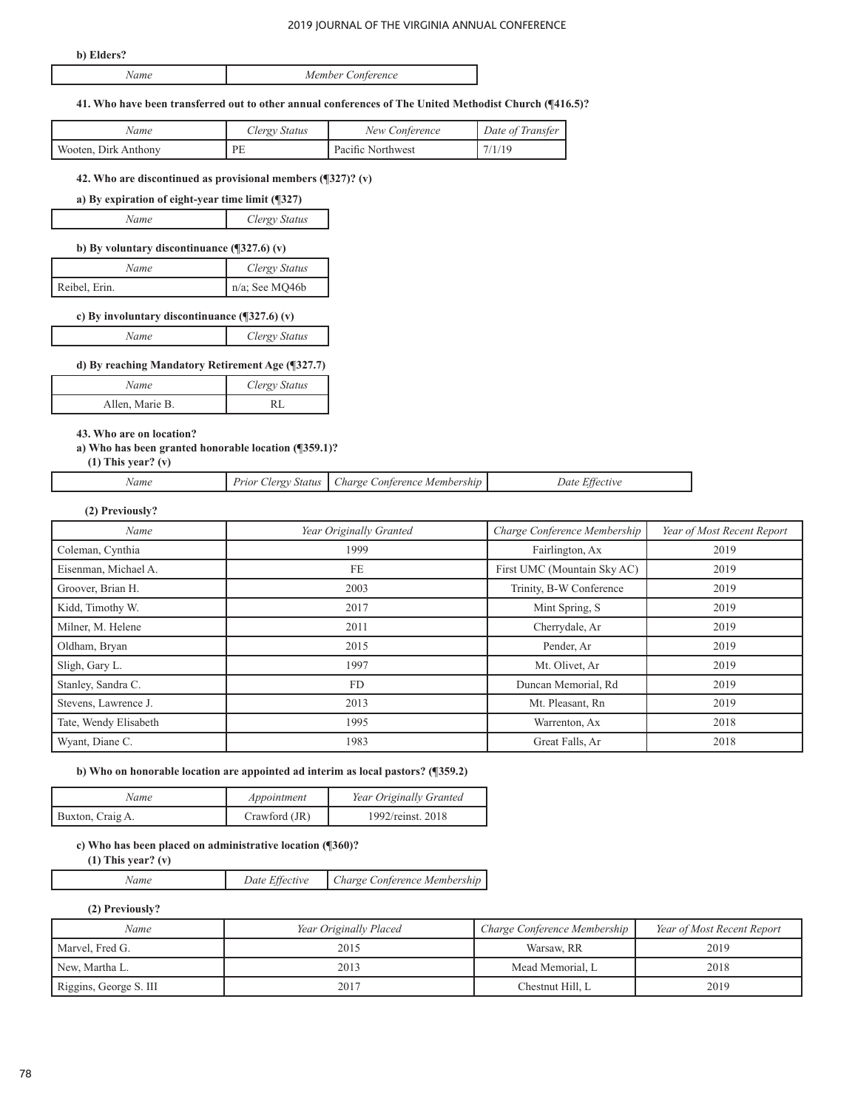#### **b) Elders?**

|  | Conference<br>$\sqrt{1}$<br>$m$ h $\rho r$<br>MΘ<br> |
|--|------------------------------------------------------|
|--|------------------------------------------------------|

#### **41. Who have been transferred out to other annual conferences of The United Methodist Church (¶416.5)?**

| Name                 | Clergy Status | New Conference    | Date of Transfer |
|----------------------|---------------|-------------------|------------------|
| Wooten. Dirk Anthony | PE            | Pacific Northwest |                  |

#### **42. Who are discontinued as provisional members (¶327)? (v)**

| a) By expiration of eight-year time limit $(\sqrt{327})$ |               |
|----------------------------------------------------------|---------------|
| Name                                                     | Clergy Status |

# **b) By voluntary discontinuance (¶327.6) (v)**

| Name          | Clergy Status  |
|---------------|----------------|
| Reibel, Erin. | n/a; See MQ46b |

## **c) By involuntary discontinuance (¶327.6) (v)**

#### **d) By reaching Mandatory Retirement Age (¶327.7)**

| Name            | Clergy Status |
|-----------------|---------------|
| Allen, Marie B. |               |

**43. Who are on location?**

# **a) Who has been granted honorable location (¶359.1)?**

# **(1) This year? (v)**

| Name |  | Prior Clergy Status   Charge Conference Membership | Date Effective |
|------|--|----------------------------------------------------|----------------|
|------|--|----------------------------------------------------|----------------|

#### **(2) Previously?**

| Name                  | Year Originally Granted | Charge Conference Membership | Year of Most Recent Report |
|-----------------------|-------------------------|------------------------------|----------------------------|
| Coleman, Cynthia      | 1999                    | Fairlington, Ax              | 2019                       |
| Eisenman, Michael A.  | <b>FE</b>               | First UMC (Mountain Sky AC)  | 2019                       |
| Groover, Brian H.     | 2003                    | Trinity, B-W Conference      | 2019                       |
| Kidd, Timothy W.      | 2017                    | Mint Spring, S               | 2019                       |
| Milner, M. Helene     | 2011                    | Cherrydale, Ar               | 2019                       |
| Oldham, Bryan         | 2015                    | Pender, Ar                   | 2019                       |
| Sligh, Gary L.        | 1997                    | Mt. Olivet, Ar               | 2019                       |
| Stanley, Sandra C.    | FD.                     | Duncan Memorial, Rd          | 2019                       |
| Stevens, Lawrence J.  | 2013                    | Mt. Pleasant, Rn             | 2019                       |
| Tate, Wendy Elisabeth | 1995                    | Warrenton, Ax                | 2018                       |
| Wyant, Diane C.       | 1983                    | Great Falls, Ar              | 2018                       |

# **b) Who on honorable location are appointed ad interim as local pastors? (¶359.2)**

| Name             | Appointment     | Year Originally Granted |
|------------------|-----------------|-------------------------|
| Buxton, Craig A. | Crawford $(JR)$ | 1992/reinst. 2018       |
|                  |                 |                         |

## **c) Who has been placed on administrative location (¶360)?**

 **(1) This year? (v)**

*Name Date Effective Charge Conference Membership*

#### **(2) Previously?**

| Name                   | Year Originally Placed | Charge Conference Membership | Year of Most Recent Report |
|------------------------|------------------------|------------------------------|----------------------------|
| Marvel, Fred G.        | 2015                   | Warsaw, RR                   | 2019                       |
| New. Martha L.         | 2013                   | Mead Memorial, L             | 2018                       |
| Riggins, George S. III | 2017                   | Chestnut Hill. L             | 2019                       |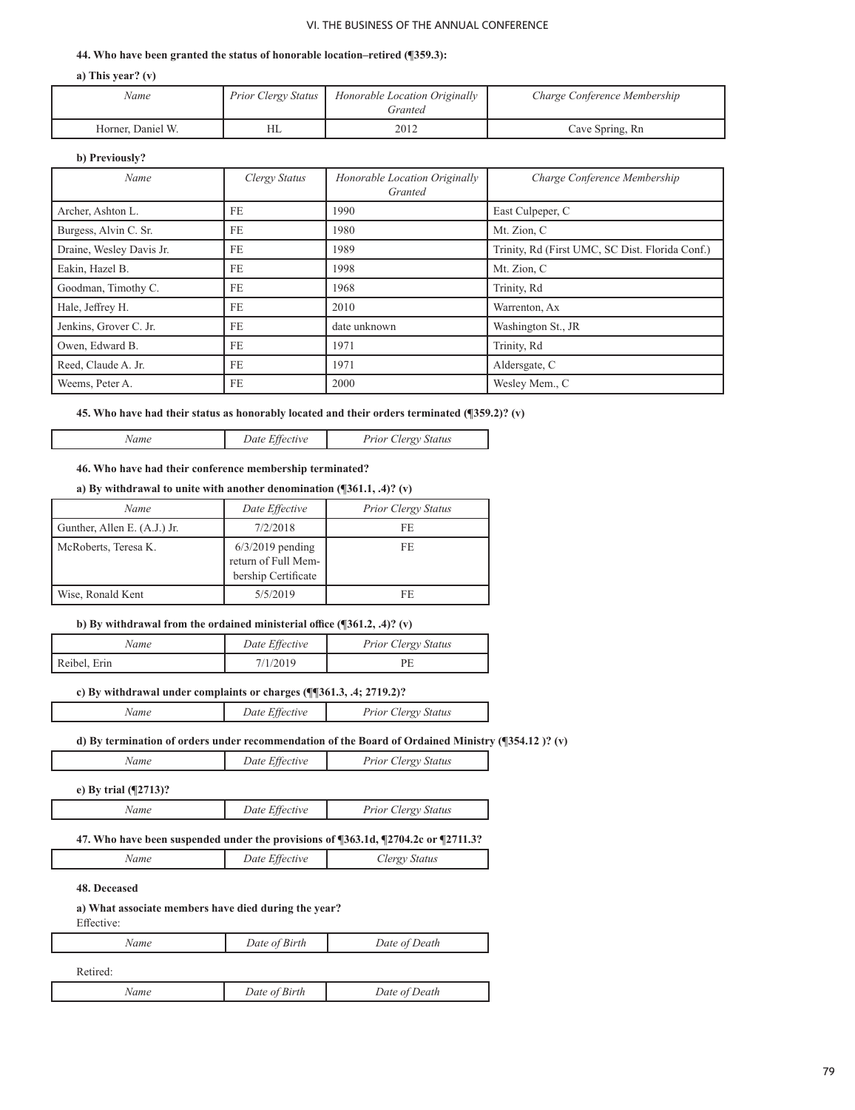#### **44. Who have been granted the status of honorable location–retired (¶359.3):**

**a) This year? (v)**

| Name              | Prior Clergy Status | Honorable Location Originally<br>Granted | Charge Conference Membership |
|-------------------|---------------------|------------------------------------------|------------------------------|
| Horner, Daniel W. | HL                  | 2012                                     | Cave Spring, Rn              |

#### **b) Previously?**

| Name                     | Clergy Status | Honorable Location Originally<br>Granted | Charge Conference Membership                    |
|--------------------------|---------------|------------------------------------------|-------------------------------------------------|
| Archer, Ashton L.        | FE            | 1990                                     | East Culpeper, C                                |
| Burgess, Alvin C. Sr.    | FE            | 1980                                     | Mt. Zion, C                                     |
| Draine, Wesley Davis Jr. | FE            | 1989                                     | Trinity, Rd (First UMC, SC Dist. Florida Conf.) |
| Eakin, Hazel B.          | FE.           | 1998                                     | Mt. Zion, C                                     |
| Goodman, Timothy C.      | FE            | 1968                                     | Trinity, Rd                                     |
| Hale, Jeffrey H.         | FE            | 2010                                     | Warrenton, Ax                                   |
| Jenkins, Grover C. Jr.   | FE            | date unknown                             | Washington St., JR                              |
| Owen, Edward B.          | FE            | 1971                                     | Trinity, Rd                                     |
| Reed, Claude A. Jr.      | FE            | 1971                                     | Aldersgate, C                                   |
| Weems, Peter A.          | FE            | 2000                                     | Wesley Mem., C                                  |

**45. Who have had their status as honorably located and their orders terminated (¶359.2)? (v)**

*Name Date Effective Prior Clergy Status*

#### **46. Who have had their conference membership terminated?**

## **a) By withdrawal to unite with another denomination (¶361.1, .4)? (v)**

| Name                         | Date Effective                                                   | <b>Prior Clergy Status</b> |
|------------------------------|------------------------------------------------------------------|----------------------------|
| Gunther, Allen E. (A.J.) Jr. | 7/2/2018                                                         | FF.                        |
| McRoberts, Teresa K.         | $6/3/2019$ pending<br>return of Full Mem-<br>bership Certificate | FE.                        |
| Wise, Ronald Kent            | 5/5/2019                                                         | FF.                        |

# **b) By withdrawal from the ordained ministerial office (¶361.2, .4)? (v)**

| Name         | Date Effective | <b>Prior Clergy Status</b> |
|--------------|----------------|----------------------------|
| Reibel, Erin | 7/1/2019       | DЬ                         |

# **c) By withdrawal under complaints or charges (¶¶361.3, .4; 2719.2)?**

| Name | Date Effective | <b>Prior Clergy Status</b> |
|------|----------------|----------------------------|
|------|----------------|----------------------------|

# **d) By termination of orders under recommendation of the Board of Ordained Ministry (¶354.12 )? (v)**

| Name | Date Effective | Prior Clergy Status |
|------|----------------|---------------------|
|      |                |                     |

**e) By trial (¶2713)?** 

| Name | Date Effective | <b>Prior Clergy Status</b> |
|------|----------------|----------------------------|

#### **47. Who have been suspended under the provisions of ¶363.1d, ¶2704.2c or ¶2711.3?**

| Name | Date Effective | Clergy Status |
|------|----------------|---------------|
|------|----------------|---------------|

# **48. Deceased**

#### **a) What associate members have died during the year?**

 Effective:

| Name     | Date of Birth | Date of Death |  |
|----------|---------------|---------------|--|
| Retired: |               |               |  |
| Name     | Date of Birth | Date of Death |  |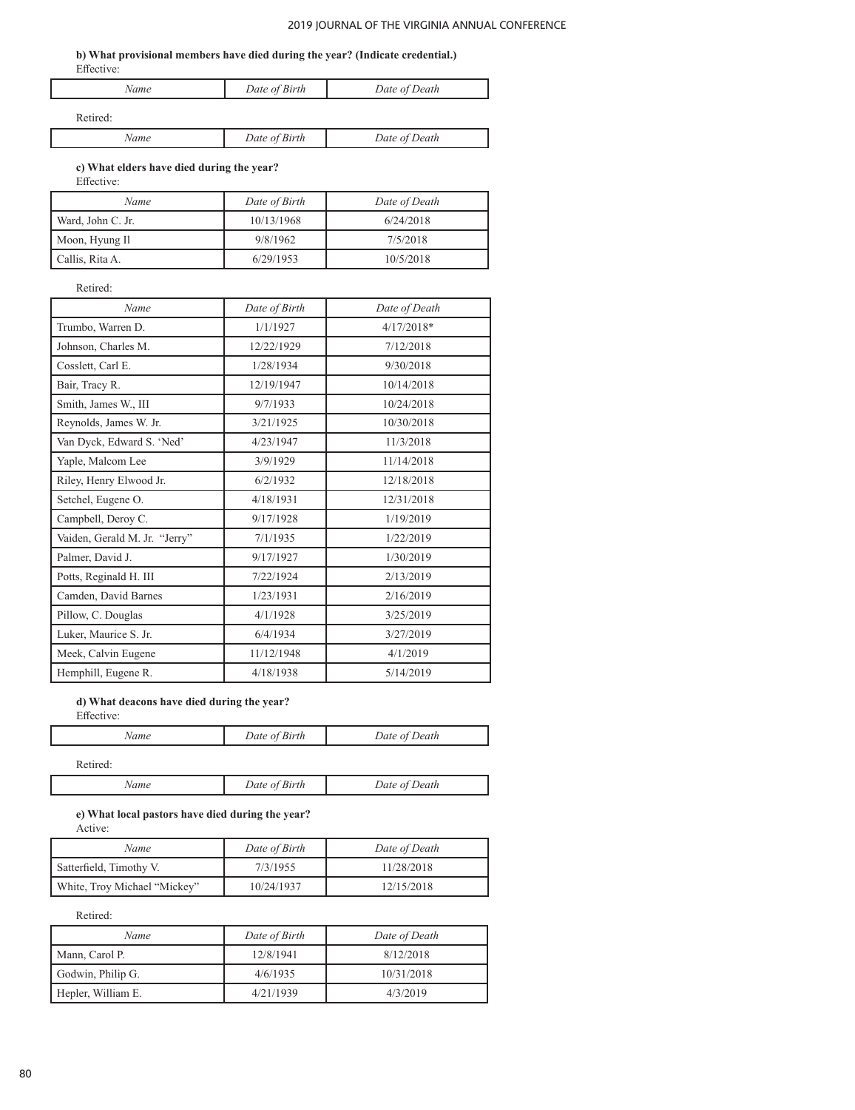ן

#### **b) What provisional members have died during the year? (Indicate credential.)** Effective:

| 1.110011001 |               |               |
|-------------|---------------|---------------|
| Name        | Date of Birth | Date of Death |
| Retired:    |               |               |

| $\omega$ | Birth<br>Date of | Death<br>Date of ' |
|----------|------------------|--------------------|
|          |                  |                    |

#### **c) What elders have died during the year?** Effective:

| Name              | Date of Birth | Date of Death |
|-------------------|---------------|---------------|
| Ward, John C. Jr. | 10/13/1968    | 6/24/2018     |
| Moon, Hyung Il    | 9/8/1962      | 7/5/2018      |
| Callis, Rita A.   | 6/29/1953     | 10/5/2018     |

Retired:

٦

| Name                          | Date of Birth | Date of Death |
|-------------------------------|---------------|---------------|
| Trumbo, Warren D.             | 1/1/1927      | $4/17/2018*$  |
| Johnson, Charles M.           | 12/22/1929    | 7/12/2018     |
| Cosslett, Carl E.             | 1/28/1934     | 9/30/2018     |
| Bair, Tracy R.                | 12/19/1947    | 10/14/2018    |
| Smith, James W., III          | 9/7/1933      | 10/24/2018    |
| Reynolds, James W. Jr.        | 3/21/1925     | 10/30/2018    |
| Van Dyck, Edward S. 'Ned'     | 4/23/1947     | 11/3/2018     |
| Yaple, Malcom Lee             | 3/9/1929      | 11/14/2018    |
| Riley, Henry Elwood Jr.       | 6/2/1932      | 12/18/2018    |
| Setchel, Eugene O.            | 4/18/1931     | 12/31/2018    |
| Campbell, Deroy C.            | 9/17/1928     | 1/19/2019     |
| Vaiden, Gerald M. Jr. "Jerry" | 7/1/1935      | 1/22/2019     |
| Palmer, David J.              | 9/17/1927     | 1/30/2019     |
| Potts, Reginald H. III        | 7/22/1924     | 2/13/2019     |
| Camden, David Barnes          | 1/23/1931     | 2/16/2019     |
| Pillow, C. Douglas            | 4/1/1928      | 3/25/2019     |
| Luker, Maurice S. Jr.         | 6/4/1934      | 3/27/2019     |
| Meek, Calvin Eugene           | 11/12/1948    | 4/1/2019      |
| Hemphill, Eugene R.           | 4/18/1938     | 5/14/2019     |

#### **d) What deacons have died during the year?** Effective:

| Name     | Date of Birth | Date of Death |
|----------|---------------|---------------|
| Retired: |               |               |

| Vame | Date of Birth | Date of Death |
|------|---------------|---------------|
|      |               |               |

# **e) What local pastors have died during the year?**

Active:

| Name                         | Date of Birth | Date of Death |
|------------------------------|---------------|---------------|
| Satterfield, Timothy V.      | 7/3/1955      | 11/28/2018    |
| White, Troy Michael "Mickey" | 10/24/1937    | 12/15/2018    |
|                              |               |               |

Retired:

| Name               | Date of Birth | Date of Death |
|--------------------|---------------|---------------|
| Mann, Carol P.     | 12/8/1941     | 8/12/2018     |
| Godwin, Philip G.  | 4/6/1935      | 10/31/2018    |
| Hepler, William E. | 4/21/1939     | 4/3/2019      |
|                    |               |               |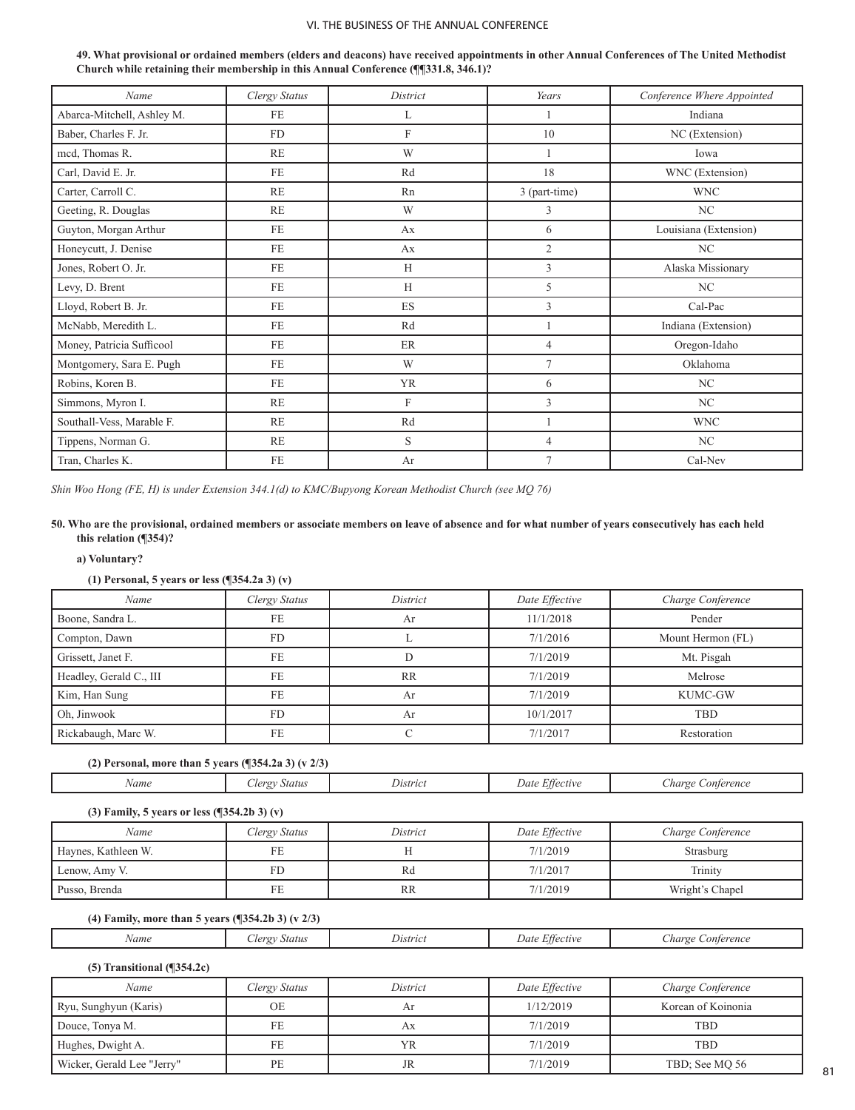| 49. What provisional or ordained members (elders and deacons) have received appointments in other Annual Conferences of The United Methodist |
|----------------------------------------------------------------------------------------------------------------------------------------------|
| Church while retaining their membership in this Annual Conference (¶¶331.8, 346.1)?                                                          |

| Name                       | Clergy Status | District     | Years          | Conference Where Appointed |
|----------------------------|---------------|--------------|----------------|----------------------------|
| Abarca-Mitchell, Ashley M. | FE            | L            |                | Indiana                    |
| Baber, Charles F. Jr.      | <b>FD</b>     | F            | 10             | NC (Extension)             |
| mcd, Thomas R.             | <b>RE</b>     | W            |                | Iowa                       |
| Carl, David E. Jr.         | <b>FE</b>     | Rd           | 18             | WNC (Extension)            |
| Carter, Carroll C.         | <b>RE</b>     | Rn           | 3 (part-time)  | <b>WNC</b>                 |
| Geeting, R. Douglas        | <b>RE</b>     | W            | 3              | NC                         |
| Guyton, Morgan Arthur      | <b>FE</b>     | Ax           | 6              | Louisiana (Extension)      |
| Honeycutt, J. Denise       | <b>FE</b>     | Ax           | $\mathfrak{2}$ | NC                         |
| Jones, Robert O. Jr.       | FE.           | H            | 3              | Alaska Missionary          |
| Levy, D. Brent             | <b>FE</b>     | H            | 5              | NC                         |
| Lloyd, Robert B. Jr.       | <b>FE</b>     | ES           | 3              | Cal-Pac                    |
| McNabb, Meredith L.        | FE            | Rd           |                | Indiana (Extension)        |
| Money, Patricia Sufficool  | <b>FE</b>     | ER           | $\overline{4}$ | Oregon-Idaho               |
| Montgomery, Sara E. Pugh   | <b>FE</b>     | W            | $\overline{7}$ | Oklahoma                   |
| Robins, Koren B.           | <b>FE</b>     | <b>YR</b>    | 6              | NC                         |
| Simmons, Myron I.          | RE            | $\mathbf{F}$ | 3              | NC                         |
| Southall-Vess, Marable F.  | <b>RE</b>     | Rd           |                | <b>WNC</b>                 |
| Tippens, Norman G.         | <b>RE</b>     | S            | $\overline{4}$ | NC                         |
| Tran, Charles K.           | FE            | Ar           | $\overline{7}$ | Cal-Nev                    |

*Shin Woo Hong (FE, H) is under Extension 344.1(d) to KMC/Bupyong Korean Methodist Church (see MQ 76)*

#### **50. Who are the provisional, ordained members or associate members on leave of absence and for what number of years consecutively has each held this relation (¶354)?**

#### **a) Voluntary?**

## **(1) Personal, 5 years or less (¶354.2a 3) (v)**

| Name                    | Clergy Status | District | Date Effective | Charge Conference |
|-------------------------|---------------|----------|----------------|-------------------|
| Boone, Sandra L.        | FE            | Ar       | 11/1/2018      | Pender            |
| Compton, Dawn           | <b>FD</b>     |          | 7/1/2016       | Mount Hermon (FL) |
| Grissett, Janet F.      | FE            |          | 7/1/2019       | Mt. Pisgah        |
| Headley, Gerald C., III | <b>FE</b>     | RR       | 7/1/2019       | Melrose           |
| Kim, Han Sung           | FE            | Ar       | 7/1/2019       | <b>KUMC-GW</b>    |
| Oh. Jinwook             | <b>FD</b>     | Ar       | 10/1/2017      | <b>TBD</b>        |
| Rickabaugh, Marc W.     | FE            |          | 7/1/2017       | Restoration       |

## **(2) Personal, more than 5 years (¶354.2a 3) (v 2/3)**

| Name | <b>Status</b><br>lero | Distric | $\sim$ $\sim$<br><i>Effective</i><br>Date | harge<br>Conterence |
|------|-----------------------|---------|-------------------------------------------|---------------------|
|------|-----------------------|---------|-------------------------------------------|---------------------|

# **(3) Family, 5 years or less (¶354.2b 3) (v)**

| Name                | Clergy Status | District  | Date Effective | Charge Conference |
|---------------------|---------------|-----------|----------------|-------------------|
| Haynes, Kathleen W. | FE            |           | 7/1/2019       | Strasburg         |
| Lenow, Amy V.       | FD            | Rd        | 7/1/2017       | Trinity           |
| Pusso, Brenda       | FE            | <b>RR</b> | 7/1/2019       | Wright's Chapel   |

# **(4) Family, more than 5 years (¶354.2b 3) (v 2/3)**

| Name | status<br>$1 \rho r \sigma$ | . .<br><i><u>Extric</u></i> | $-$<br>ttectuv<br>Jatr | onterence<br>narge - |
|------|-----------------------------|-----------------------------|------------------------|----------------------|
|      |                             |                             |                        |                      |

## **(5) Transitional (¶354.2c)**

| Name                       | Clergy Status | District | Date Effective | Charge Conference  |
|----------------------------|---------------|----------|----------------|--------------------|
| Ryu, Sunghyun (Karis)      | OE            | Ar       | 1/12/2019      | Korean of Koinonia |
| Douce, Tonya M.            | FE            | Аx       | 7/1/2019       | <b>TBD</b>         |
| Hughes, Dwight A.          | FE            | YR       | 7/1/2019       | TBD                |
| Wicker, Gerald Lee "Jerry" | PE            | JR       | 7/1/2019       | TBD; See MO 56     |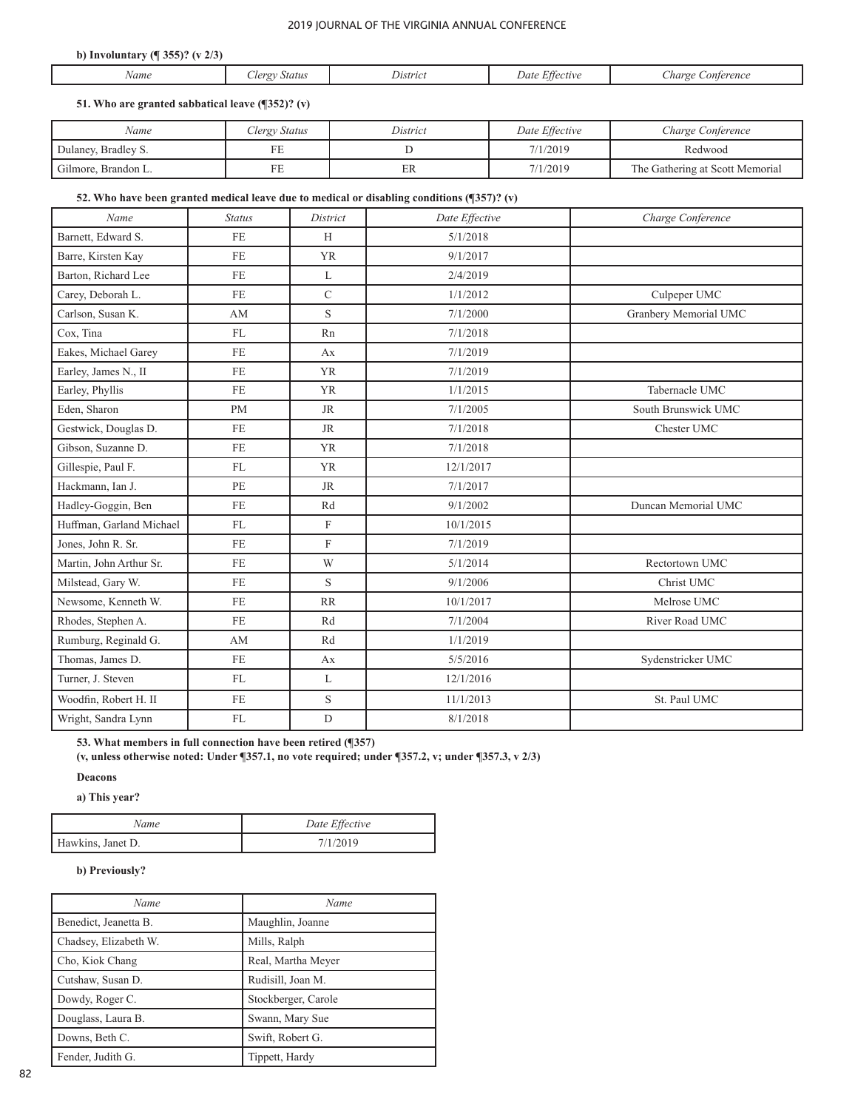## **b) Involuntary (¶ 355)? (v 2/3)**

| Name | $\overline{\Omega}$<br>status | Iistric | Jate<br>キナ ハ ハチャッ | onterence<br>harge |
|------|-------------------------------|---------|-------------------|--------------------|
|      |                               |         |                   |                    |

## **51. Who are granted sabbatical leave (¶352)? (v)**

| Name                | Clergy Status | District | Date Effective | Charge Conference               |
|---------------------|---------------|----------|----------------|---------------------------------|
| Dulaney, Bradley S. | FE            |          | 7/1/2019       | Redwood                         |
| Gilmore, Brandon L. | FE            | ЕR       | 7/1/2019       | The Gathering at Scott Memorial |

## **52. Who have been granted medical leave due to medical or disabling conditions (¶357)? (v)**

| Name                     | <b>Status</b> | District                  | Date Effective | Charge Conference     |
|--------------------------|---------------|---------------------------|----------------|-----------------------|
| Barnett, Edward S.       | FE            | H                         | 5/1/2018       |                       |
| Barre, Kirsten Kay       | <b>FE</b>     | <b>YR</b>                 | 9/1/2017       |                       |
| Barton, Richard Lee      | FE            | L                         | 2/4/2019       |                       |
| Carey, Deborah L.        | FE            | $\mathsf{C}$              | 1/1/2012       | Culpeper UMC          |
| Carlson, Susan K.        | AM            | S                         | 7/1/2000       | Granbery Memorial UMC |
| Cox. Tina                | FL            | Rn                        | 7/1/2018       |                       |
| Eakes, Michael Garey     | FE            | Ax                        | 7/1/2019       |                       |
| Earley, James N., II     | <b>FE</b>     | <b>YR</b>                 | 7/1/2019       |                       |
| Earley, Phyllis          | FE            | <b>YR</b>                 | 1/1/2015       | Tabernacle UMC        |
| Eden, Sharon             | <b>PM</b>     | <b>JR</b>                 | 7/1/2005       | South Brunswick UMC   |
| Gestwick, Douglas D.     | FE            | <b>JR</b>                 | 7/1/2018       | Chester UMC           |
| Gibson, Suzanne D.       | FE            | <b>YR</b>                 | 7/1/2018       |                       |
| Gillespie, Paul F.       | FL            | <b>YR</b>                 | 12/1/2017      |                       |
| Hackmann, Ian J.         | PE            | <b>JR</b>                 | 7/1/2017       |                       |
| Hadley-Goggin, Ben       | <b>FE</b>     | Rd                        | 9/1/2002       | Duncan Memorial UMC   |
| Huffman, Garland Michael | FL            | $\mathbf F$               | 10/1/2015      |                       |
| Jones, John R. Sr.       | FE            | $\boldsymbol{\mathrm{F}}$ | 7/1/2019       |                       |
| Martin, John Arthur Sr.  | <b>FE</b>     | W                         | 5/1/2014       | Rectortown UMC        |
| Milstead, Gary W.        | FE            | S                         | 9/1/2006       | Christ UMC            |
| Newsome, Kenneth W.      | FE            | RR                        | 10/1/2017      | Melrose UMC           |
| Rhodes, Stephen A.       | FE            | Rd                        | 7/1/2004       | River Road UMC        |
| Rumburg, Reginald G.     | AM            | Rd                        | 1/1/2019       |                       |
| Thomas, James D.         | <b>FE</b>     | Ax                        | 5/5/2016       | Sydenstricker UMC     |
| Turner, J. Steven        | FL            | L                         | 12/1/2016      |                       |
| Woodfin, Robert H. II    | FE            | S                         | 11/1/2013      | St. Paul UMC          |
| Wright, Sandra Lynn      | FL            | $\mathbf D$               | 8/1/2018       |                       |

**53. What members in full connection have been retired (¶357)** 

**(v, unless otherwise noted: Under ¶357.1, no vote required; under ¶357.2, v; under ¶357.3, v 2/3)** 

**Deacons** 

**a) This year?** 

| Name              | Date Effective |
|-------------------|----------------|
| Hawkins, Janet D. | 7/1/2019       |

# **b) Previously?**

| Name                  | Name                |
|-----------------------|---------------------|
| Benedict, Jeanetta B. | Maughlin, Joanne    |
| Chadsey, Elizabeth W. | Mills, Ralph        |
| Cho, Kiok Chang       | Real, Martha Meyer  |
| Cutshaw, Susan D.     | Rudisill, Joan M.   |
| Dowdy, Roger C.       | Stockberger, Carole |
| Douglass, Laura B.    | Swann, Mary Sue     |
| Downs, Beth C.        | Swift, Robert G.    |
| Fender, Judith G.     | Tippett, Hardy      |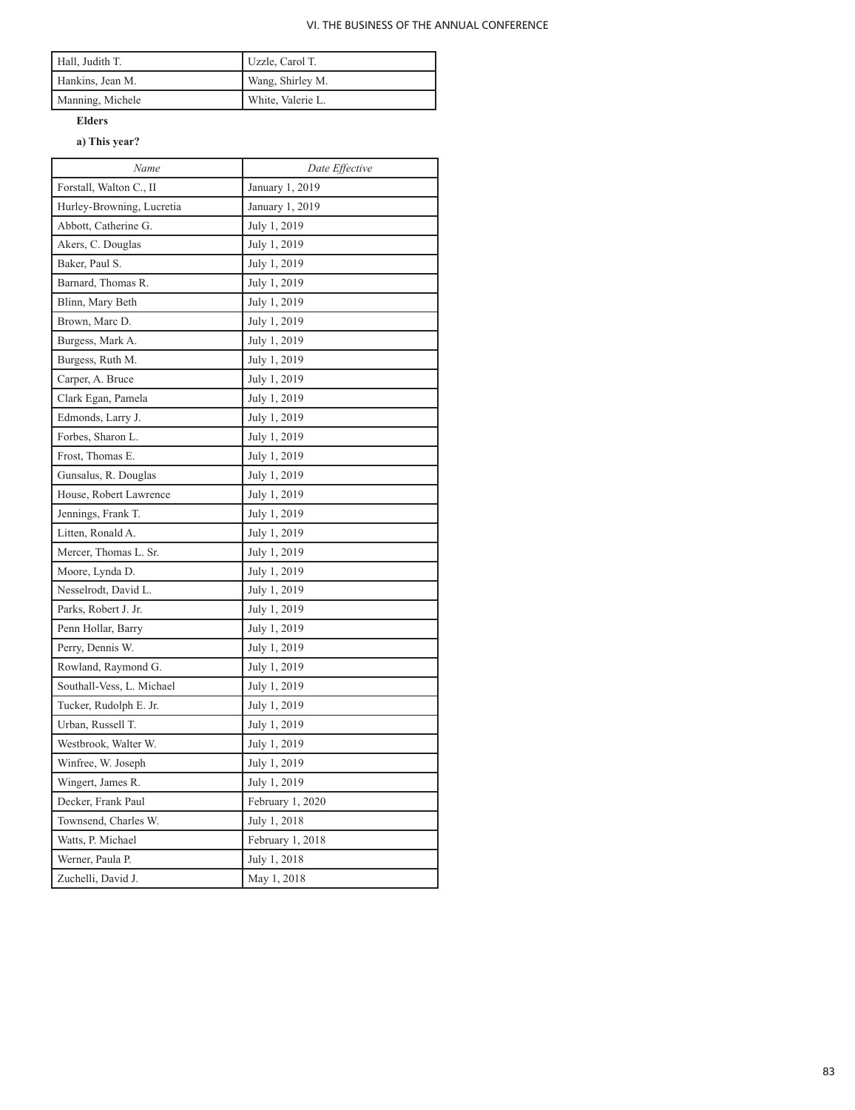| Hall, Judith T.  | Uzzle, Carol T.   |
|------------------|-------------------|
| Hankins, Jean M. | Wang, Shirley M.  |
| Manning, Michele | White, Valerie L. |

# **Elders**

# **a) This year?**

| Name                      | Date Effective   |
|---------------------------|------------------|
| Forstall, Walton C., II   | January 1, 2019  |
| Hurley-Browning, Lucretia | January 1, 2019  |
| Abbott, Catherine G.      | July 1, 2019     |
| Akers, C. Douglas         | July 1, 2019     |
| Baker, Paul S.            | July 1, 2019     |
| Barnard, Thomas R.        | July 1, 2019     |
| Blinn, Mary Beth          | July 1, 2019     |
| Brown, Marc D.            | July 1, 2019     |
| Burgess, Mark A.          | July 1, 2019     |
| Burgess, Ruth M.          | July 1, 2019     |
| Carper, A. Bruce          | July 1, 2019     |
| Clark Egan, Pamela        | July 1, 2019     |
| Edmonds, Larry J.         | July 1, 2019     |
| Forbes, Sharon L.         | July 1, 2019     |
| Frost, Thomas E.          | July 1, 2019     |
| Gunsalus, R. Douglas      | July 1, 2019     |
| House, Robert Lawrence    | July 1, 2019     |
| Jennings, Frank T.        | July 1, 2019     |
| Litten, Ronald A.         | July 1, 2019     |
| Mercer, Thomas L. Sr.     | July 1, 2019     |
| Moore, Lynda D.           | July 1, 2019     |
| Nesselrodt, David L.      | July 1, 2019     |
| Parks, Robert J. Jr.      | July 1, 2019     |
| Penn Hollar, Barry        | July 1, 2019     |
| Perry, Dennis W.          | July 1, 2019     |
| Rowland, Raymond G.       | July 1, 2019     |
| Southall-Vess, L. Michael | July 1, 2019     |
| Tucker, Rudolph E. Jr.    | July 1, 2019     |
| Urban, Russell T.         | July 1, 2019     |
| Westbrook, Walter W.      | July 1, 2019     |
| Winfree, W. Joseph        | July 1, 2019     |
| Wingert, James R.         | July 1, 2019     |
| Decker, Frank Paul        | February 1, 2020 |
| Townsend, Charles W.      | July 1, 2018     |
| Watts, P. Michael         | February 1, 2018 |
| Werner, Paula P.          | July 1, 2018     |
| Zuchelli, David J.        | May 1, 2018      |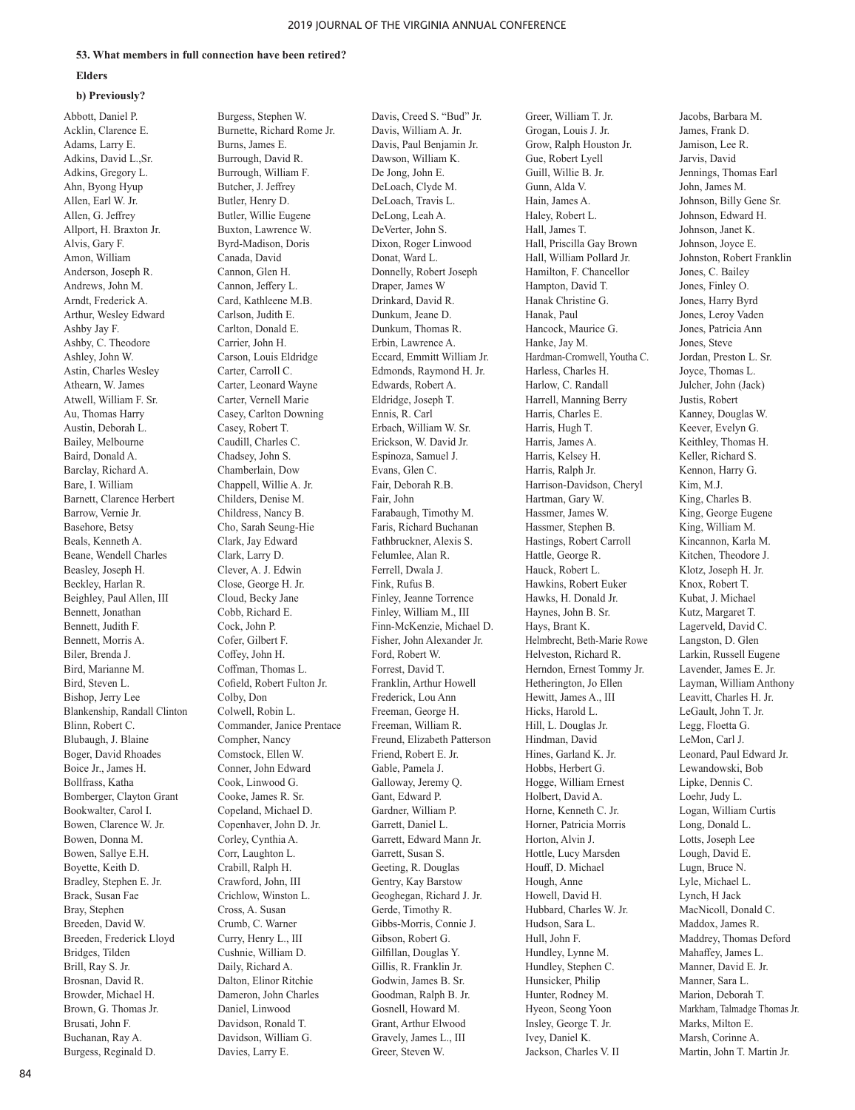#### **53. What members in full connection have been retired?**

#### **Elders**

#### **b) Previously?**

Abbott, Daniel P. Acklin, Clarence E. Adams, Larry E. Adkins, David L.,Sr. Adkins, Gregory L. Ahn, Byong Hyup Allen, Earl W. Jr. Allen, G. Jeffrey Allport, H. Braxton Jr. Alvis, Gary F. Amon, William Anderson, Joseph R. Andrews, John M. Arndt, Frederick A. Arthur, Wesley Edward Ashby Jay F. Ashby, C. Theodore Ashley, John W. Astin, Charles Wesley Athearn, W. James Atwell, William F. Sr. Au, Thomas Harry Austin, Deborah L. Bailey, Melbourne Baird, Donald A. Barclay, Richard A. Bare, I. William Barnett, Clarence Herbert Barrow, Vernie Jr. Basehore, Betsy Beals, Kenneth A. Beane, Wendell Charles Beasley, Joseph H. Beckley, Harlan R. Beighley, Paul Allen, III Bennett, Jonathan Bennett, Judith F. Bennett, Morris A. Biler, Brenda J. Bird, Marianne M. Bird, Steven L. Bishop, Jerry Lee Blankenship, Randall Clinton Blinn, Robert C. Blubaugh, J. Blaine Boger, David Rhoades Boice Jr., James H. Bollfrass, Katha Bomberger, Clayton Grant Bookwalter, Carol I. Bowen, Clarence W. Jr. Bowen, Donna M. Bowen, Sallye E.H. Boyette, Keith D. Bradley, Stephen E. Jr. Brack, Susan Fae Bray, Stephen Breeden, David W. Breeden, Frederick Lloyd Bridges, Tilden Brill, Ray S. Jr. Brosnan, David R. Browder, Michael H. Brown, G. Thomas Jr. Brusati, John F. Buchanan, Ray A. Burgess, Reginald D.

Burgess, Stephen W. Burnette, Richard Rome Jr. Burns, James E. Burrough, David R. Burrough, William F. Butcher, J. Jeffrey Butler, Henry D. Butler, Willie Eugene Buxton, Lawrence W. Byrd-Madison, Doris Canada, David Cannon, Glen H. Cannon, Jeffery L. Card, Kathleene M.B. Carlson, Judith E. Carlton, Donald E. Carrier, John H. Carson, Louis Eldridge Carter, Carroll C. Carter, Leonard Wayne Carter, Vernell Marie Casey, Carlton Downing Casey, Robert T. Caudill, Charles C. Chadsey, John S. Chamberlain, Dow Chappell, Willie A. Jr. Childers, Denise M. Childress, Nancy B. Cho, Sarah Seung-Hie Clark, Jay Edward Clark, Larry D. Clever, A. J. Edwin Close, George H. Jr. Cloud, Becky Jane Cobb, Richard E. Cock, John P. Cofer, Gilbert F. Coffey, John H. Coffman, Thomas L. Cofield, Robert Fulton Jr. Colby, Don Colwell, Robin L. Commander, Janice Prentace Compher, Nancy Comstock, Ellen W. Conner, John Edward Cook, Linwood G. Cooke, James R. Sr. Copeland, Michael D. Copenhaver, John D. Jr. Corley, Cynthia A. Corr, Laughton L. Crabill, Ralph H. Crawford, John, III Crichlow, Winston L. Cross, A. Susan Crumb, C. Warner Curry, Henry L., III Cushnie, William D. Daily, Richard A. Dalton, Elinor Ritchie Dameron, John Charles Daniel, Linwood Davidson, Ronald T. Davidson, William G. Davies, Larry E.

Davis, Creed S. "Bud" Jr. Davis, William A. Jr. Davis, Paul Benjamin Jr. Dawson, William K. De Jong, John E. DeLoach, Clyde M. DeLoach, Travis L. DeLong, Leah A. DeVerter, John S. Dixon, Roger Linwood Donat, Ward L. Donnelly, Robert Joseph Draper, James W Drinkard, David R. Dunkum, Jeane D. Dunkum, Thomas R. Erbin, Lawrence A. Eccard, Emmitt William Jr. Edmonds, Raymond H. Jr. Edwards, Robert A. Eldridge, Joseph T. Ennis, R. Carl Erbach, William W. Sr. Erickson, W. David Jr. Espinoza, Samuel J. Evans, Glen C. Fair, Deborah R.B. Fair, John Farabaugh, Timothy M. Faris, Richard Buchanan Fathbruckner, Alexis S. Felumlee, Alan R. Ferrell, Dwala J. Fink, Rufus B. Finley, Jeanne Torrence Finley, William M., III Finn-McKenzie, Michael D. Fisher, John Alexander Jr. Ford, Robert W. Forrest, David T. Franklin, Arthur Howell Frederick, Lou Ann Freeman, George H. Freeman, William R. Freund, Elizabeth Patterson Friend, Robert E. Jr. Gable, Pamela J. Galloway, Jeremy Q. Gant, Edward P. Gardner, William P. Garrett, Daniel L. Garrett, Edward Mann Jr. Garrett, Susan S. Geeting, R. Douglas Gentry, Kay Barstow Geoghegan, Richard J. Jr. Gerde, Timothy R. Gibbs-Morris, Connie J. Gibson, Robert G. Gilfillan, Douglas Y. Gillis, R. Franklin Jr. Godwin, James B. Sr. Goodman, Ralph B. Jr. Gosnell, Howard M. Grant, Arthur Elwood Gravely, James L., III Greer, Steven W.

Greer, William T. Jr. Grogan, Louis J. Jr. Grow, Ralph Houston Jr. Gue, Robert Lyell Guill, Willie B. Jr. Gunn, Alda V. Hain, James A. Haley, Robert L. Hall, James T. Hall, Priscilla Gay Brown Hall, William Pollard Jr. Hamilton, F. Chancellor Hampton, David T. Hanak Christine G. Hanak, Paul Hancock, Maurice G. Hanke, Jay M. Hardman-Cromwell, Youtha C. Harless, Charles H. Harlow, C. Randall Harrell, Manning Berry Harris, Charles E. Harris, Hugh T. Harris, James A. Harris, Kelsey H. Harris, Ralph Jr. Harrison-Davidson, Cheryl Hartman, Gary W. Hassmer, James W. Hassmer, Stephen B. Hastings, Robert Carroll Hattle, George R. Hauck, Robert L. Hawkins, Robert Euker Hawks, H. Donald Jr. Haynes, John B. Sr. Hays, Brant K. Helmbrecht, Beth-Marie Rowe Helveston, Richard R. Herndon, Ernest Tommy Jr. Hetherington, Jo Ellen Hewitt, James A., III Hicks, Harold L. Hill, L. Douglas Jr. Hindman, David Hines, Garland K. Jr. Hobbs, Herbert G. Hogge, William Ernest Holbert, David A. Horne, Kenneth C. Jr. Horner, Patricia Morris Horton, Alvin J. Hottle, Lucy Marsden Houff, D. Michael Hough, Anne Howell, David H. Hubbard, Charles W. Jr. Hudson, Sara L. Hull, John F. Hundley, Lynne M. Hundley, Stephen C. Hunsicker, Philip Hunter, Rodney M. Hyeon, Seong Yoon Insley, George T. Jr. Ivey, Daniel K. Jackson, Charles V. II

Jacobs, Barbara M. James, Frank D. Jamison, Lee R. Jarvis, David Jennings, Thomas Earl John, James M. Johnson, Billy Gene Sr. Johnson, Edward H. Johnson, Janet K. Johnson, Joyce E. Johnston, Robert Franklin Jones, C. Bailey Jones, Finley O. Jones, Harry Byrd Jones, Leroy Vaden Jones, Patricia Ann Jones, Steve Jordan, Preston L. Sr. Joyce, Thomas L. Julcher, John (Jack) Justis, Robert Kanney, Douglas W. Keever, Evelyn G. Keithley, Thomas H. Keller, Richard S. Kennon, Harry G. Kim, M.J. King, Charles B. King, George Eugene King, William M. Kincannon, Karla M. Kitchen, Theodore J. Klotz, Joseph H. Jr. Knox, Robert T. Kubat, J. Michael Kutz, Margaret T. Lagerveld, David C. Langston, D. Glen Larkin, Russell Eugene Lavender, James E. Jr. Layman, William Anthony Leavitt, Charles H. Jr. LeGault, John T. Jr. Legg, Floetta G. LeMon, Carl J. Leonard, Paul Edward Jr. Lewandowski, Bob Lipke, Dennis C. Loehr, Judy L. Logan, William Curtis Long, Donald L. Lotts, Joseph Lee Lough, David E. Lugn, Bruce N. Lyle, Michael L. Lynch, H Jack MacNicoll, Donald C. Maddox, James R. Maddrey, Thomas Deford Mahaffey, James L. Manner, David E. Jr. Manner, Sara L. Marion, Deborah T. Markham, Talmadge Thomas Jr. Marks, Milton E. Marsh, Corinne A. Martin, John T. Martin Jr.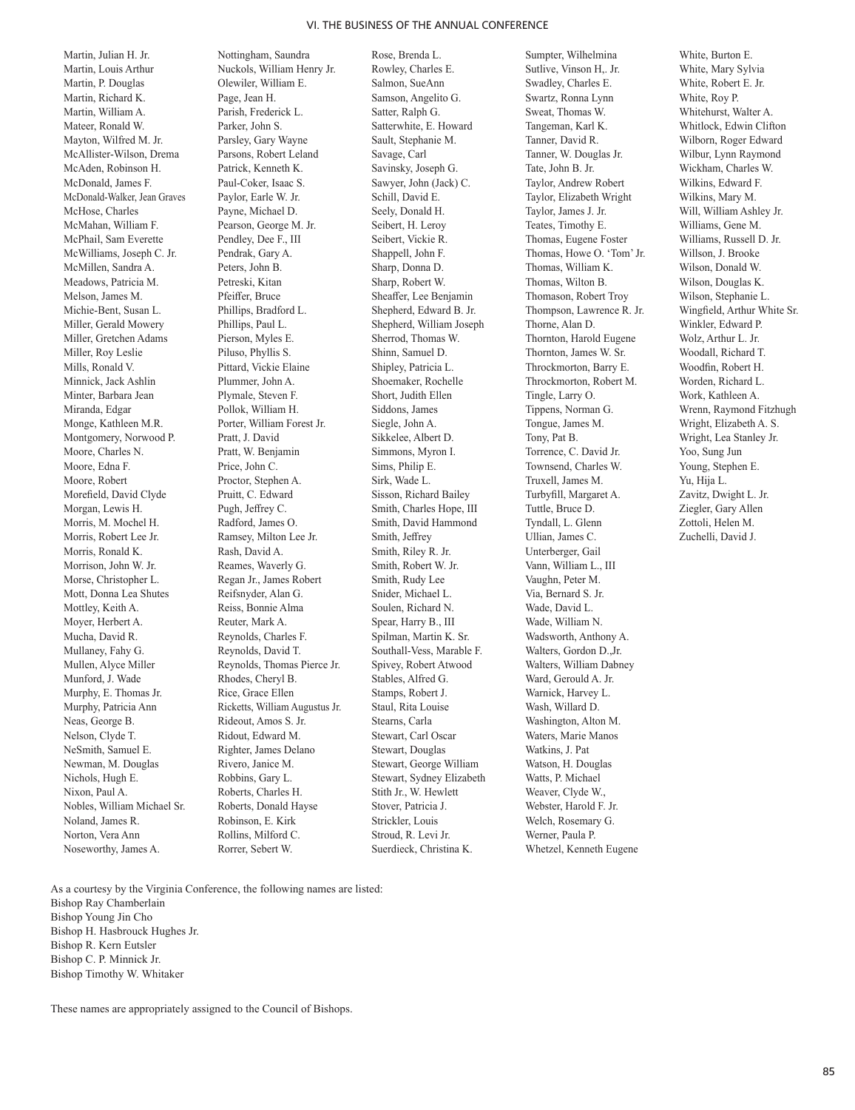Martin, Julian H. Jr. Martin, Louis Arthur Martin, P. Douglas Martin, Richard K. Martin, William A. Mateer, Ronald W. Mayton, Wilfred M. Jr. McAllister-Wilson, Drema McAden, Robinson H. McDonald, James F. McDonald-Walker, Jean Graves McHose, Charles McMahan, William F. McPhail, Sam Everette McWilliams, Joseph C. Jr. McMillen, Sandra A. Meadows, Patricia M. Melson, James M. Michie-Bent, Susan L. Miller, Gerald Mowery Miller, Gretchen Adams Miller, Roy Leslie Mills, Ronald V. Minnick, Jack Ashlin Minter, Barbara Jean Miranda, Edgar Monge, Kathleen M.R. Montgomery, Norwood P. Moore, Charles N. Moore, Edna F. Moore, Robert Morefield, David Clyde Morgan, Lewis H. Morris, M. Mochel H. Morris, Robert Lee Jr. Morris, Ronald K. Morrison, John W. Jr. Morse, Christopher L. Mott, Donna Lea Shutes Mottley, Keith A. Moyer, Herbert A. Mucha, David R. Mullaney, Fahy G. Mullen, Alyce Miller Munford, J. Wade Murphy, E. Thomas Jr. Murphy, Patricia Ann Neas, George B. Nelson, Clyde T. NeSmith, Samuel E. Newman, M. Douglas Nichols, Hugh E. Nixon, Paul A. Nobles, William Michael Sr. Noland, James R. Norton, Vera Ann Noseworthy, James A.

Nottingham, Saundra Nuckols, William Henry Jr. Olewiler, William E. Page, Jean H. Parish, Frederick L. Parker, John S. Parsley, Gary Wayne Parsons, Robert Leland Patrick, Kenneth K. Paul-Coker, Isaac S. Paylor, Earle W. Jr. Payne, Michael D. Pearson, George M. Jr. Pendley, Dee F., III Pendrak, Gary A. Peters, John B. Petreski, Kitan Pfeiffer, Bruce Phillips, Bradford L. Phillips, Paul L. Pierson, Myles E. Piluso, Phyllis S. Pittard, Vickie Elaine Plummer, John A. Plymale, Steven F. Pollok, William H. Porter, William Forest Jr. Pratt, J. David Pratt, W. Benjamin Price, John C. Proctor, Stephen A. Pruitt, C. Edward Pugh, Jeffrey C. Radford, James O. Ramsey, Milton Lee Jr. Rash, David A. Reames, Waverly G. Regan Jr., James Robert Reifsnyder, Alan G. Reiss, Bonnie Alma Reuter, Mark A. Reynolds, Charles F. Reynolds, David T. Reynolds, Thomas Pierce Jr. Rhodes, Cheryl B. Rice, Grace Ellen Ricketts, William Augustus Jr. Rideout, Amos S. Jr. Ridout, Edward M. Righter, James Delano Rivero, Janice M. Robbins, Gary L. Roberts, Charles H. Roberts, Donald Hayse Robinson, E. Kirk Rollins, Milford C. Rorrer, Sebert W.

Rose, Brenda L. Rowley, Charles E. Salmon, SueAnn Samson, Angelito G. Satter, Ralph G. Satterwhite, E. Howard Sault, Stephanie M. Savage, Carl Savinsky, Joseph G. Sawyer, John (Jack) C. Schill, David E. Seely, Donald H. Seibert, H. Leroy Seibert, Vickie R. Shappell, John F. Sharp, Donna D. Sharp, Robert W. Sheaffer, Lee Benjamin Shepherd, Edward B. Jr. Shepherd, William Joseph Sherrod, Thomas W. Shinn, Samuel D. Shipley, Patricia L. Shoemaker, Rochelle Short, Judith Ellen Siddons, James Siegle, John A. Sikkelee, Albert D. Simmons, Myron I. Sims, Philip E. Sirk, Wade L. Sisson, Richard Bailey Smith, Charles Hope, III Smith, David Hammond Smith, Jeffrey Smith, Riley R. Jr. Smith, Robert W. Jr. Smith, Rudy Lee Snider, Michael L. Soulen, Richard N. Spear, Harry B., III Spilman, Martin K. Sr. Southall-Vess, Marable F. Spivey, Robert Atwood Stables, Alfred G. Stamps, Robert J. Staul, Rita Louise Stearns, Carla Stewart, Carl Oscar Stewart, Douglas Stewart, George William Stewart, Sydney Elizabeth Stith Jr., W. Hewlett Stover, Patricia J. Strickler, Louis Stroud, R. Levi Jr.

Suerdieck, Christina K.

Sumpter, Wilhelmina Sutlive, Vinson H,. Jr. Swadley, Charles E. Swartz, Ronna Lynn Sweat, Thomas W. Tangeman, Karl K. Tanner, David R. Tanner, W. Douglas Jr. Tate, John B. Jr. Taylor, Andrew Robert Taylor, Elizabeth Wright Taylor, James J. Jr. Teates, Timothy E. Thomas, Eugene Foster Thomas, Howe O. 'Tom'Jr. Thomas, William K. Thomas, Wilton B. Thomason, Robert Troy Thompson, Lawrence R. Jr. Thorne, Alan D. Thornton, Harold Eugene Thornton, James W. Sr. Throckmorton, Barry E. Throckmorton, Robert M. Tingle, Larry O. Tippens, Norman G. Tongue, James M. Tony, Pat B. Torrence, C. David Jr. Townsend, Charles W. Truxell, James M. Turbyfill, Margaret A. Tuttle, Bruce D. Tyndall, L. Glenn Ullian, James C. Unterberger, Gail Vann, William L., III Vaughn, Peter M. Via, Bernard S. Jr. Wade, David L. Wade, William N. Wadsworth, Anthony A. Walters, Gordon D.,Jr. Walters, William Dabney Ward, Gerould A. Jr. Warnick, Harvey L. Wash, Willard D. Washington, Alton M. Waters, Marie Manos Watkins, J. Pat Watson, H. Douglas Watts, P. Michael Weaver, Clyde W., Webster, Harold F. Jr. Welch, Rosemary G. Werner, Paula P. Whetzel, Kenneth Eugene

White, Burton E. White, Mary Sylvia White, Robert E. Jr. White, Roy P. Whitehurst, Walter A. Whitlock, Edwin Clifton Wilborn, Roger Edward Wilbur, Lynn Raymond Wickham, Charles W. Wilkins, Edward F. Wilkins, Mary M. Will, William Ashley Jr. Williams, Gene M. Williams, Russell D. Jr. Willson, J. Brooke Wilson, Donald W. Wilson, Douglas K. Wilson, Stephanie L. Wingfield, Arthur White Sr. Winkler, Edward P. Wolz, Arthur L. Jr. Woodall, Richard T. Woodfin, Robert H. Worden, Richard L. Work, Kathleen A. Wrenn, Raymond Fitzhugh Wright, Elizabeth A. S. Wright, Lea Stanley Jr. Yoo, Sung Jun Young, Stephen E. Yu, Hija L. Zavitz, Dwight L. Jr. Ziegler, Gary Allen Zottoli, Helen M. Zuchelli, David J.

As a courtesy by the Virginia Conference, the following names are listed: Bishop Ray Chamberlain Bishop Young Jin Cho Bishop H. Hasbrouck Hughes Jr. Bishop R. Kern Eutsler Bishop C. P. Minnick Jr. Bishop Timothy W. Whitaker

These names are appropriately assigned to the Council of Bishops.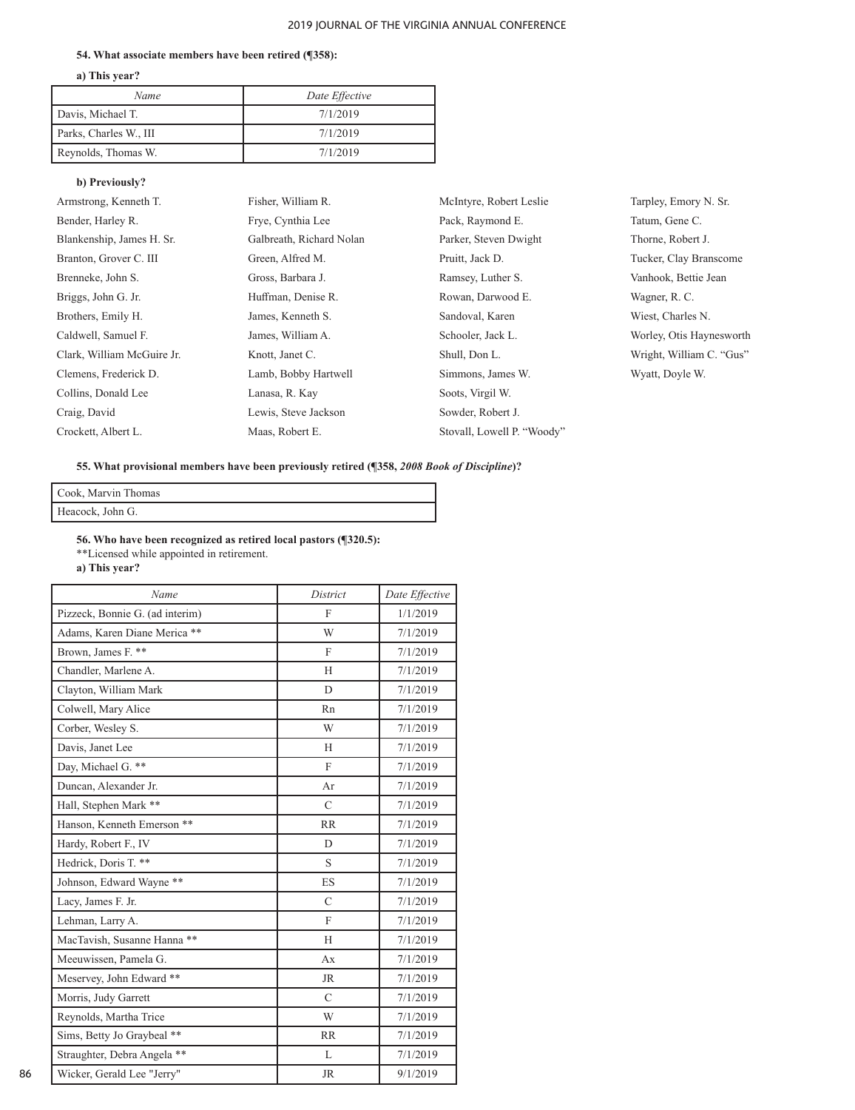#### **54. What associate members have been retired (¶358):**

**a) This year?** 

| Name                   | Date Effective |
|------------------------|----------------|
| Davis, Michael T.      | 7/1/2019       |
| Parks, Charles W., III | 7/1/2019       |
| Reynolds, Thomas W.    | 7/1/2019       |

## **b) Previously?**

| Armstrong, Kenneth T.      | Fisher, William R.       | McIntyre, Robert Leslie    |
|----------------------------|--------------------------|----------------------------|
| Bender, Harley R.          | Frye, Cynthia Lee        | Pack, Raymond E.           |
| Blankenship, James H. Sr.  | Galbreath, Richard Nolan | Parker, Steven Dwight      |
| Branton, Grover C. III     | Green, Alfred M.         | Pruitt, Jack D.            |
| Brenneke, John S.          | Gross, Barbara J.        | Ramsey, Luther S.          |
| Briggs, John G. Jr.        | Huffman, Denise R.       | Rowan, Darwood E.          |
| Brothers, Emily H.         | James, Kenneth S.        | Sandoval, Karen            |
| Caldwell, Samuel F.        | James, William A.        | Schooler, Jack L.          |
| Clark, William McGuire Jr. | Knott, Janet C.          | Shull, Don L.              |
| Clemens, Frederick D.      | Lamb, Bobby Hartwell     | Simmons, James W.          |
| Collins, Donald Lee        | Lanasa, R. Kay           | Soots, Virgil W.           |
| Craig, David               | Lewis, Steve Jackson     | Sowder, Robert J.          |
| Crockett, Albert L.        | Maas, Robert E.          | Stovall, Lowell P. "Woody" |
|                            |                          |                            |

Tarpley, Emory N. Sr. Tatum, Gene C. Thorne, Robert J. Tucker, Clay Branscome Vanhook, Bettie Jean Wagner, R. C. Wiest, Charles N. Worley, Otis Haynesworth Wright, William C. "Gus" Wyatt, Doyle W.

#### **55. What provisional members have been previously retired (¶358,** *2008 Book of Discipline***)?**

| Cook, Marvin Thomas |  |
|---------------------|--|
| Heacock, John G.    |  |

**56. Who have been recognized as retired local pastors (¶320.5):** \*\*Licensed while appointed in retirement.

**a) This year?**

| Name                            | District      | Date Effective |
|---------------------------------|---------------|----------------|
| Pizzeck, Bonnie G. (ad interim) | F             | 1/1/2019       |
| Adams, Karen Diane Merica **    | W             | 7/1/2019       |
| Brown, James F. **              | F             | 7/1/2019       |
| Chandler, Marlene A.            | H             | 7/1/2019       |
| Clayton, William Mark           | D             | 7/1/2019       |
| Colwell, Mary Alice             | Rn            | 7/1/2019       |
| Corber, Wesley S.               | W             | 7/1/2019       |
| Davis, Janet Lee                | H             | 7/1/2019       |
| Day, Michael G. **              | $\mathbf{F}$  | 7/1/2019       |
| Duncan, Alexander Jr.           | Ar            | 7/1/2019       |
| Hall, Stephen Mark **           | $\mathcal{C}$ | 7/1/2019       |
| Hanson, Kenneth Emerson **      | RR            | 7/1/2019       |
| Hardy, Robert F., IV            | D             | 7/1/2019       |
| Hedrick, Doris T. **            | S             | 7/1/2019       |
| Johnson, Edward Wayne **        | ES            | 7/1/2019       |
| Lacy, James F. Jr.              | $\mathcal{C}$ | 7/1/2019       |
| Lehman, Larry A.                | $\mathbf{F}$  | 7/1/2019       |
| MacTavish, Susanne Hanna **     | H             | 7/1/2019       |
| Meeuwissen, Pamela G.           | Ax            | 7/1/2019       |
| Meservey, John Edward **        | <b>JR</b>     | 7/1/2019       |
| Morris, Judy Garrett            | $\mathcal{C}$ | 7/1/2019       |
| Reynolds, Martha Trice          | W             | 7/1/2019       |
| Sims, Betty Jo Graybeal **      | <b>RR</b>     | 7/1/2019       |
| Straughter, Debra Angela **     | L             | 7/1/2019       |
| Wicker, Gerald Lee "Jerry"      | <b>JR</b>     | 9/1/2019       |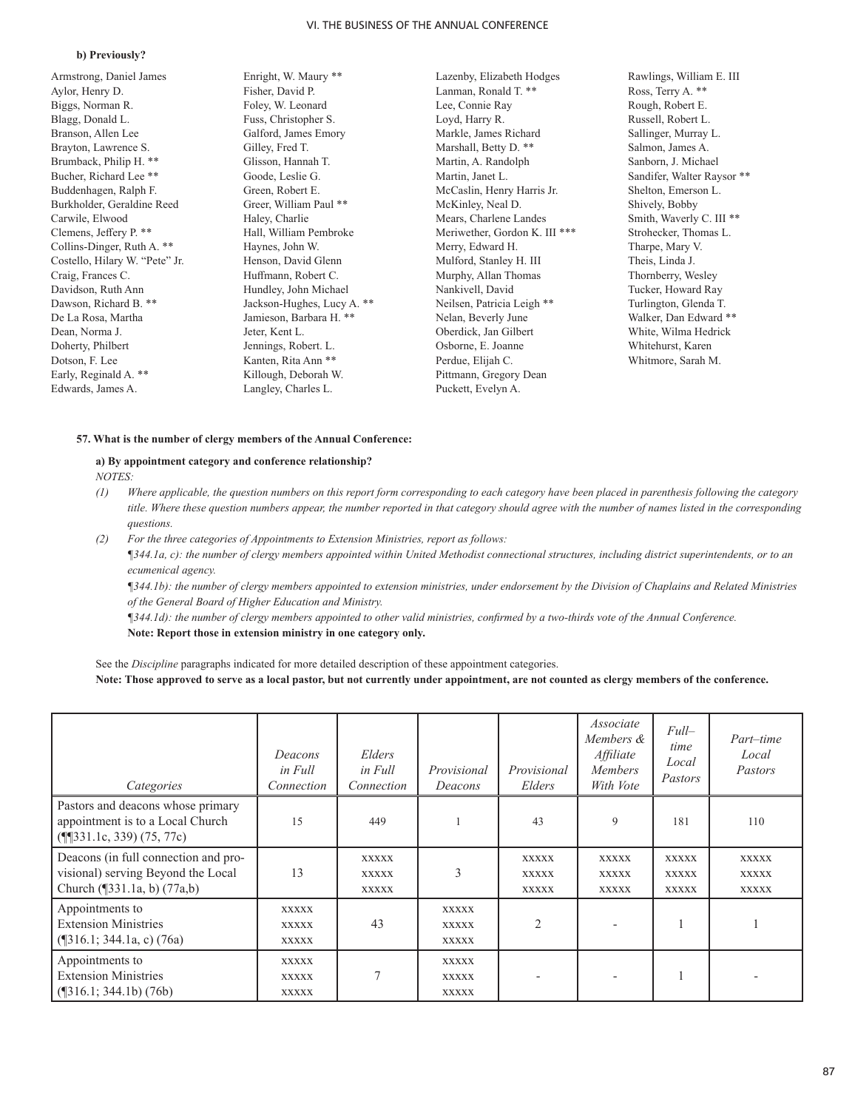#### **b) Previously?**

Armstrong, Daniel James Aylor, Henry D. Biggs, Norman R. Blagg, Donald L. Branson, Allen Lee Brayton, Lawrence S. Brumback, Philip H. \*\* Bucher, Richard Lee \*\* Buddenhagen, Ralph F. Burkholder, Geraldine Reed Carwile, Elwood Clemens, Jeffery P. \*\* Collins-Dinger, Ruth A. \*\* Costello, Hilary W. "Pete" Jr. Craig, Frances C. Davidson, Ruth Ann Dawson, Richard B. \*\* De La Rosa, Martha Dean, Norma J. Doherty, Philbert Dotson, F. Lee Early, Reginald A. \*\* Edwards, James A.

Enright, W. Maury \*\* Fisher, David P. Foley, W. Leonard Fuss, Christopher S. Galford, James Emory Gilley, Fred T. Glisson, Hannah T. Goode, Leslie G. Green, Robert E. Greer, William Paul \*\* Haley, Charlie Hall, William Pembroke Haynes, John W. Henson, David Glenn Huffmann, Robert C. Hundley, John Michael Jackson-Hughes, Lucy A. \*\* Jamieson, Barbara H. \*\* Jeter, Kent L. Jennings, Robert. L. Kanten, Rita Ann \*\* Killough, Deborah W. Langley, Charles L.

Lazenby, Elizabeth Hodges Lanman, Ronald T. \*\* Lee, Connie Ray Loyd, Harry R. Markle, James Richard Marshall, Betty D. \*\* Martin, A. Randolph Martin, Janet L. McCaslin, Henry Harris Jr. McKinley, Neal D. Mears, Charlene Landes Meriwether, Gordon K. III \*\*\* Merry, Edward H. Mulford, Stanley H. III Murphy, Allan Thomas Nankivell, David Neilsen, Patricia Leigh \*\* Nelan, Beverly June Oberdick, Jan Gilbert Osborne, E. Joanne Perdue, Elijah C. Pittmann, Gregory Dean Puckett, Evelyn A.

Rawlings, William E. III Ross, Terry A. \*\* Rough, Robert E. Russell, Robert L. Sallinger, Murray L. Salmon, James A. Sanborn, J. Michael Sandifer, Walter Raysor \*\* Shelton, Emerson L. Shively, Bobby Smith, Waverly C. III \*\* Strohecker, Thomas L. Tharpe, Mary V. Theis, Linda J. Thornberry, Wesley Tucker, Howard Ray Turlington, Glenda T. Walker, Dan Edward \*\* White, Wilma Hedrick Whitehurst, Karen Whitmore, Sarah M.

#### **57. What is the number of clergy members of the Annual Conference:**

#### **a) By appointment category and conference relationship?**  *NOTES:*

- *(1) Where applicable, the question numbers on this report form corresponding to each category have been placed in parenthesis following the category title. Where these question numbers appear, the number reported in that category should agree with the number of names listed in the corresponding questions.*
- *(2) For the three categories of Appointments to Extension Ministries, report as follows: ¶344.1a, c): the number of clergy members appointed within United Methodist connectional structures, including district superintendents, or to an ecumenical agency.*

*¶344.1b): the number of clergy members appointed to extension ministries, under endorsement by the Division of Chaplains and Related Ministries of the General Board of Higher Education and Ministry.* 

*¶344.1d): the number of clergy members appointed to other valid ministries, confirmed by a two-thirds vote of the Annual Conference.* 

**Note: Report those in extension ministry in one category only.** 

See the *Discipline* paragraphs indicated for more detailed description of these appointment categories. **Note: Those approved to serve as a local pastor, but not currently under appointment, are not counted as clergy members of the conference.** 

| Categories                                                                                                | Deacons<br>in Full<br>Connection             | Elders<br>in Full<br>Connection              | Provisional<br>Deacons                       | Provisional<br>Elders                        | Associate<br>Members &<br>Affiliate<br><b>Members</b><br>With Vote | $Full-$<br>time<br>Local<br>Pastors          | Part-time<br>Local<br>Pastors                |
|-----------------------------------------------------------------------------------------------------------|----------------------------------------------|----------------------------------------------|----------------------------------------------|----------------------------------------------|--------------------------------------------------------------------|----------------------------------------------|----------------------------------------------|
| Pastors and deacons whose primary<br>appointment is to a Local Church<br>$(\P$ [331.1c, 339) (75, 77c)    | 15                                           | 449                                          |                                              | 43                                           | 9                                                                  | 181                                          | 110                                          |
| Deacons (in full connection and pro-<br>visional) serving Beyond the Local<br>Church (¶331.1a, b) (77a,b) | 13                                           | <b>XXXXX</b><br><b>XXXXX</b><br><b>XXXXX</b> | 3                                            | <b>XXXXX</b><br><b>XXXXX</b><br><b>XXXXX</b> | <b>XXXXX</b><br><b>XXXXX</b><br><b>XXXXX</b>                       | <b>XXXXX</b><br><b>XXXXX</b><br><b>XXXXX</b> | <b>XXXXX</b><br><b>XXXXX</b><br><b>XXXXX</b> |
| Appointments to<br><b>Extension Ministries</b><br>$(\text{\textdegree}[316.1; 344.1a, c) (76a))$          | <b>XXXXX</b><br><b>XXXXX</b><br><b>XXXXX</b> | 43                                           | <b>XXXXX</b><br><b>XXXXX</b><br><b>XXXXX</b> | $\overline{2}$                               |                                                                    |                                              |                                              |
| Appointments to<br><b>Extension Ministries</b><br>$(\frac{1}{3}16.1; 344.1b) (76b)$                       | <b>XXXXX</b><br><b>XXXXX</b><br><b>XXXXX</b> | $\tau$                                       | <b>XXXXX</b><br><b>XXXXX</b><br><b>XXXXX</b> | $\overline{\phantom{a}}$                     |                                                                    |                                              |                                              |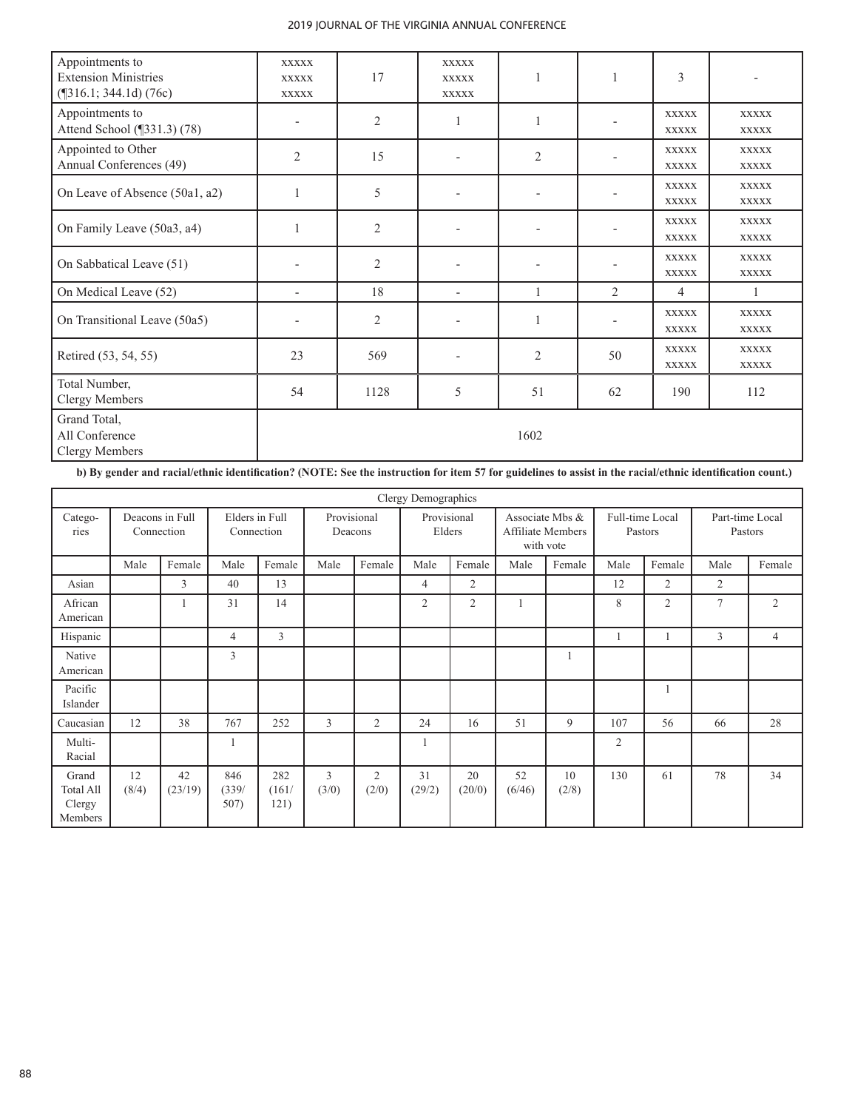| Appointments to<br><b>Extension Ministries</b><br>$(\text{\textdegree$}316.1; 344.1d) (76c)$ | <b>XXXXX</b><br><b>XXXXX</b><br><b>XXXXX</b> | 17             | <b>XXXXX</b><br><b>XXXXX</b><br><b>XXXXX</b> | $\mathbf{1}$             |                | 3                            |                              |
|----------------------------------------------------------------------------------------------|----------------------------------------------|----------------|----------------------------------------------|--------------------------|----------------|------------------------------|------------------------------|
| Appointments to<br>Attend School (¶331.3) (78)                                               | $\qquad \qquad -$                            | $\overline{2}$ | 1                                            | 1                        |                | <b>XXXXX</b><br><b>XXXXX</b> | <b>XXXXX</b><br><b>XXXXX</b> |
| Appointed to Other<br>Annual Conferences (49)                                                | $\mathfrak{2}$                               | 15             | $\overline{\phantom{0}}$                     | $\sqrt{2}$               |                | <b>XXXXX</b><br><b>XXXXX</b> | <b>XXXXX</b><br><b>XXXXX</b> |
| On Leave of Absence (50a1, a2)                                                               | $\mathbf{1}$                                 | 5              |                                              | $\overline{\phantom{a}}$ |                | <b>XXXXX</b><br><b>XXXXX</b> | <b>XXXXX</b><br><b>XXXXX</b> |
| On Family Leave (50a3, a4)                                                                   | $\mathbf{1}$                                 | $\overline{2}$ | $\overline{\phantom{0}}$                     | $\overline{\phantom{a}}$ |                | <b>XXXXX</b><br><b>XXXXX</b> | <b>XXXXX</b><br><b>XXXXX</b> |
| On Sabbatical Leave (51)                                                                     |                                              | $\overline{2}$ |                                              |                          |                | <b>XXXXX</b><br><b>XXXXX</b> | <b>XXXXX</b><br><b>XXXXX</b> |
| On Medical Leave (52)                                                                        | $\overline{\phantom{a}}$                     | 18             | $\overline{\phantom{a}}$                     | $\mathbf{1}$             | $\overline{2}$ | $\overline{4}$               | 1                            |
| On Transitional Leave (50a5)                                                                 |                                              | $\overline{2}$ |                                              | 1                        |                | <b>XXXXX</b><br><b>XXXXX</b> | <b>XXXXX</b><br><b>XXXXX</b> |
| Retired (53, 54, 55)                                                                         | 23                                           | 569            | $\overline{\phantom{a}}$                     | $\mathfrak{2}$           | 50             | <b>XXXXX</b><br><b>XXXXX</b> | <b>XXXXX</b><br><b>XXXXX</b> |
| Total Number,<br><b>Clergy Members</b>                                                       | 54                                           | 1128           | 5                                            | 51                       | 62             | 190                          | 112                          |
| Grand Total,<br>All Conference<br><b>Clergy Members</b>                                      |                                              |                |                                              | 1602                     |                |                              |                              |

**b) By gender and racial/ethnic identification? (NOTE: See the instruction for item 57 for guidelines to assist in the racial/ethnic identification count.)** 

|                                                |                               |               |                              |                      |                        |            | Clergy Demographics   |              |                                                   |             |                            |                |                            |        |
|------------------------------------------------|-------------------------------|---------------|------------------------------|----------------------|------------------------|------------|-----------------------|--------------|---------------------------------------------------|-------------|----------------------------|----------------|----------------------------|--------|
| Catego-<br>ries                                | Deacons in Full<br>Connection |               | Elders in Full<br>Connection |                      | Provisional<br>Deacons |            | Provisional<br>Elders |              | Associate Mbs &<br>Affiliate Members<br>with vote |             | Full-time Local<br>Pastors |                | Part-time Local<br>Pastors |        |
|                                                | Male                          | Female        | Male                         | Female               | Male                   | Female     | Male                  | Female       | Male                                              | Female      | Male                       | Female         | Male                       | Female |
| Asian                                          |                               | 3             | 40                           | 13                   |                        |            | 4                     | 2            |                                                   |             | 12                         | $\overline{2}$ | $\overline{2}$             |        |
| African<br>American                            |                               |               | 31                           | 14                   |                        |            | $\overline{2}$        | 2            | 1                                                 |             | 8                          | $\mathfrak{2}$ | $\overline{7}$             | 2      |
| Hispanic                                       |                               |               | 4                            | 3                    |                        |            |                       |              |                                                   |             |                            |                | 3                          | 4      |
| Native<br>American                             |                               |               | 3                            |                      |                        |            |                       |              |                                                   |             |                            |                |                            |        |
| Pacific<br>Islander                            |                               |               |                              |                      |                        |            |                       |              |                                                   |             |                            |                |                            |        |
| Caucasian                                      | 12                            | 38            | 767                          | 252                  | 3                      | 2          | 24                    | 16           | 51                                                | 9           | 107                        | 56             | 66                         | 28     |
| Multi-<br>Racial                               |                               |               |                              |                      |                        |            |                       |              |                                                   |             | $\overline{2}$             |                |                            |        |
| Grand<br><b>Total All</b><br>Clergy<br>Members | 12<br>(8/4)                   | 42<br>(23/19) | 846<br>(339/<br>507)         | 282<br>(161/<br>121) | 3<br>(3/0)             | 2<br>(2/0) | 31<br>(29/2)          | 20<br>(20/0) | 52<br>(6/46)                                      | 10<br>(2/8) | 130                        | 61             | 78                         | 34     |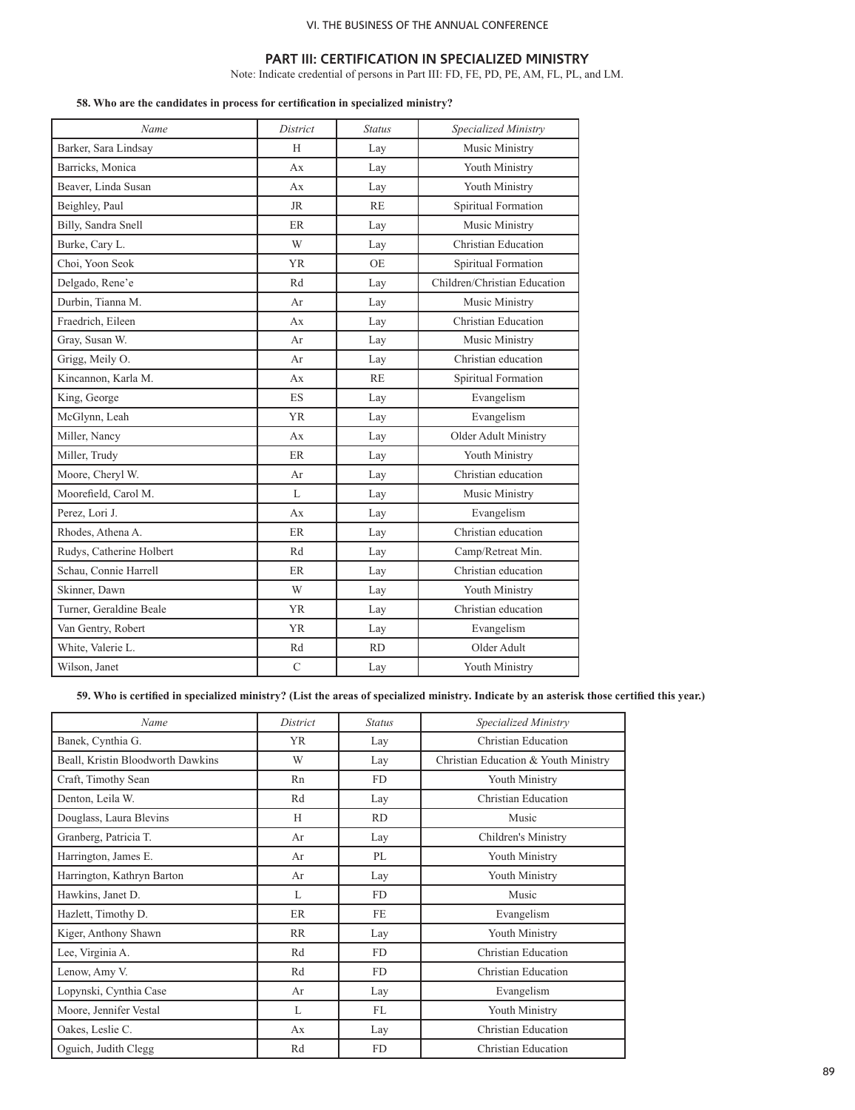# **PART III: CERTIFICATION IN SPECIALIZED MINISTRY**

Note: Indicate credential of persons in Part III: FD, FE, PD, PE, AM, FL, PL, and LM.

# **58. Who are the candidates in process for certification in specialized ministry?**

| Name                     | District     | <b>Status</b> | Specialized Ministry         |
|--------------------------|--------------|---------------|------------------------------|
| Barker, Sara Lindsay     | H            | Lay           | Music Ministry               |
| Barricks, Monica         | Ax           | Lay           | Youth Ministry               |
| Beaver, Linda Susan      | Ax           | Lay           | Youth Ministry               |
| Beighley, Paul           | JR           | <b>RE</b>     | Spiritual Formation          |
| Billy, Sandra Snell      | ER           | Lay           | Music Ministry               |
| Burke, Cary L.           | W            | Lay           | Christian Education          |
| Choi, Yoon Seok          | <b>YR</b>    | <b>OE</b>     | Spiritual Formation          |
| Delgado, Rene'e          | Rd           | Lay           | Children/Christian Education |
| Durbin, Tianna M.        | Ar           | Lay           | Music Ministry               |
| Fraedrich, Eileen        | Ax           | Lay           | Christian Education          |
| Gray, Susan W.           | Ar           | Lay           | Music Ministry               |
| Grigg, Meily O.          | Ar           | Lay           | Christian education          |
| Kincannon, Karla M.      | Ax           | <b>RE</b>     | Spiritual Formation          |
| King, George             | ES.          | Lay           | Evangelism                   |
| McGlynn, Leah            | <b>YR</b>    | Lay           | Evangelism                   |
| Miller, Nancy            | Ax           | Lay           | Older Adult Ministry         |
| Miller, Trudy            | ER           | Lay           | Youth Ministry               |
| Moore, Cheryl W.         | Ar           | Lay           | Christian education          |
| Moorefield, Carol M.     | L            | Lay           | Music Ministry               |
| Perez, Lori J.           | Ax           | Lay           | Evangelism                   |
| Rhodes, Athena A.        | ER           | Lay           | Christian education          |
| Rudys, Catherine Holbert | Rd           | Lay           | Camp/Retreat Min.            |
| Schau, Connie Harrell    | ER           | Lay           | Christian education          |
| Skinner, Dawn            | W            | Lay           | Youth Ministry               |
| Turner, Geraldine Beale  | <b>YR</b>    | Lay           | Christian education          |
| Van Gentry, Robert       | <b>YR</b>    | Lay           | Evangelism                   |
| White, Valerie L.        | Rd           | <b>RD</b>     | Older Adult                  |
| Wilson, Janet            | $\mathsf{C}$ | Lay           | Youth Ministry               |

**59. Who is certified in specialized ministry? (List the areas of specialized ministry. Indicate by an asterisk those certified this year.)**

| Name                              | District  | <b>Status</b>  | Specialized Ministry                 |  |  |  |
|-----------------------------------|-----------|----------------|--------------------------------------|--|--|--|
| Banek, Cynthia G.                 | YR.       | Lay            | Christian Education                  |  |  |  |
| Beall, Kristin Bloodworth Dawkins | W         | Lay            | Christian Education & Youth Ministry |  |  |  |
| Craft, Timothy Sean               | Rn        | <b>FD</b>      | Youth Ministry                       |  |  |  |
| Denton, Leila W.                  | Rd        | Lay            | Christian Education                  |  |  |  |
| Douglass, Laura Blevins           | H         | <b>RD</b>      | Music                                |  |  |  |
| Granberg, Patricia T.             | Ar        | Lay            | Children's Ministry                  |  |  |  |
| Harrington, James E.              | Ar        | PL             | Youth Ministry                       |  |  |  |
| Harrington, Kathryn Barton        | Ar        | Lay            | Youth Ministry                       |  |  |  |
| Hawkins, Janet D.                 | L         | <b>FD</b>      | Music                                |  |  |  |
| Hazlett, Timothy D.               | ER        | <b>FE</b>      | Evangelism                           |  |  |  |
| Kiger, Anthony Shawn              | <b>RR</b> | Lay            | Youth Ministry                       |  |  |  |
| Lee, Virginia A.                  | Rd        | <b>FD</b>      | Christian Education                  |  |  |  |
| Lenow, Amy V.                     | Rd        | F <sub>D</sub> | Christian Education                  |  |  |  |
| Lopynski, Cynthia Case            | Ar        | Lay            | Evangelism                           |  |  |  |
| Moore, Jennifer Vestal            | L         | FL             | Youth Ministry                       |  |  |  |
| Oakes, Leslie C.                  | Ax        | Lay            | Christian Education                  |  |  |  |
| Oguich, Judith Clegg              | Rd        | <b>FD</b>      | Christian Education                  |  |  |  |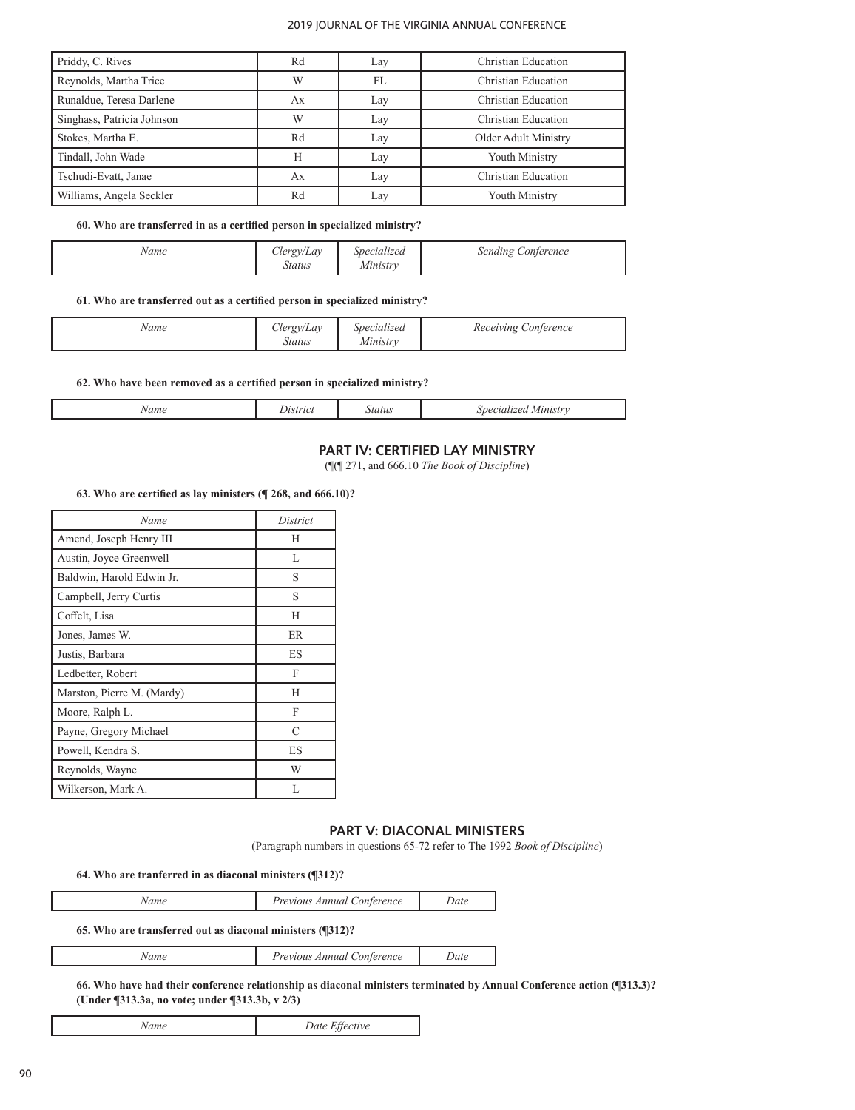| Priddy, C. Rives           | Rd | Lay | Christian Education  |
|----------------------------|----|-----|----------------------|
| Reynolds, Martha Trice     | W  | FL  | Christian Education  |
| Runaldue, Teresa Darlene   | Ax | Lay | Christian Education  |
| Singhass, Patricia Johnson | W  | Lay | Christian Education  |
| Stokes, Martha E.          | Rd | Lay | Older Adult Ministry |
| Tindall, John Wade         | H  | Lay | Youth Ministry       |
| Tschudi-Evatt, Janae       | Aх | Lay | Christian Education  |
| Williams, Angela Seckler   | Rd | Lay | Youth Ministry       |

#### **60. Who are transferred in as a certified person in specialized ministry?**

| <b>CONT</b><br>$\sim$<br>lergy/Lav<br>Name<br><b>Status</b> | Specialized<br>Ministry | Sending Conference |
|-------------------------------------------------------------|-------------------------|--------------------|
|-------------------------------------------------------------|-------------------------|--------------------|

# **61. Who are transferred out as a certified person in specialized ministry?**

| Name | clergy/Lay<br>Status | Specialized<br>Ministry | <i>Receiving Conference</i> |
|------|----------------------|-------------------------|-----------------------------|
|------|----------------------|-------------------------|-----------------------------|

## **62. Who have been removed as a certified person in specialized ministry?**

|--|

# **PART IV: CERTIFIED LAY MINISTRY**

(¶(¶ 271, and 666.10 *The Book of Discipline*)

## **63. Who are certified as lay ministers (¶ 268, and 666.10)?**

| Name                       | District  |
|----------------------------|-----------|
| Amend, Joseph Henry III    | H         |
| Austin, Joyce Greenwell    | L         |
| Baldwin, Harold Edwin Jr.  | S         |
| Campbell, Jerry Curtis     | S         |
| Coffelt, Lisa              | H         |
| Jones, James W.            | <b>ER</b> |
| Justis, Barbara            | ES        |
| Ledbetter, Robert          | F         |
| Marston, Pierre M. (Mardy) | H         |
| Moore, Ralph L.            | F         |
| Payne, Gregory Michael     | $\subset$ |
| Powell, Kendra S.          | ES        |
| Reynolds, Wayne            | W         |
| Wilkerson, Mark A.         | L         |

# **PART V: DIACONAL MINISTERS**

(Paragraph numbers in questions 65-72 refer to The 1992 *Book of Discipline*)

**64. Who are tranferred in as diaconal ministers (¶312)?**

| terence<br>evious Annual<br>$\alpha$ n | )ate |
|----------------------------------------|------|
|                                        |      |

# **65. Who are transferred out as diaconal ministers (¶312)?**

| Vame | Previous Annual Conference | <b>Date</b> |
|------|----------------------------|-------------|
|------|----------------------------|-------------|

**66. Who have had their conference relationship as diaconal ministers terminated by Annual Conference action (¶313.3)? (Under ¶313.3a, no vote; under ¶313.3b, v 2/3)**

*Name Date Effective*

Ī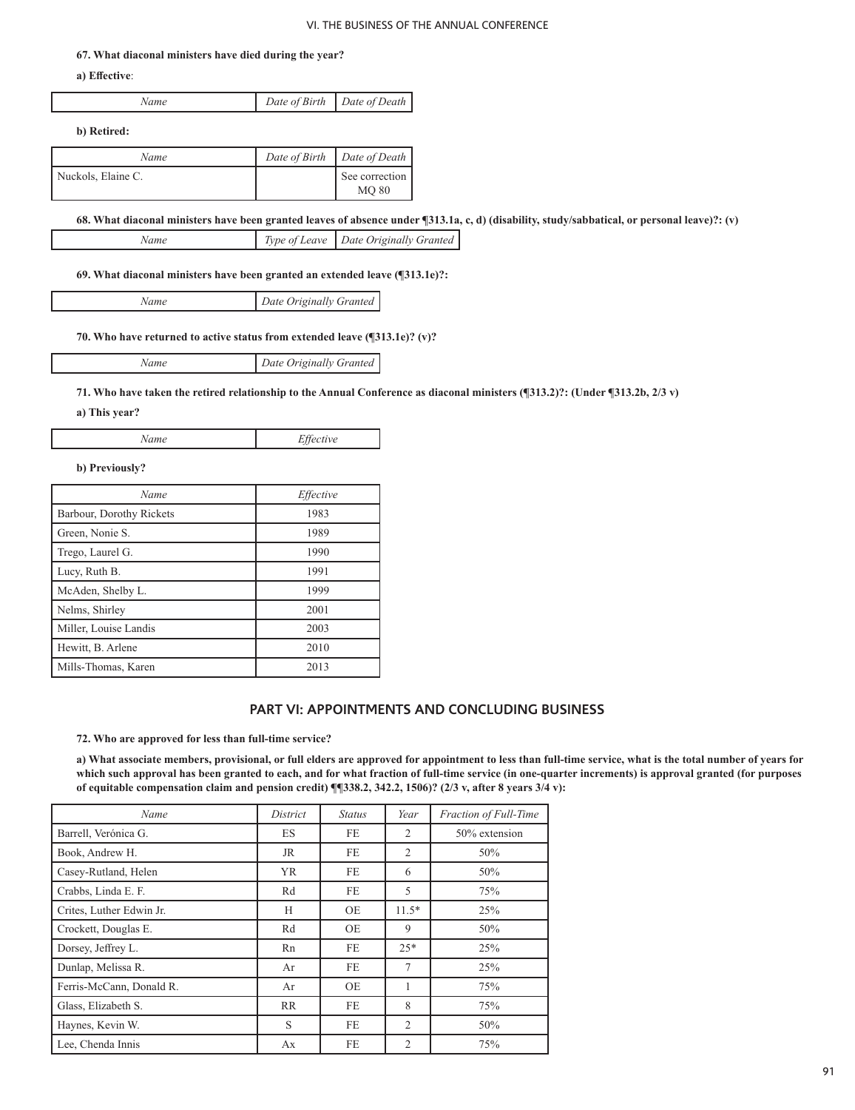#### **67. What diaconal ministers have died during the year?**

**a) Effective**:

| Name | Date of Birth   Date of Death |  |
|------|-------------------------------|--|
|      |                               |  |

**b) Retired:**

٦

| Name               | Date of Birth   Date of Death  |
|--------------------|--------------------------------|
| Nuckols, Elaine C. | See correction<br><b>MO 80</b> |

**68. What diaconal ministers have been granted leaves of absence under ¶313.1a, c, d) (disability, study/sabbatical, or personal leave)?: (v)**

**69. What diaconal ministers have been granted an extended leave (¶313.1e)?:**

*Name Date Originally Granted*

**70. Who have returned to active status from extended leave (¶313.1e)? (v)?**

*Name Date Originally Granted*

**71. Who have taken the retired relationship to the Annual Conference as diaconal ministers (¶313.2)?: (Under ¶313.2b, 2/3 v)**

**a) This year?**

*Name Effective*

**b) Previously?**

| Name                     | Effective |
|--------------------------|-----------|
| Barbour, Dorothy Rickets | 1983      |
| Green, Nonie S.          | 1989      |
| Trego, Laurel G.         | 1990      |
| Lucy, Ruth B.            | 1991      |
| McAden, Shelby L.        | 1999      |
| Nelms, Shirley           | 2001      |
| Miller, Louise Landis    | 2003      |
| Hewitt, B. Arlene        | 2010      |
| Mills-Thomas, Karen      | 2013      |

# **PART VI: APPOINTMENTS AND CONCLUDING BUSINESS**

**72. Who are approved for less than full-time service?** 

**a) What associate members, provisional, or full elders are approved for appointment to less than full-time service, what is the total number of years for which such approval has been granted to each, and for what fraction of full-time service (in one-quarter increments) is approval granted (for purposes of equitable compensation claim and pension credit) ¶¶338.2, 342.2, 1506)? (2/3 v, after 8 years 3/4 v):**

| Name                     | District  | <b>Status</b> | Year           | Fraction of Full-Time |
|--------------------------|-----------|---------------|----------------|-----------------------|
| Barrell, Verónica G.     | <b>ES</b> | FE.           | 2              | 50% extension         |
| Book, Andrew H.          | <b>JR</b> | FE            | 2              | 50%                   |
| Casey-Rutland, Helen     | <b>YR</b> | FE            | 6              | 50%                   |
| Crabbs, Linda E. F.      | Rd        | FE            | 5              | 75%                   |
| Crites, Luther Edwin Jr. | Н         | OE            | $11.5*$        | 25%                   |
| Crockett, Douglas E.     | Rd        | OE            | 9              | 50%                   |
| Dorsey, Jeffrey L.       | Rn        | FE            | $25*$          | 25%                   |
| Dunlap, Melissa R.       | Ar        | <b>FE</b>     | 7              | 25%                   |
| Ferris-McCann, Donald R. | Ar        | OE            | 1              | 75%                   |
| Glass, Elizabeth S.      | <b>RR</b> | FE.           | 8              | 75%                   |
| Haynes, Kevin W.         | S         | FE            | 2              | 50%                   |
| Lee, Chenda Innis        | Ax        | FE            | $\overline{2}$ | 75%                   |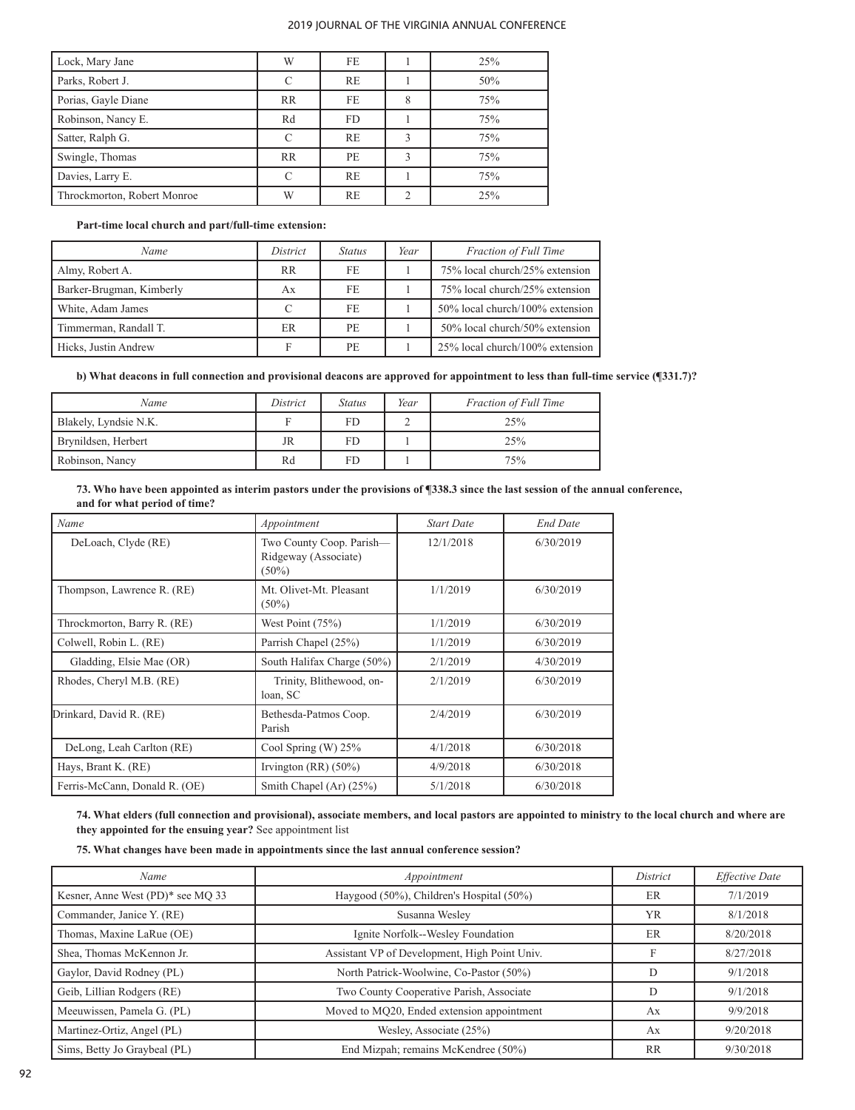| Lock, Mary Jane             | W                  | FF.       |   | 25% |
|-----------------------------|--------------------|-----------|---|-----|
| Parks, Robert J.            | $\curvearrowright$ | RE        |   | 50% |
| Porias, Gayle Diane         | <b>RR</b>          | FE        |   | 75% |
| Robinson, Nancy E.          | Rd                 | FD.       |   | 75% |
| Satter, Ralph G.            | $\Gamma$           | <b>RE</b> | ٦ | 75% |
| Swingle, Thomas             | <b>RR</b>          | PE.       | ٦ | 75% |
| Davies, Larry E.            |                    | <b>RE</b> |   | 75% |
| Throckmorton, Robert Monroe | W                  | <b>RE</b> |   | 25% |

**Part-time local church and part/full-time extension:**

| Name                     | District  | <i>Status</i> | Year | <b>Fraction of Full Time</b>    |
|--------------------------|-----------|---------------|------|---------------------------------|
| Almy, Robert A.          | <b>RR</b> | FE.           |      | 75% local church/25% extension  |
| Barker-Brugman, Kimberly | Ax        | FE.           |      | 75% local church/25% extension  |
| White, Adam James        | C         | FE.           |      | 50% local church/100% extension |
| Timmerman, Randall T.    | <b>ER</b> | PE.           |      | 50% local church/50% extension  |
| Hicks, Justin Andrew     | F         | PE.           |      | 25% local church/100% extension |

**b) What deacons in full connection and provisional deacons are approved for appointment to less than full-time service (¶331.7)?**

| Name                  | District | Status | Year | <b>Fraction of Full Time</b> |
|-----------------------|----------|--------|------|------------------------------|
| Blakely, Lyndsie N.K. |          | FD     |      | 25%                          |
| Brynildsen, Herbert   | JR       | FD     |      | 25%                          |
| Robinson, Nancy       | Rd       |        |      | 75%                          |

**73. Who have been appointed as interim pastors under the provisions of ¶338.3 since the last session of the annual conference, and for what period of time?**

| Name                          | Appointment                                                  | <b>Start Date</b> | <b>End Date</b> |
|-------------------------------|--------------------------------------------------------------|-------------------|-----------------|
| DeLoach, Clyde (RE)           | Two County Coop. Parish-<br>Ridgeway (Associate)<br>$(50\%)$ | 12/1/2018         | 6/30/2019       |
| Thompson, Lawrence R. (RE)    | Mt. Olivet-Mt. Pleasant<br>$(50\%)$                          | 1/1/2019          | 6/30/2019       |
| Throckmorton, Barry R. (RE)   | West Point $(75%)$                                           | 1/1/2019          | 6/30/2019       |
| Colwell, Robin L. (RE)        | Parrish Chapel (25%)                                         | 1/1/2019          | 6/30/2019       |
| Gladding, Elsie Mae (OR)      | South Halifax Charge (50%)                                   | 2/1/2019          | 4/30/2019       |
| Rhodes, Cheryl M.B. (RE)      | Trinity, Blithewood, on-<br>loan, SC                         | 2/1/2019          | 6/30/2019       |
| Drinkard, David R. (RE)       | Bethesda-Patmos Coop.<br>Parish                              | 2/4/2019          | 6/30/2019       |
| DeLong, Leah Carlton (RE)     | Cool Spring (W) 25%                                          | 4/1/2018          | 6/30/2018       |
| Hays, Brant K. (RE)           | Irvington $(RR)(50\%)$                                       | 4/9/2018          | 6/30/2018       |
| Ferris-McCann, Donald R. (OE) | Smith Chapel (Ar) (25%)                                      | 5/1/2018          | 6/30/2018       |

**74. What elders (full connection and provisional), associate members, and local pastors are appointed to ministry to the local church and where are they appointed for the ensuing year?** See appointment list

**75. What changes have been made in appointments since the last annual conference session?** 

| Name                              | Appointment                                   | District  | Effective Date |
|-----------------------------------|-----------------------------------------------|-----------|----------------|
| Kesner, Anne West (PD)* see MQ 33 | Haygood (50%), Children's Hospital (50%)      | <b>ER</b> | 7/1/2019       |
| Commander, Janice Y. (RE)         | Susanna Wesley                                | <b>YR</b> | 8/1/2018       |
| Thomas, Maxine LaRue (OE)         | Ignite Norfolk--Wesley Foundation             | ER        | 8/20/2018      |
| Shea, Thomas McKennon Jr.         | Assistant VP of Development, High Point Univ. | F         | 8/27/2018      |
| Gaylor, David Rodney (PL)         | North Patrick-Woolwine, Co-Pastor (50%)       | D         | 9/1/2018       |
| Geib, Lillian Rodgers (RE)        | Two County Cooperative Parish, Associate      | D         | 9/1/2018       |
| Meeuwissen, Pamela G. (PL)        | Moved to MQ20, Ended extension appointment    | Ax        | 9/9/2018       |
| Martinez-Ortiz, Angel (PL)        | Wesley, Associate (25%)                       | Ax        | 9/20/2018      |
| Sims, Betty Jo Graybeal (PL)      | End Mizpah; remains McKendree (50%)           | <b>RR</b> | 9/30/2018      |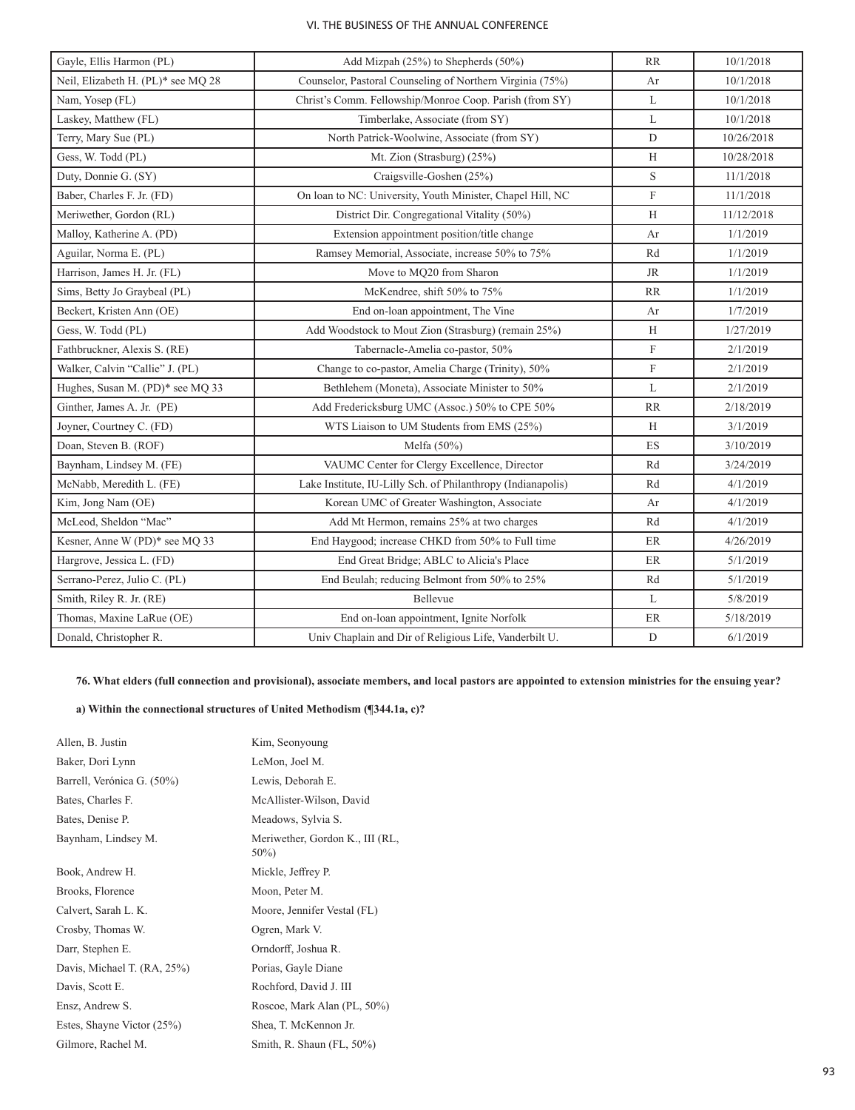| Gayle, Ellis Harmon (PL)           | Add Mizpah (25%) to Shepherds (50%)                          | <b>RR</b>      | 10/1/2018  |
|------------------------------------|--------------------------------------------------------------|----------------|------------|
| Neil, Elizabeth H. (PL)* see MQ 28 | Counselor, Pastoral Counseling of Northern Virginia (75%)    | Ar             | 10/1/2018  |
| Nam, Yosep (FL)                    | Christ's Comm. Fellowship/Monroe Coop. Parish (from SY)      | L              | 10/1/2018  |
| Laskey, Matthew (FL)               | Timberlake, Associate (from SY)                              | L              | 10/1/2018  |
| Terry, Mary Sue (PL)               | North Patrick-Woolwine, Associate (from SY)                  | $\mathbf D$    | 10/26/2018 |
| Gess, W. Todd (PL)                 | Mt. Zion (Strasburg) (25%)                                   | H              | 10/28/2018 |
| Duty, Donnie G. (SY)               | Craigsville-Goshen (25%)                                     | S              | 11/1/2018  |
| Baber, Charles F. Jr. (FD)         | On loan to NC: University, Youth Minister, Chapel Hill, NC   | $\overline{F}$ | 11/1/2018  |
| Meriwether, Gordon (RL)            | District Dir. Congregational Vitality (50%)                  | H              | 11/12/2018 |
| Malloy, Katherine A. (PD)          | Extension appointment position/title change                  | Ar             | 1/1/2019   |
| Aguilar, Norma E. (PL)             | Ramsey Memorial, Associate, increase 50% to 75%              | Rd             | 1/1/2019   |
| Harrison, James H. Jr. (FL)        | Move to MQ20 from Sharon                                     | <b>JR</b>      | 1/1/2019   |
| Sims, Betty Jo Graybeal (PL)       | McKendree, shift 50% to 75%                                  | <b>RR</b>      | 1/1/2019   |
| Beckert, Kristen Ann (OE)          | End on-loan appointment, The Vine                            | Ar             | 1/7/2019   |
| Gess, W. Todd (PL)                 | Add Woodstock to Mout Zion (Strasburg) (remain 25%)          | H              | 1/27/2019  |
| Fathbruckner, Alexis S. (RE)       | Tabernacle-Amelia co-pastor, 50%                             | F              | 2/1/2019   |
| Walker, Calvin "Callie" J. (PL)    | Change to co-pastor, Amelia Charge (Trinity), 50%            | F              | 2/1/2019   |
| Hughes, Susan M. (PD)* see MQ 33   | Bethlehem (Moneta), Associate Minister to 50%                | L              | 2/1/2019   |
| Ginther, James A. Jr. (PE)         | Add Fredericksburg UMC (Assoc.) 50% to CPE 50%               | <b>RR</b>      | 2/18/2019  |
| Joyner, Courtney C. (FD)           | WTS Liaison to UM Students from EMS (25%)                    | H              | 3/1/2019   |
| Doan, Steven B. (ROF)              | Melfa $(50\%)$                                               | ES             | 3/10/2019  |
| Baynham, Lindsey M. (FE)           | VAUMC Center for Clergy Excellence, Director                 | Rd             | 3/24/2019  |
| McNabb, Meredith L. (FE)           | Lake Institute, IU-Lilly Sch. of Philanthropy (Indianapolis) | Rd             | 4/1/2019   |
| Kim, Jong Nam (OE)                 | Korean UMC of Greater Washington, Associate                  | Ar             | 4/1/2019   |
| McLeod, Sheldon "Mac"              | Add Mt Hermon, remains 25% at two charges                    | Rd             | 4/1/2019   |
| Kesner, Anne W (PD)* see MQ 33     | End Haygood; increase CHKD from 50% to Full time             | ER             | 4/26/2019  |
| Hargrove, Jessica L. (FD)          | End Great Bridge; ABLC to Alicia's Place                     | ER             | 5/1/2019   |
| Serrano-Perez, Julio C. (PL)       | End Beulah; reducing Belmont from 50% to 25%                 | Rd             | 5/1/2019   |
| Smith, Riley R. Jr. (RE)           | Bellevue                                                     | L              | 5/8/2019   |
| Thomas, Maxine LaRue (OE)          | End on-loan appointment, Ignite Norfolk                      | $\rm ER$       | 5/18/2019  |
| Donald, Christopher R.             | Univ Chaplain and Dir of Religious Life, Vanderbilt U.       | $\mathbf D$    | 6/1/2019   |

**76. What elders (full connection and provisional), associate members, and local pastors are appointed to extension ministries for the ensuing year?**

# **a) Within the connectional structures of United Methodism (¶344.1a, c)?**

| Allen, B. Justin            | Kim, Seonyoung                             |
|-----------------------------|--------------------------------------------|
| Baker, Dori Lynn            | LeMon, Joel M.                             |
| Barrell, Verónica G. (50%)  | Lewis, Deborah E.                          |
| Bates, Charles F.           | McAllister-Wilson, David                   |
| Bates, Denise P.            | Meadows, Sylvia S.                         |
| Baynham, Lindsey M.         | Meriwether, Gordon K., III (RL,<br>$50\%)$ |
| Book, Andrew H.             | Mickle, Jeffrey P.                         |
| Brooks, Florence            | Moon, Peter M.                             |
| Calvert, Sarah L. K.        | Moore, Jennifer Vestal (FL)                |
| Crosby, Thomas W.           | Ogren, Mark V.                             |
| Darr, Stephen E.            | Orndorff, Joshua R.                        |
| Davis, Michael T. (RA, 25%) | Porias, Gayle Diane                        |
| Davis, Scott E.             | Rochford, David J. III                     |
| Ensz, Andrew S.             | Roscoe, Mark Alan (PL, 50%)                |
| Estes, Shayne Victor (25%)  | Shea, T. McKennon Jr.                      |
| Gilmore, Rachel M.          | Smith, R. Shaun (FL, 50%)                  |
|                             |                                            |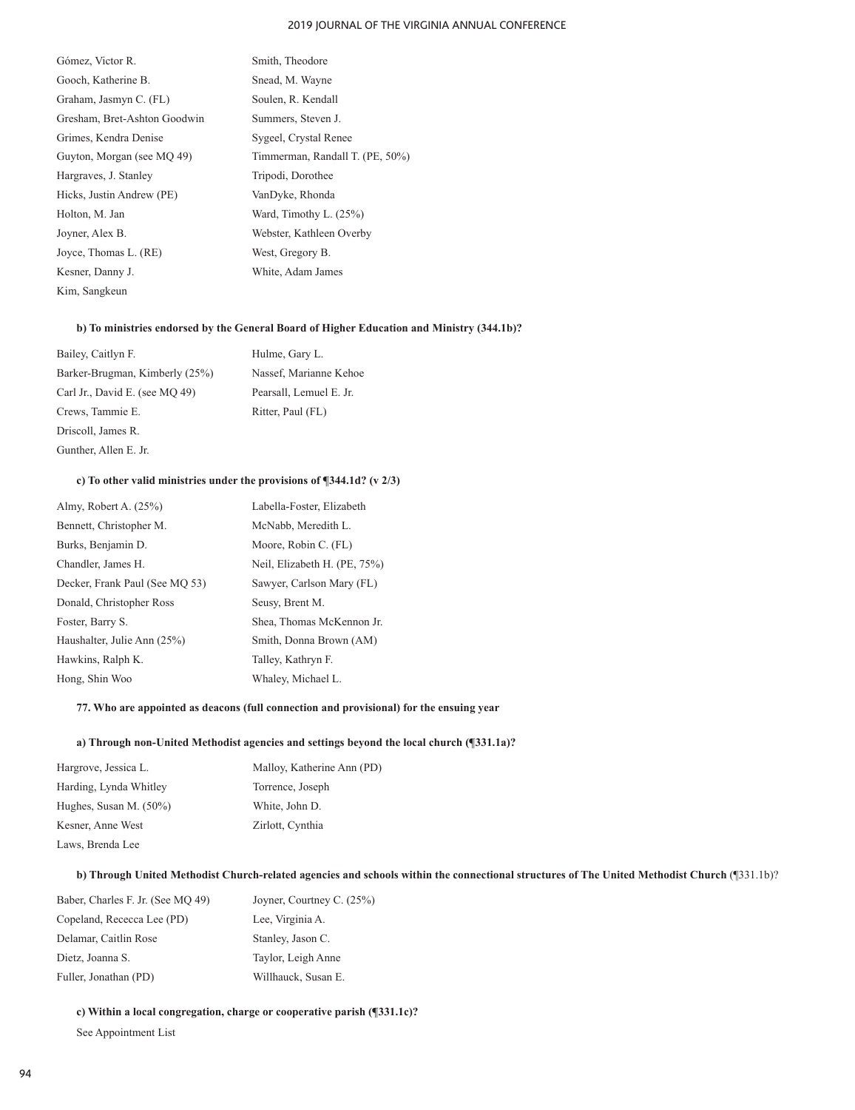- Gómez, Victor R. Smith, Theodore Gooch, Katherine B. Snead, M. Wayne Graham, Jasmyn C. (FL) Soulen, R. Kendall Gresham, Bret-Ashton Goodwin Summers, Steven J. Grimes, Kendra Denise Sygeel, Crystal Renee Guyton, Morgan (see MQ 49) Timmerman, Randall T. (PE, 50%) Hargraves, J. Stanley Tripodi, Dorothee Hicks, Justin Andrew (PE) VanDyke, Rhonda Holton, M. Jan Ward, Timothy L. (25%) Joyner, Alex B. Webster, Kathleen Overby Joyce, Thomas L. (RE) West, Gregory B. Kesner, Danny J. White, Adam James Kim, Sangkeun
	-

#### **b) To ministries endorsed by the General Board of Higher Education and Ministry (344.1b)?**

| Bailey, Caitlyn F.             | Hulme, Gary L.          |
|--------------------------------|-------------------------|
| Barker-Brugman, Kimberly (25%) | Nassef, Marianne Kehoe  |
| Carl Jr., David E. (see MO 49) | Pearsall, Lemuel E. Jr. |
| Crews, Tammie E.               | Ritter, Paul (FL)       |
| Driscoll, James R.             |                         |
| Gunther, Allen E. Jr.          |                         |

#### **c) To other valid ministries under the provisions of ¶344.1d? (v 2/3)**

| Labella-Foster, Elizabeth    |
|------------------------------|
| McNabb, Meredith L.          |
| Moore, Robin C. (FL)         |
| Neil, Elizabeth H. (PE, 75%) |
| Sawyer, Carlson Mary (FL)    |
| Seusy, Brent M.              |
| Shea, Thomas McKennon Jr.    |
| Smith, Donna Brown (AM)      |
| Talley, Kathryn F.           |
| Whaley, Michael L.           |
|                              |

#### **77. Who are appointed as deacons (full connection and provisional) for the ensuing year**

#### **a) Through non-United Methodist agencies and settings beyond the local church (¶331.1a)?**

| Hargrove, Jessica L.      | Malloy, Katherine Ann (PD) |
|---------------------------|----------------------------|
| Harding, Lynda Whitley    | Torrence, Joseph           |
| Hughes, Susan M. $(50\%)$ | White, John D.             |
| Kesner, Anne West         | Zirlott, Cynthia           |
| Laws, Brenda Lee          |                            |

## **b) Through United Methodist Church-related agencies and schools within the connectional structures of The United Methodist Church** (¶331.1b)?

| Baber, Charles F. Jr. (See MO 49) | Joyner, Courtney C. (25%) |
|-----------------------------------|---------------------------|
| Copeland, Rececca Lee (PD)        | Lee, Virginia A.          |
| Delamar, Caitlin Rose             | Stanley, Jason C.         |
| Dietz, Joanna S.                  | Taylor, Leigh Anne        |
| Fuller, Jonathan (PD)             | Willhauck, Susan E.       |

**c) Within a local congregation, charge or cooperative parish (¶331.1c)?**

 See Appointment List